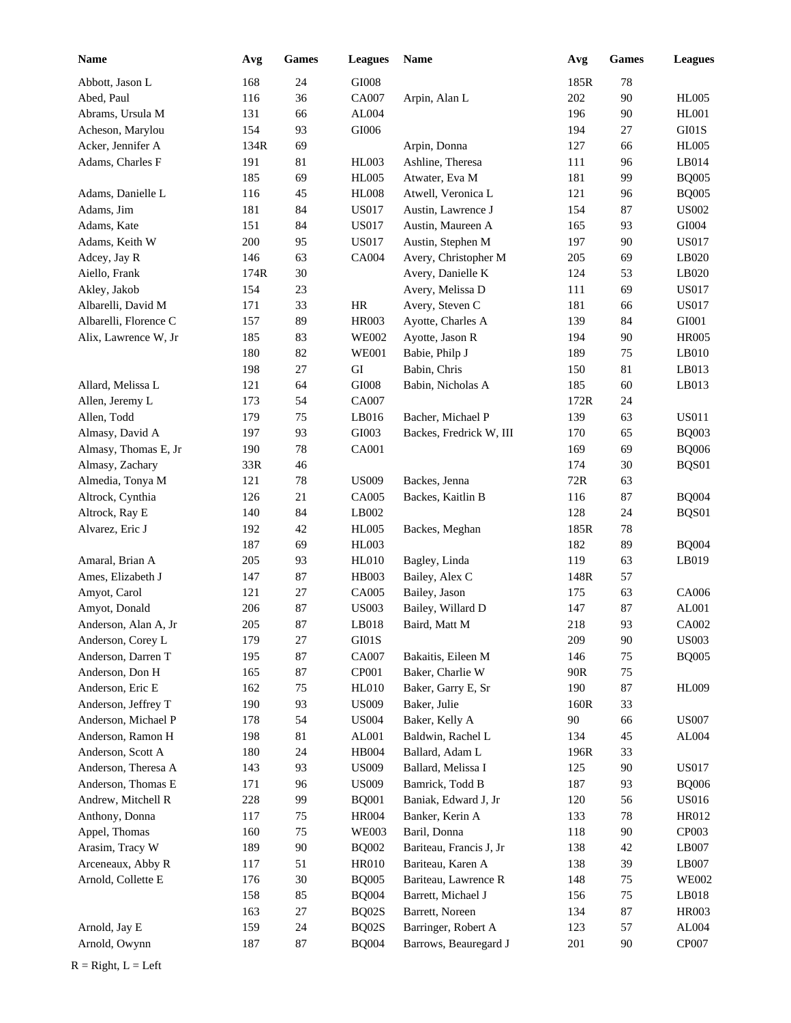| Name                  | Avg        | Games        | <b>Leagues</b>        | Name                    | Avg         | <b>Games</b> | <b>Leagues</b> |
|-----------------------|------------|--------------|-----------------------|-------------------------|-------------|--------------|----------------|
| Abbott, Jason L       | 168        | 24           | GI008                 |                         | 185R        | 78           |                |
| Abed, Paul            | 116        | 36           | <b>CA007</b>          | Arpin, Alan L           | 202         | 90           | <b>HL005</b>   |
| Abrams, Ursula M      | 131        | 66           | AL004                 |                         | 196         | $90\,$       | <b>HL001</b>   |
| Acheson, Marylou      | 154        | 93           | GI006                 |                         | 194         | 27           | $\rm GI01S$    |
| Acker, Jennifer A     | 134R       | 69           |                       | Arpin, Donna            | 127         | 66           | <b>HL005</b>   |
| Adams, Charles F      | 191        | 81           | <b>HL003</b>          | Ashline, Theresa        | 111         | 96           | LB014          |
|                       | 185        | 69           | <b>HL005</b>          | Atwater, Eva M          | 181         | 99           | <b>BQ005</b>   |
| Adams, Danielle L     | 116        | 45           | <b>HL008</b>          | Atwell, Veronica L      | 121         | 96           | <b>BQ005</b>   |
| Adams, Jim            | 181        | 84           | <b>US017</b>          | Austin, Lawrence J      | 154         | 87           | <b>US002</b>   |
| Adams, Kate           | 151        | 84           | <b>US017</b>          | Austin, Maureen A       | 165         | 93           | $\rm GIO04$    |
| Adams, Keith W        | 200        | 95           | <b>US017</b>          | Austin, Stephen M       | 197         | $90\,$       | <b>US017</b>   |
| Adcey, Jay R          | 146        | 63           | CA004                 | Avery, Christopher M    | 205         | 69           | LB020          |
| Aiello, Frank         | 174R       | 30           |                       | Avery, Danielle K       | 124         | 53           | LB020          |
| Akley, Jakob          | 154        | 23           |                       | Avery, Melissa D        | 111         | 69           | <b>US017</b>   |
| Albarelli, David M    | 171        | 33           | $\rm{HR}$             | Avery, Steven C         | 181         | 66           | <b>US017</b>   |
| Albarelli, Florence C | 157        | 89           | <b>HR003</b>          | Ayotte, Charles A       | 139         | 84           | GI001          |
| Alix, Lawrence W, Jr  | 185        | 83           | <b>WE002</b>          | Ayotte, Jason R         | 194         | $90\,$       | <b>HR005</b>   |
|                       | 180        | 82           | <b>WE001</b>          | Babie, Philp J          | 189         | 75           | LB010          |
|                       | 198        | $27\,$       | ${\rm GI}$            | Babin, Chris            | 150         | $81\,$       | LB013          |
| Allard, Melissa L     | 121        | 64           | $\rm GIO08$           | Babin, Nicholas A       | 185         | 60           | LB013          |
| Allen, Jeremy L       | 173        | 54           | CA007                 |                         | 172R        | 24           |                |
| Allen, Todd           | 179        | 75           | LB016                 | Bacher, Michael P       | 139         | 63           | <b>US011</b>   |
| Almasy, David A       | 197        | 93           | GI003                 | Backes, Fredrick W, III | 170         | 65           | <b>BQ003</b>   |
| Almasy, Thomas E, Jr  | 190        | 78           | <b>CA001</b>          |                         | 169         | 69           | <b>BQ006</b>   |
| Almasy, Zachary       | 33R        | 46           |                       |                         | 174         | 30           | BQS01          |
| Almedia, Tonya M      | 121        | 78           | <b>US009</b>          | Backes, Jenna           | 72R         | 63           |                |
| Altrock, Cynthia      | 126        | $21\,$<br>84 | CA005<br>LB002        | Backes, Kaitlin B       | 116         | $87\,$       | <b>BQ004</b>   |
| Altrock, Ray E        | 140        | 42           |                       |                         | 128         | 24           | BQS01          |
| Alvarez, Eric J       | 192<br>187 | 69           | <b>HL005</b><br>HL003 | Backes, Meghan          | 185R<br>182 | 78<br>89     | <b>BQ004</b>   |
| Amaral, Brian A       | 205        | 93           | <b>HL010</b>          | Bagley, Linda           | 119         | 63           | LB019          |
| Ames, Elizabeth J     | 147        | 87           | <b>HB003</b>          | Bailey, Alex C          | 148R        | 57           |                |
| Amyot, Carol          | 121        | 27           | <b>CA005</b>          | Bailey, Jason           | 175         | 63           | CA006          |
| Amyot, Donald         | 206        | 87           | <b>US003</b>          | Bailey, Willard D       | 147         | 87           | AL001          |
| Anderson, Alan A, Jr  | 205        | 87           | LB018                 | Baird, Matt M           | 218         | 93           | CA002          |
| Anderson, Corey L     | 179        | $27\,$       | $\rm GI01S$           |                         | 209         | $90\,$       | <b>US003</b>   |
| Anderson, Darren T    | 195        | 87           | CA007                 | Bakaitis, Eileen M      | 146         | 75           | <b>BQ005</b>   |
| Anderson, Don H       | 165        | 87           | CP001                 | Baker, Charlie W        | 90R         | 75           |                |
| Anderson, Eric E      | 162        | 75           | <b>HL010</b>          | Baker, Garry E, Sr      | 190         | $87\,$       | HL009          |
| Anderson, Jeffrey T   | 190        | 93           | <b>US009</b>          | Baker, Julie            | 160R        | 33           |                |
| Anderson, Michael P   | 178        | 54           | <b>US004</b>          | Baker, Kelly A          | 90          | 66           | <b>US007</b>   |
| Anderson, Ramon H     | 198        | 81           | AL001                 | Baldwin, Rachel L       | 134         | 45           | AL004          |
| Anderson, Scott A     | 180        | 24           | HB004                 | Ballard, Adam L         | 196R        | 33           |                |
| Anderson, Theresa A   | 143        | 93           | <b>US009</b>          | Ballard, Melissa I      | 125         | 90           | <b>US017</b>   |
| Anderson, Thomas E    | 171        | 96           | <b>US009</b>          | Bamrick, Todd B         | 187         | 93           | <b>BQ006</b>   |
| Andrew, Mitchell R    | 228        | 99           | <b>BQ001</b>          | Baniak, Edward J, Jr    | 120         | 56           | <b>US016</b>   |
| Anthony, Donna        | 117        | 75           | <b>HR004</b>          | Banker, Kerin A         | 133         | 78           | HR012          |
| Appel, Thomas         | 160        | 75           | <b>WE003</b>          | Baril, Donna            | 118         | 90           | CP003          |
| Arasim, Tracy W       | 189        | 90           | <b>BQ002</b>          | Bariteau, Francis J, Jr | 138         | $42\,$       | LB007          |
| Arceneaux, Abby R     | 117        | 51           | HR010                 | Bariteau, Karen A       | 138         | 39           | LB007          |
| Arnold, Collette E    | 176        | $30\,$       | <b>BQ005</b>          | Bariteau, Lawrence R    | 148         | 75           | <b>WE002</b>   |
|                       | 158        | 85           | <b>BQ004</b>          | Barrett, Michael J      | 156         | 75           | LB018          |
|                       | 163        | $27\,$       | BQ02S                 | Barrett, Noreen         | 134         | $87\,$       | HR003          |
| Arnold, Jay E         | 159        | 24           | BQ02S                 | Barringer, Robert A     | 123         | 57           | AL004          |
| Arnold, Owynn         | 187        | 87           | <b>BQ004</b>          | Barrows, Beauregard J   | 201         | 90           | CP007          |
| $R = Right, L = Left$ |            |              |                       |                         |             |              |                |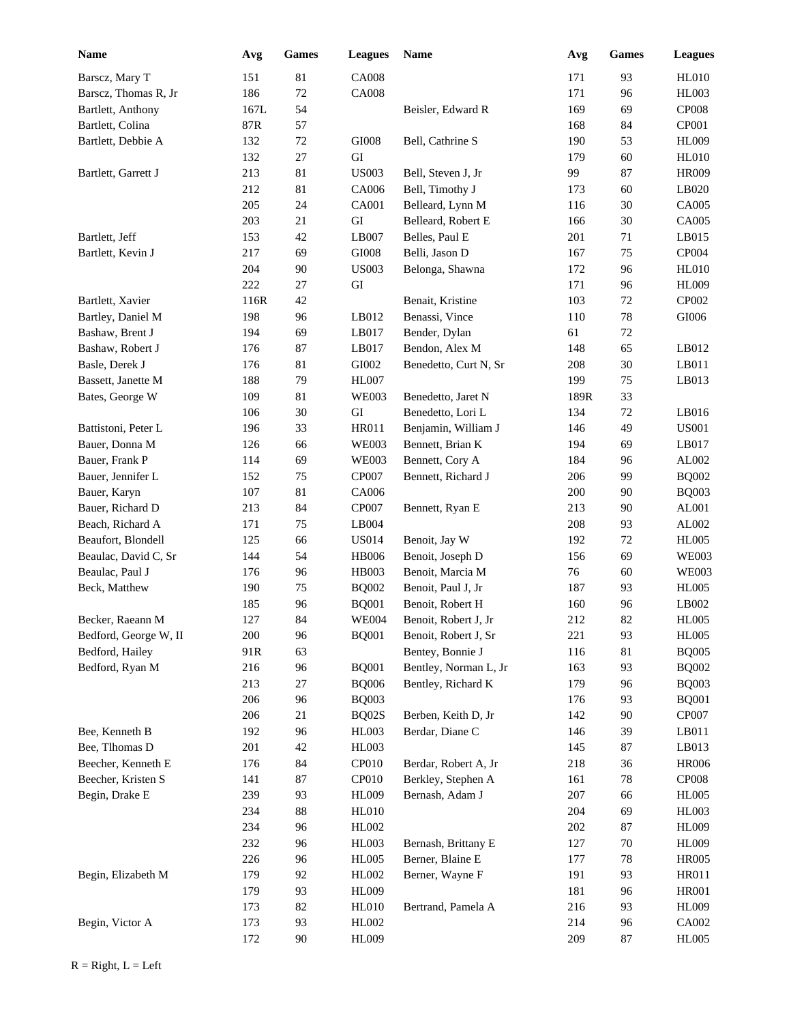| Name                  | Avg  | <b>Games</b> | <b>Leagues</b> | <b>Name</b>           | Avg  | <b>Games</b> | <b>Leagues</b> |
|-----------------------|------|--------------|----------------|-----------------------|------|--------------|----------------|
| Barscz, Mary T        | 151  | 81           | <b>CA008</b>   |                       | 171  | 93           | <b>HL010</b>   |
| Barscz, Thomas R, Jr  | 186  | $72\,$       | <b>CA008</b>   |                       | 171  | 96           | <b>HL003</b>   |
| Bartlett, Anthony     | 167L | 54           |                | Beisler, Edward R     | 169  | 69           | CP008          |
| Bartlett, Colina      | 87R  | 57           |                |                       | 168  | 84           | CP001          |
| Bartlett, Debbie A    | 132  | $72\,$       | $\rm GIO08$    | Bell, Cathrine S      | 190  | 53           | <b>HL009</b>   |
|                       | 132  | 27           | ${\rm GI}$     |                       | 179  | 60           | <b>HL010</b>   |
| Bartlett, Garrett J   | 213  | 81           | <b>US003</b>   | Bell, Steven J, Jr    | 99   | 87           | <b>HR009</b>   |
|                       | 212  | 81           | CA006          | Bell, Timothy J       | 173  | 60           | LB020          |
|                       | 205  | 24           | <b>CA001</b>   | Belleard, Lynn M      | 116  | 30           | CA005          |
|                       | 203  | 21           | GI             | Belleard, Robert E    | 166  | 30           | CA005          |
| Bartlett, Jeff        | 153  | 42           | LB007          | Belles, Paul E        | 201  | 71           | LB015          |
| Bartlett, Kevin J     | 217  | 69           | GI008          | Belli, Jason D        | 167  | 75           | CP004          |
|                       | 204  | 90           | <b>US003</b>   | Belonga, Shawna       | 172  | 96           | <b>HL010</b>   |
|                       | 222  | $27\,$       | GI             |                       | 171  | 96           | <b>HL009</b>   |
| Bartlett, Xavier      | 116R | 42           |                | Benait, Kristine      | 103  | 72           | CP002          |
| Bartley, Daniel M     | 198  | 96           | LB012          | Benassi, Vince        | 110  | 78           | $\rm GIO06$    |
| Bashaw, Brent J       | 194  | 69           | LB017          | Bender, Dylan         | 61   | 72           |                |
| Bashaw, Robert J      | 176  | 87           | LB017          | Bendon, Alex M        | 148  | 65           | LB012          |
| Basle, Derek J        | 176  | 81           | ${\rm GIO}02$  | Benedetto, Curt N, Sr | 208  | 30           | LB011          |
| Bassett, Janette M    | 188  | 79           | <b>HL007</b>   |                       | 199  | 75           | LB013          |
| Bates, George W       | 109  | 81           | <b>WE003</b>   | Benedetto, Jaret N    | 189R | 33           |                |
|                       | 106  | 30           | ${\rm GI}$     | Benedetto, Lori L     | 134  | 72           | LB016          |
| Battistoni, Peter L   | 196  | 33           | <b>HR011</b>   | Benjamin, William J   | 146  | 49           | <b>US001</b>   |
| Bauer, Donna M        | 126  | 66           | <b>WE003</b>   | Bennett, Brian K      | 194  | 69           | LB017          |
| Bauer, Frank P        | 114  | 69           | <b>WE003</b>   | Bennett, Cory A       | 184  | 96           | AL002          |
| Bauer, Jennifer L     | 152  | 75           | CP007          | Bennett, Richard J    | 206  | 99           | <b>BQ002</b>   |
| Bauer, Karyn          | 107  | 81           | CA006          |                       | 200  | 90           | <b>BQ003</b>   |
| Bauer, Richard D      | 213  | 84           | CP007          | Bennett, Ryan E       | 213  | 90           | AL001          |
| Beach, Richard A      | 171  | 75           | LB004          |                       | 208  | 93           | AL002          |
| Beaufort, Blondell    | 125  | 66           | <b>US014</b>   | Benoit, Jay W         | 192  | 72           | <b>HL005</b>   |
| Beaulac, David C, Sr  | 144  | 54           | <b>HB006</b>   | Benoit, Joseph D      | 156  | 69           | <b>WE003</b>   |
| Beaulac, Paul J       | 176  | 96           | <b>HB003</b>   | Benoit, Marcia M      | 76   | 60           | <b>WE003</b>   |
| Beck, Matthew         | 190  | 75           | <b>BQ002</b>   | Benoit, Paul J, Jr    | 187  | 93           | <b>HL005</b>   |
|                       | 185  | 96           | <b>BQ001</b>   | Benoit, Robert H      | 160  | 96           | LB002          |
| Becker, Raeann M      | 127  | 84           | <b>WE004</b>   | Benoit, Robert J, Jr  | 212  | 82           | <b>HL005</b>   |
| Bedford, George W, II | 200  | 96           | <b>BQ001</b>   | Benoit, Robert J, Sr  | 221  | 93           | <b>HL005</b>   |
| Bedford, Hailey       | 91R  | 63           |                | Bentey, Bonnie J      | 116  | $81\,$       | <b>BQ005</b>   |
| Bedford, Ryan M       | 216  | 96           | <b>BQ001</b>   | Bentley, Norman L, Jr | 163  | 93           | <b>BQ002</b>   |
|                       | 213  | $27\,$       | <b>BQ006</b>   | Bentley, Richard K    | 179  | 96           | <b>BQ003</b>   |
|                       | 206  | 96           | <b>BQ003</b>   |                       | 176  | 93           | <b>BQ001</b>   |
|                       | 206  | 21           | BQ02S          | Berben, Keith D, Jr   | 142  | 90           | CP007          |
| Bee, Kenneth B        | 192  | 96           | HL003          | Berdar, Diane C       | 146  | 39           | LB011          |
| Bee, Tlhomas D        | 201  | 42           | <b>HL003</b>   |                       | 145  | 87           | LB013          |
| Beecher, Kenneth E    | 176  | 84           | CP010          | Berdar, Robert A, Jr  | 218  | 36           | <b>HR006</b>   |
| Beecher, Kristen S    | 141  | 87           | CP010          | Berkley, Stephen A    | 161  | 78           | CP008          |
| Begin, Drake E        | 239  | 93           | HL009          | Bernash, Adam J       | 207  | 66           | <b>HL005</b>   |
|                       | 234  | 88           | HL010          |                       | 204  | 69           | HL003          |
|                       | 234  | 96           | HL002          |                       | 202  | 87           | <b>HL009</b>   |
|                       | 232  | 96           | HL003          | Bernash, Brittany E   | 127  | $70\,$       | <b>HL009</b>   |
|                       | 226  | 96           | HL005          | Berner, Blaine E      | 177  | 78           | <b>HR005</b>   |
| Begin, Elizabeth M    | 179  | 92           | HL002          | Berner, Wayne F       | 191  | 93           | HR011          |
|                       | 179  | 93           | <b>HL009</b>   |                       | 181  | 96           | <b>HR001</b>   |
|                       | 173  | 82           | <b>HL010</b>   | Bertrand, Pamela A    | 216  | 93           | <b>HL009</b>   |
| Begin, Victor A       | 173  | 93           | HL002          |                       | 214  | 96           | CA002          |
|                       | 172  | $90\,$       | HL009          |                       | 209  | $87\,$       | <b>HL005</b>   |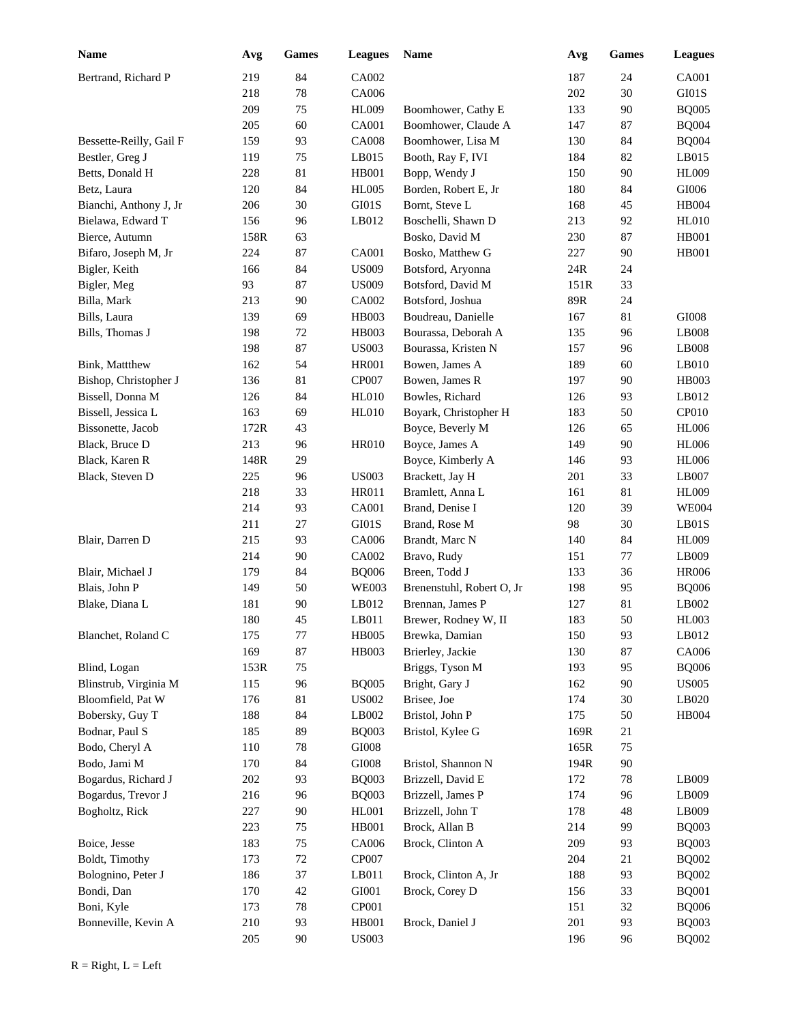| Name                    | Avg  | Games  | <b>Leagues</b> | Name                      | Avg  | <b>Games</b> | <b>Leagues</b> |
|-------------------------|------|--------|----------------|---------------------------|------|--------------|----------------|
| Bertrand, Richard P     | 219  | 84     | CA002          |                           | 187  | 24           | CA001          |
|                         | 218  | 78     | CA006          |                           | 202  | 30           | GI01S          |
|                         | 209  | 75     | <b>HL009</b>   | Boomhower, Cathy E        | 133  | 90           | <b>BQ005</b>   |
|                         | 205  | 60     | <b>CA001</b>   | Boomhower, Claude A       | 147  | 87           | <b>BQ004</b>   |
| Bessette-Reilly, Gail F | 159  | 93     | <b>CA008</b>   | Boomhower, Lisa M         | 130  | 84           | <b>BQ004</b>   |
| Bestler, Greg J         | 119  | 75     | LB015          | Booth, Ray F, IVI         | 184  | 82           | LB015          |
| Betts, Donald H         | 228  | 81     | <b>HB001</b>   | Bopp, Wendy J             | 150  | 90           | <b>HL009</b>   |
| Betz, Laura             | 120  | 84     | <b>HL005</b>   | Borden, Robert E, Jr      | 180  | 84           | $\rm GIO06$    |
| Bianchi, Anthony J, Jr  | 206  | 30     | GI01S          | Bornt, Steve L            | 168  | 45           | <b>HB004</b>   |
| Bielawa, Edward T       | 156  | 96     | LB012          | Boschelli, Shawn D        | 213  | 92           | <b>HL010</b>   |
| Bierce, Autumn          | 158R | 63     |                | Bosko, David M            | 230  | 87           | <b>HB001</b>   |
| Bifaro, Joseph M, Jr    | 224  | 87     | <b>CA001</b>   | Bosko, Matthew G          | 227  | 90           | <b>HB001</b>   |
| Bigler, Keith           | 166  | 84     | <b>US009</b>   | Botsford, Aryonna         | 24R  | 24           |                |
| Bigler, Meg             | 93   | 87     | <b>US009</b>   | Botsford, David M         | 151R | 33           |                |
| Billa, Mark             | 213  | 90     | CA002          | Botsford, Joshua          | 89R  | 24           |                |
| Bills, Laura            | 139  | 69     | HB003          | Boudreau, Danielle        | 167  | 81           | GI008          |
| Bills, Thomas J         | 198  | 72     | <b>HB003</b>   | Bourassa, Deborah A       | 135  | 96           | LB008          |
|                         | 198  | 87     | <b>US003</b>   | Bourassa, Kristen N       | 157  | 96           | LB008          |
| Bink, Mattthew          | 162  | 54     | <b>HR001</b>   | Bowen, James A            | 189  | 60           | LB010          |
| Bishop, Christopher J   | 136  | 81     | CP007          | Bowen, James R            | 197  | 90           | HB003          |
| Bissell, Donna M        | 126  | 84     | <b>HL010</b>   | Bowles, Richard           | 126  | 93           | LB012          |
| Bissell, Jessica L      | 163  | 69     | HL010          | Boyark, Christopher H     | 183  | 50           | <b>CP010</b>   |
| Bissonette, Jacob       | 172R | 43     |                | Boyce, Beverly M          | 126  | 65           | <b>HL006</b>   |
| Black, Bruce D          | 213  | 96     | HR010          | Boyce, James A            | 149  | 90           | <b>HL006</b>   |
| Black, Karen R          | 148R | 29     |                | Boyce, Kimberly A         | 146  | 93           | <b>HL006</b>   |
| Black, Steven D         | 225  | 96     | <b>US003</b>   | Brackett, Jay H           | 201  | 33           | LB007          |
|                         | 218  | 33     | <b>HR011</b>   | Bramlett, Anna L          | 161  | 81           | <b>HL009</b>   |
|                         | 214  | 93     | <b>CA001</b>   | Brand, Denise I           | 120  | 39           | <b>WE004</b>   |
|                         | 211  | 27     | GI01S          | Brand, Rose M             | 98   | 30           | LBO1S          |
| Blair, Darren D         | 215  | 93     | CA006          | Brandt, Marc N            | 140  | 84           | <b>HL009</b>   |
|                         | 214  | 90     | CA002          | Bravo, Rudy               | 151  | 77           | LB009          |
| Blair, Michael J        | 179  | 84     | <b>BQ006</b>   | Breen, Todd J             | 133  | 36           | <b>HR006</b>   |
| Blais, John P           | 149  | 50     | <b>WE003</b>   | Brenenstuhl, Robert O, Jr | 198  | 95           | <b>BQ006</b>   |
| Blake, Diana L          | 181  | 90     | LB012          | Brennan, James P          | 127  | 81           | LB002          |
|                         | 180  | 45     | LB011          | Brewer, Rodney W, II      | 183  | 50           | HL003          |
| Blanchet, Roland C      | 175  | 77     | <b>HB005</b>   | Brewka, Damian            | 150  | 93           | LB012          |
|                         | 169  | 87     | HB003          | Brierley, Jackie          | 130  | 87           | CA006          |
| Blind, Logan            | 153R | 75     |                | Briggs, Tyson M           | 193  | 95           | <b>BQ006</b>   |
| Blinstrub, Virginia M   | 115  | 96     | <b>BQ005</b>   | Bright, Gary J            | 162  | 90           | <b>US005</b>   |
| Bloomfield, Pat W       | 176  | 81     | <b>US002</b>   | Brisee, Joe               | 174  | 30           | LB020          |
| Bobersky, Guy T         | 188  | 84     | LB002          | Bristol, John P           | 175  | 50           | <b>HB004</b>   |
| Bodnar, Paul S          | 185  | 89     | <b>BQ003</b>   | Bristol, Kylee G          | 169R | 21           |                |
| Bodo, Cheryl A          | 110  | 78     | GI008          |                           | 165R | 75           |                |
| Bodo, Jami M            | 170  | 84     | $\rm GIO08$    | Bristol, Shannon N        | 194R | 90           |                |
| Bogardus, Richard J     | 202  | 93     | <b>BQ003</b>   | Brizzell, David E         | 172  | 78           | LB009          |
| Bogardus, Trevor J      | 216  | 96     | <b>BQ003</b>   | Brizzell, James P         | 174  | 96           | LB009          |
| Bogholtz, Rick          | 227  | 90     | HL001          | Brizzell, John T          | 178  | 48           | LB009          |
|                         | 223  | 75     | <b>HB001</b>   | Brock, Allan B            | 214  | 99           | <b>BQ003</b>   |
| Boice, Jesse            | 183  | $75\,$ | CA006          | Brock, Clinton A          | 209  | 93           | <b>BQ003</b>   |
| Boldt, Timothy          | 173  | $72\,$ | CP007          |                           | 204  | $21\,$       | <b>BQ002</b>   |
| Bolognino, Peter J      | 186  | 37     | LB011          | Brock, Clinton A, Jr      | 188  | 93           | <b>BQ002</b>   |
| Bondi, Dan              | 170  | 42     | GI001          | Brock, Corey D            | 156  | 33           | <b>BQ001</b>   |
| Boni, Kyle              | 173  | 78     | CP001          |                           | 151  | 32           | <b>BQ006</b>   |
| Bonneville, Kevin A     | 210  | 93     | <b>HB001</b>   | Brock, Daniel J           | 201  | 93           | <b>BQ003</b>   |
|                         | 205  | 90     | <b>US003</b>   |                           | 196  | 96           | <b>BQ002</b>   |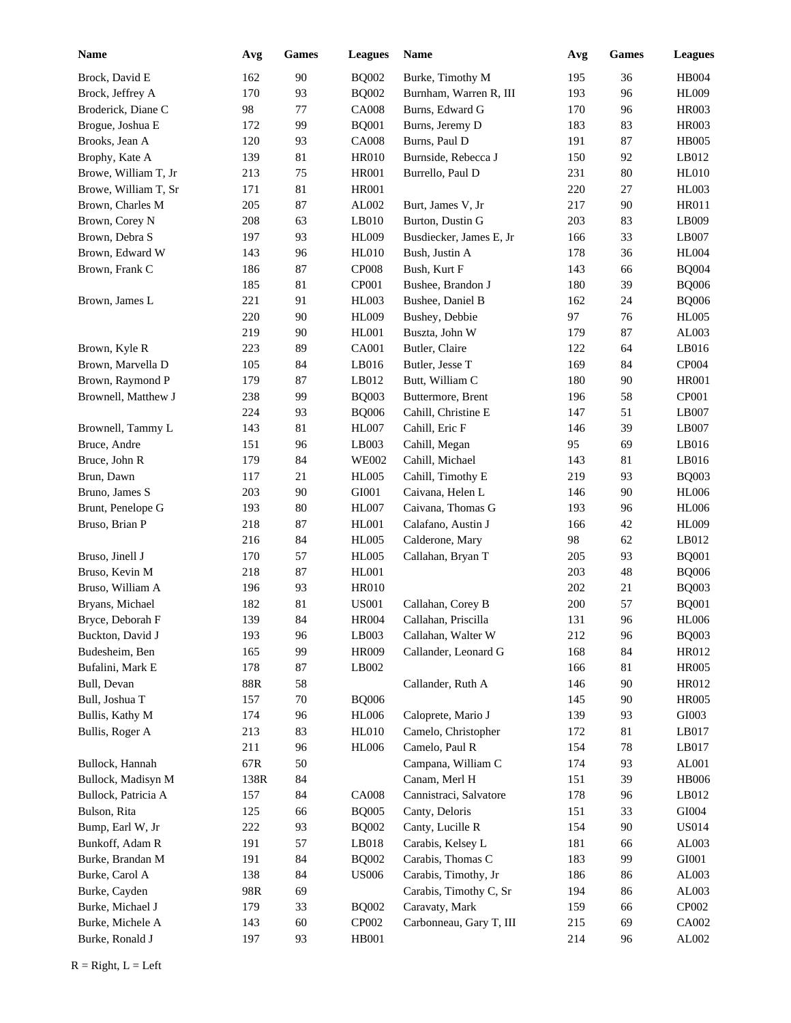| <b>Name</b>          | Avg  | Games  | <b>Leagues</b>    | <b>Name</b>             | Avg     | Games  | <b>Leagues</b> |
|----------------------|------|--------|-------------------|-------------------------|---------|--------|----------------|
| Brock, David E       | 162  | 90     | <b>BQ002</b>      | Burke, Timothy M        | 195     | 36     | <b>HB004</b>   |
| Brock, Jeffrey A     | 170  | 93     | <b>BQ002</b>      | Burnham, Warren R, III  | 193     | 96     | <b>HL009</b>   |
| Broderick, Diane C   | 98   | 77     | <b>CA008</b>      | Burns, Edward G         | 170     | 96     | <b>HR003</b>   |
| Brogue, Joshua E     | 172  | 99     | <b>BQ001</b>      | Burns, Jeremy D         | 183     | 83     | <b>HR003</b>   |
| Brooks, Jean A       | 120  | 93     | <b>CA008</b>      | Burns, Paul D           | 191     | 87     | <b>HB005</b>   |
| Brophy, Kate A       | 139  | 81     | <b>HR010</b>      | Burnside, Rebecca J     | 150     | 92     | LB012          |
| Browe, William T, Jr | 213  | 75     | <b>HR001</b>      | Burrello, Paul D        | 231     | $80\,$ | <b>HL010</b>   |
| Browe, William T, Sr | 171  | 81     | <b>HR001</b>      |                         | 220     | 27     | <b>HL003</b>   |
| Brown, Charles M     | 205  | 87     | AL002             | Burt, James V, Jr       | 217     | 90     | <b>HR011</b>   |
| Brown, Corey N       | 208  | 63     | LB010             | Burton, Dustin G        | 203     | 83     | LB009          |
| Brown, Debra S       | 197  | 93     | <b>HL009</b>      | Busdiecker, James E, Jr | 166     | 33     | LB007          |
| Brown, Edward W      | 143  | 96     | HL010             | Bush, Justin A          | 178     | 36     | <b>HL004</b>   |
| Brown, Frank C       | 186  | 87     | CP <sub>008</sub> | Bush, Kurt F            | 143     | 66     | <b>BQ004</b>   |
|                      | 185  | 81     | CP001             | Bushee, Brandon J       | 180     | 39     | <b>BQ006</b>   |
| Brown, James L       | 221  | 91     | <b>HL003</b>      | Bushee, Daniel B        | 162     | 24     | <b>BQ006</b>   |
|                      | 220  | 90     | <b>HL009</b>      | Bushey, Debbie          | 97      | 76     | <b>HL005</b>   |
|                      | 219  | 90     | <b>HL001</b>      | Buszta, John W          | 179     | 87     | AL003          |
| Brown, Kyle R        | 223  | 89     | <b>CA001</b>      | Butler, Claire          | 122     | 64     | LB016          |
| Brown, Marvella D    | 105  | 84     | LB016             | Butler, Jesse T         | 169     | 84     | CP004          |
| Brown, Raymond P     | 179  | 87     | LB012             | Butt, William C         | 180     | 90     | <b>HR001</b>   |
| Brownell, Matthew J  | 238  | 99     | <b>BQ003</b>      | Buttermore, Brent       | 196     | 58     | CP001          |
|                      | 224  | 93     | <b>BQ006</b>      | Cahill, Christine E     | 147     | 51     | LB007          |
| Brownell, Tammy L    | 143  | 81     | <b>HL007</b>      | Cahill, Eric F          | 146     | 39     | LB007          |
| Bruce, Andre         | 151  | 96     | LB003             | Cahill, Megan           | 95      | 69     | LB016          |
| Bruce, John R        | 179  | 84     | <b>WE002</b>      | Cahill, Michael         | 143     | 81     | LB016          |
| Brun, Dawn           | 117  | 21     | <b>HL005</b>      | Cahill, Timothy E       | 219     | 93     | <b>BQ003</b>   |
| Bruno, James S       | 203  | 90     | GI001             | Caivana, Helen L        | 146     | 90     | <b>HL006</b>   |
| Brunt, Penelope G    | 193  | 80     | <b>HL007</b>      | Caivana, Thomas G       | 193     | 96     | <b>HL006</b>   |
| Bruso, Brian P       | 218  | 87     | <b>HL001</b>      | Calafano, Austin J      | 166     | 42     | <b>HL009</b>   |
|                      | 216  | 84     | <b>HL005</b>      | Calderone, Mary         | 98      | 62     | LB012          |
| Bruso, Jinell J      | 170  | 57     | <b>HL005</b>      | Callahan, Bryan T       | 205     | 93     | <b>BQ001</b>   |
| Bruso, Kevin M       | 218  | 87     | <b>HL001</b>      |                         | 203     | 48     | <b>BQ006</b>   |
| Bruso, William A     | 196  | 93     | <b>HR010</b>      |                         | $202\,$ | 21     | <b>BQ003</b>   |
| Bryans, Michael      | 182  | 81     | <b>US001</b>      | Callahan, Corey B       | 200     | 57     | <b>BQ001</b>   |
| Bryce, Deborah F     | 139  | 84     | <b>HR004</b>      | Callahan, Priscilla     | 131     | 96     | <b>HL006</b>   |
| Buckton, David J     | 193  | 96     | LB003             | Callahan, Walter W      | 212     | 96     | <b>BQ003</b>   |
| Budesheim, Ben       | 165  | 99     | <b>HR009</b>      | Callander, Leonard G    | 168     | 84     | HR012          |
| Bufalini, Mark E     | 178  | $87\,$ | LB002             |                         | 166     | 81     | <b>HR005</b>   |
| Bull, Devan          | 88R  | 58     |                   | Callander, Ruth A       | 146     | 90     | HR012          |
| Bull, Joshua T       | 157  | $70\,$ | <b>BQ006</b>      |                         | 145     | 90     | <b>HR005</b>   |
| Bullis, Kathy M      | 174  | 96     | <b>HL006</b>      | Caloprete, Mario J      | 139     | 93     | GI003          |
| Bullis, Roger A      | 213  | 83     | HL010             | Camelo, Christopher     | 172     | 81     | LB017          |
|                      | 211  | 96     | <b>HL006</b>      | Camelo, Paul R          | 154     | 78     | LB017          |
| Bullock, Hannah      | 67R  | 50     |                   | Campana, William C      | 174     | 93     | AL001          |
| Bullock, Madisyn M   | 138R | 84     |                   | Canam, Merl H           | 151     | 39     | <b>HB006</b>   |
| Bullock, Patricia A  | 157  | 84     | <b>CA008</b>      | Cannistraci, Salvatore  | 178     | 96     | LB012          |
| Bulson, Rita         | 125  | 66     | <b>BQ005</b>      | Canty, Deloris          | 151     | 33     | ${\rm GIO}04$  |
| Bump, Earl W, Jr     | 222  | 93     | <b>BQ002</b>      | Canty, Lucille R        | 154     | 90     | <b>US014</b>   |
| Bunkoff, Adam R      | 191  | 57     | L B018            | Carabis, Kelsey L       | 181     | 66     | AL003          |
| Burke, Brandan M     | 191  | 84     | <b>BQ002</b>      | Carabis, Thomas C       | 183     | 99     | GI001          |
| Burke, Carol A       | 138  | 84     | <b>US006</b>      | Carabis, Timothy, Jr    | 186     | 86     | AL003          |
| Burke, Cayden        | 98R  | 69     |                   | Carabis, Timothy C, Sr  | 194     | 86     | AL003          |
| Burke, Michael J     | 179  | 33     | <b>BQ002</b>      | Caravaty, Mark          | 159     | 66     | CP002          |
| Burke, Michele A     | 143  | 60     | CP002             | Carbonneau, Gary T, III | 215     | 69     | CA002          |
| Burke, Ronald J      | 197  | 93     | HB001             |                         | 214     | 96     | ${\rm AL}002$  |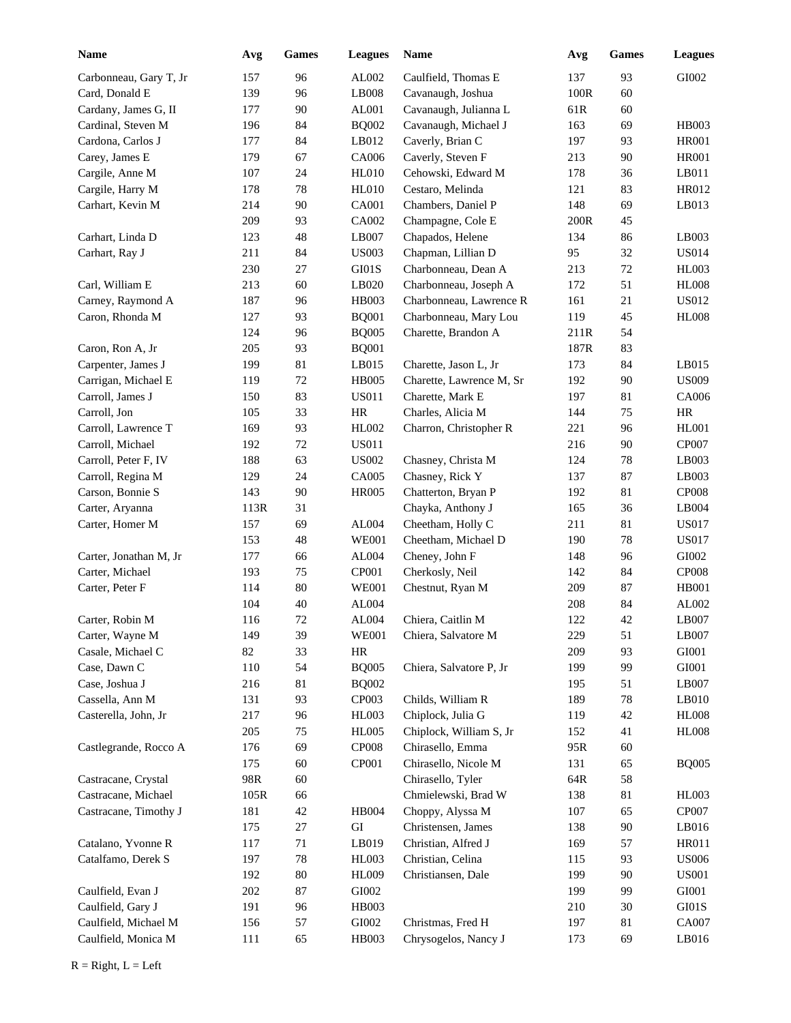| <b>Name</b>            | Avg  | Games  | <b>Leagues</b> | Name                     | Avg  | <b>Games</b> | <b>Leagues</b> |
|------------------------|------|--------|----------------|--------------------------|------|--------------|----------------|
| Carbonneau, Gary T, Jr | 157  | 96     | AL002          | Caulfield, Thomas E      | 137  | 93           | GI002          |
| Card, Donald E         | 139  | 96     | LB008          | Cavanaugh, Joshua        | 100R | 60           |                |
| Cardany, James G, II   | 177  | 90     | AL001          | Cavanaugh, Julianna L    | 61R  | 60           |                |
| Cardinal, Steven M     | 196  | 84     | <b>BQ002</b>   | Cavanaugh, Michael J     | 163  | 69           | <b>HB003</b>   |
| Cardona, Carlos J      | 177  | 84     | LB012          | Caverly, Brian C         | 197  | 93           | <b>HR001</b>   |
| Carey, James E         | 179  | 67     | CA006          | Caverly, Steven F        | 213  | 90           | <b>HR001</b>   |
| Cargile, Anne M        | 107  | 24     | <b>HL010</b>   | Cehowski, Edward M       | 178  | 36           | LB011          |
| Cargile, Harry M       | 178  | 78     | <b>HL010</b>   | Cestaro, Melinda         | 121  | 83           | HR012          |
| Carhart, Kevin M       | 214  | 90     | CA001          | Chambers, Daniel P       | 148  | 69           | LB013          |
|                        | 209  | 93     | CA002          | Champagne, Cole E        | 200R | 45           |                |
| Carhart, Linda D       | 123  | 48     | LB007          | Chapados, Helene         | 134  | 86           | LB003          |
| Carhart, Ray J         | 211  | 84     | <b>US003</b>   | Chapman, Lillian D       | 95   | 32           | <b>US014</b>   |
|                        | 230  | 27     | GI01S          | Charbonneau, Dean A      | 213  | $72\,$       | <b>HL003</b>   |
| Carl, William E        | 213  | 60     | LB020          | Charbonneau, Joseph A    | 172  | 51           | <b>HL008</b>   |
| Carney, Raymond A      | 187  | 96     | HB003          | Charbonneau, Lawrence R  | 161  | 21           | <b>US012</b>   |
| Caron, Rhonda M        | 127  | 93     | <b>BQ001</b>   | Charbonneau, Mary Lou    | 119  | 45           | <b>HL008</b>   |
|                        | 124  | 96     | <b>BQ005</b>   | Charette, Brandon A      | 211R | 54           |                |
| Caron, Ron A, Jr       | 205  | 93     | <b>BQ001</b>   |                          | 187R | 83           |                |
| Carpenter, James J     | 199  | 81     | LB015          | Charette, Jason L, Jr    | 173  | 84           | LB015          |
| Carrigan, Michael E    | 119  | 72     | <b>HB005</b>   | Charette, Lawrence M, Sr | 192  | 90           | <b>US009</b>   |
| Carroll, James J       | 150  | 83     | <b>US011</b>   | Charette, Mark E         | 197  | 81           | CA006          |
| Carroll, Jon           | 105  | 33     | $\rm{HR}$      | Charles, Alicia M        | 144  | 75           | HR             |
| Carroll, Lawrence T    | 169  | 93     | HL002          | Charron, Christopher R   | 221  | 96           | <b>HL001</b>   |
| Carroll, Michael       | 192  | 72     | <b>US011</b>   |                          | 216  | 90           | CP007          |
| Carroll, Peter F, IV   | 188  | 63     | <b>US002</b>   | Chasney, Christa M       | 124  | 78           | LB003          |
| Carroll, Regina M      | 129  | 24     | CA005          | Chasney, Rick Y          | 137  | 87           | LB003          |
| Carson, Bonnie S       | 143  | 90     | <b>HR005</b>   | Chatterton, Bryan P      | 192  | 81           | <b>CP008</b>   |
| Carter, Aryanna        | 113R | 31     |                | Chayka, Anthony J        | 165  | 36           | LB004          |
| Carter, Homer M        | 157  | 69     | AL004          | Cheetham, Holly C        | 211  | 81           | <b>US017</b>   |
|                        | 153  | 48     | <b>WE001</b>   | Cheetham, Michael D      | 190  | $78\,$       | <b>US017</b>   |
| Carter, Jonathan M, Jr | 177  | 66     | AL004          | Cheney, John F           | 148  | 96           | GI002          |
| Carter, Michael        | 193  | 75     | CP001          | Cherkosly, Neil          | 142  | 84           | <b>CP008</b>   |
| Carter, Peter F        | 114  | $80\,$ | <b>WE001</b>   | Chestnut, Ryan M         | 209  | 87           | <b>HB001</b>   |
|                        | 104  | 40     | AL004          |                          | 208  | 84           | AL002          |
| Carter, Robin M        | 116  | 72     | AL004          | Chiera, Caitlin M        | 122  | 42           | LB007          |
| Carter, Wayne M        | 149  | 39     | <b>WE001</b>   | Chiera, Salvatore M      | 229  | 51           | LB007          |
| Casale, Michael C      | 82   | 33     | $\rm{HR}$      |                          | 209  | 93           | ${\rm GIO}01$  |
| Case, Dawn C           | 110  | 54     | <b>BQ005</b>   | Chiera, Salvatore P, Jr  | 199  | 99           | ${\rm GIO}01$  |
| Case, Joshua J         | 216  | 81     | <b>BQ002</b>   |                          | 195  | 51           | LB007          |
| Cassella, Ann M        | 131  | 93     | CP003          | Childs, William R        | 189  | $78\,$       | $L$ B010       |
| Casterella, John, Jr   | 217  | 96     | <b>HL003</b>   | Chiplock, Julia G        | 119  | 42           | ${\rm HLO}08$  |
|                        | 205  | 75     | <b>HL005</b>   | Chiplock, William S, Jr  | 152  | 41           | <b>HL008</b>   |
| Castlegrande, Rocco A  | 176  | 69     | <b>CP008</b>   | Chirasello, Emma         | 95R  | 60           |                |
|                        | 175  | 60     | CP001          | Chirasello, Nicole M     | 131  | 65           | <b>BQ005</b>   |
| Castracane, Crystal    | 98R  | 60     |                | Chirasello, Tyler        | 64R  | 58           |                |
| Castracane, Michael    | 105R | 66     |                | Chmielewski, Brad W      | 138  | 81           | HL003          |
| Castracane, Timothy J  | 181  | 42     | <b>HB004</b>   | Choppy, Alyssa M         | 107  | 65           | CP007          |
|                        | 175  | $27\,$ | ${\rm GI}$     | Christensen, James       | 138  | 90           | LB016          |
| Catalano, Yvonne R     | 117  | 71     | LB019          | Christian, Alfred J      | 169  | 57           | HR011          |
| Catalfamo, Derek S     | 197  | 78     | HL003          | Christian, Celina        | 115  | 93           | <b>US006</b>   |
|                        | 192  | 80     | <b>HL009</b>   | Christiansen, Dale       | 199  | 90           | <b>US001</b>   |
| Caulfield, Evan J      | 202  | 87     | GI002          |                          | 199  | 99           | GI001          |
| Caulfield, Gary J      | 191  | 96     | HB003          |                          | 210  | $30\,$       | GI01S          |
| Caulfield, Michael M   | 156  | 57     | GI002          | Christmas, Fred H        | 197  | 81           | CA007          |
| Caulfield, Monica M    | 111  | 65     | HB003          | Chrysogelos, Nancy J     | 173  | 69           | LB016          |
|                        |      |        |                |                          |      |              |                |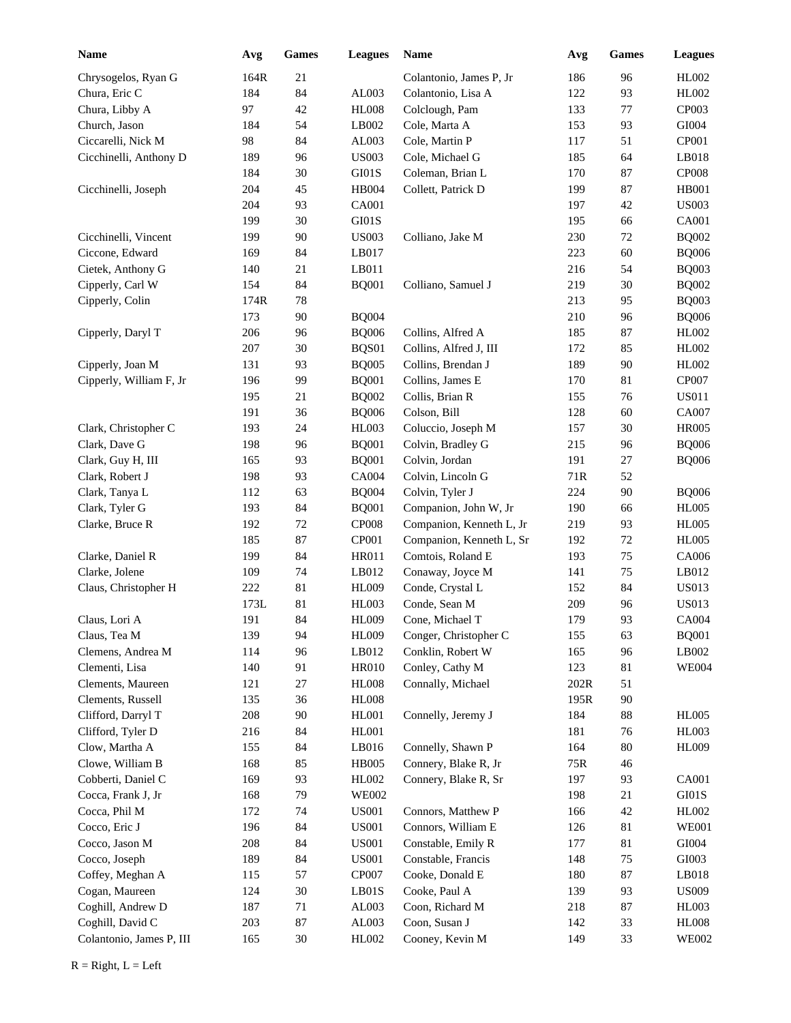| Name                     | Avg  | Games  | <b>Leagues</b> | Name                     | Avg             | <b>Games</b> | <b>Leagues</b> |
|--------------------------|------|--------|----------------|--------------------------|-----------------|--------------|----------------|
| Chrysogelos, Ryan G      | 164R | 21     |                | Colantonio, James P, Jr  | 186             | 96           | HL002          |
| Chura, Eric C            | 184  | 84     | AL003          | Colantonio, Lisa A       | 122             | 93           | <b>HL002</b>   |
| Chura, Libby A           | 97   | 42     | <b>HL008</b>   | Colclough, Pam           | 133             | 77           | CP003          |
| Church, Jason            | 184  | 54     | LB002          | Cole, Marta A            | 153             | 93           | ${\rm GIO}04$  |
| Ciccarelli, Nick M       | 98   | 84     | AL003          | Cole, Martin P           | 117             | 51           | <b>CP001</b>   |
| Cicchinelli, Anthony D   | 189  | 96     | <b>US003</b>   | Cole, Michael G          | 185             | 64           | LB018          |
|                          | 184  | 30     | GI01S          | Coleman, Brian L         | 170             | 87           | <b>CP008</b>   |
| Cicchinelli, Joseph      | 204  | 45     | <b>HB004</b>   | Collett, Patrick D       | 199             | 87           | <b>HB001</b>   |
|                          | 204  | 93     | CA001          |                          | 197             | 42           | <b>US003</b>   |
|                          | 199  | 30     | GI01S          |                          | 195             | 66           | CA001          |
| Cicchinelli, Vincent     | 199  | $90\,$ | <b>US003</b>   | Colliano, Jake M         | 230             | $72\,$       | <b>BQ002</b>   |
| Ciccone, Edward          | 169  | 84     | LB017          |                          | 223             | 60           | <b>BQ006</b>   |
| Cietek, Anthony G        | 140  | 21     | LB011          |                          | 216             | 54           | <b>BQ003</b>   |
| Cipperly, Carl W         | 154  | 84     | <b>BQ001</b>   | Colliano, Samuel J       | 219             | 30           | <b>BQ002</b>   |
| Cipperly, Colin          | 174R | 78     |                |                          | 213             | 95           | <b>BQ003</b>   |
|                          | 173  | 90     | <b>BQ004</b>   |                          | 210             | 96           | <b>BQ006</b>   |
| Cipperly, Daryl T        | 206  | 96     | <b>BQ006</b>   | Collins, Alfred A        | 185             | 87           | HL002          |
|                          | 207  | 30     | BQS01          | Collins, Alfred J, III   | 172             | 85           | HL002          |
| Cipperly, Joan M         | 131  | 93     | <b>BQ005</b>   | Collins, Brendan J       | 189             | 90           | HL002          |
| Cipperly, William F, Jr  | 196  | 99     | <b>BQ001</b>   | Collins, James E         | 170             | 81           | CP007          |
|                          | 195  | 21     | <b>BQ002</b>   | Collis, Brian R          | 155             | 76           | <b>US011</b>   |
|                          | 191  | 36     | <b>BQ006</b>   | Colson, Bill             | 128             | 60           | CA007          |
| Clark, Christopher C     | 193  | 24     | <b>HL003</b>   | Coluccio, Joseph M       | 157             | 30           | <b>HR005</b>   |
| Clark, Dave G            | 198  | 96     | <b>BQ001</b>   | Colvin, Bradley G        | 215             | 96           | <b>BQ006</b>   |
| Clark, Guy H, III        | 165  | 93     | <b>BQ001</b>   | Colvin, Jordan           | 191             | $27\,$       | <b>BQ006</b>   |
| Clark, Robert J          | 198  | 93     | CA004          | Colvin, Lincoln G        | 71R             | 52           |                |
| Clark, Tanya L           | 112  | 63     | <b>BQ004</b>   | Colvin, Tyler J          | 224             | 90           | <b>BQ006</b>   |
| Clark, Tyler G           | 193  | 84     | <b>BQ001</b>   | Companion, John W, Jr    | 190             | 66           | <b>HL005</b>   |
| Clarke, Bruce R          | 192  | $72\,$ | CP008          | Companion, Kenneth L, Jr | 219             | 93           | <b>HL005</b>   |
|                          | 185  | 87     | CP001          | Companion, Kenneth L, Sr | 192             | $72\,$       | <b>HL005</b>   |
| Clarke, Daniel R         | 199  | 84     | <b>HR011</b>   | Comtois, Roland E        | 193             | 75           | CA006          |
| Clarke, Jolene           | 109  | 74     | LB012          | Conaway, Joyce M         | 141             | 75           | LB012          |
| Claus, Christopher H     | 222  | 81     | <b>HL009</b>   | Conde, Crystal L         | 152             | 84           | <b>US013</b>   |
|                          | 173L | 81     | <b>HL003</b>   | Conde, Sean M            | 209             | 96           | <b>US013</b>   |
| Claus, Lori A            | 191  | 84     | <b>HL009</b>   | Cone, Michael T          | 179             | 93           | CA004          |
| Claus, Tea M             | 139  | 94     | <b>HL009</b>   | Conger, Christopher C    | 155             | 63           | <b>BQ001</b>   |
| Clemens, Andrea M        | 114  | 96     | LB012          | Conklin, Robert W        | 165             | 96           | LB002          |
| Clementi, Lisa           | 140  | 91     | <b>HR010</b>   | Conley, Cathy M          | 123             | 81           | <b>WE004</b>   |
| Clements, Maureen        | 121  | 27     | <b>HL008</b>   | Connally, Michael        | $202\mathrm{R}$ | 51           |                |
| Clements, Russell        | 135  | 36     | <b>HL008</b>   |                          | 195R            | 90           |                |
| Clifford, Darryl T       | 208  | $90\,$ | HL001          | Connelly, Jeremy J       | 184             | 88           | <b>HL005</b>   |
| Clifford, Tyler D        | 216  | 84     | HL001          |                          | 181             | 76           | HL003          |
| Clow, Martha A           | 155  | 84     | LB016          | Connelly, Shawn P        | 164             | 80           | <b>HL009</b>   |
| Clowe, William B         | 168  | 85     | <b>HB005</b>   | Connery, Blake R, Jr     | 75R             | 46           |                |
| Cobberti, Daniel C       | 169  | 93     | HL002          | Connery, Blake R, Sr     | 197             | 93           | <b>CA001</b>   |
| Cocca, Frank J, Jr       | 168  | 79     | WE002          |                          | 198             | $21\,$       | $\rm GI01S$    |
| Cocca, Phil M            | 172  | 74     | <b>US001</b>   | Connors, Matthew P       | 166             | 42           | HL002          |
| Cocco, Eric J            | 196  | 84     | <b>US001</b>   | Connors, William E       | 126             | 81           | <b>WE001</b>   |
| Cocco, Jason M           | 208  | 84     | <b>US001</b>   | Constable, Emily R       | 177             | 81           | ${\rm GIO}04$  |
| Cocco, Joseph            | 189  | 84     | <b>US001</b>   | Constable, Francis       | 148             | 75           | GI003          |
| Coffey, Meghan A         | 115  | 57     | CP007          | Cooke, Donald E          | 180             | 87           | LB018          |
| Cogan, Maureen           | 124  | $30\,$ | LB01S          | Cooke, Paul A            | 139             | 93           | <b>US009</b>   |
| Coghill, Andrew D        | 187  | 71     | AL003          | Coon, Richard M          | 218             | 87           | HL003          |
| Coghill, David C         | 203  | 87     | AL003          | Coon, Susan J            | 142             | 33           | ${\rm HLO}08$  |
| Colantonio, James P, III | 165  | 30     | HL002          | Cooney, Kevin M          | 149             | 33           | <b>WE002</b>   |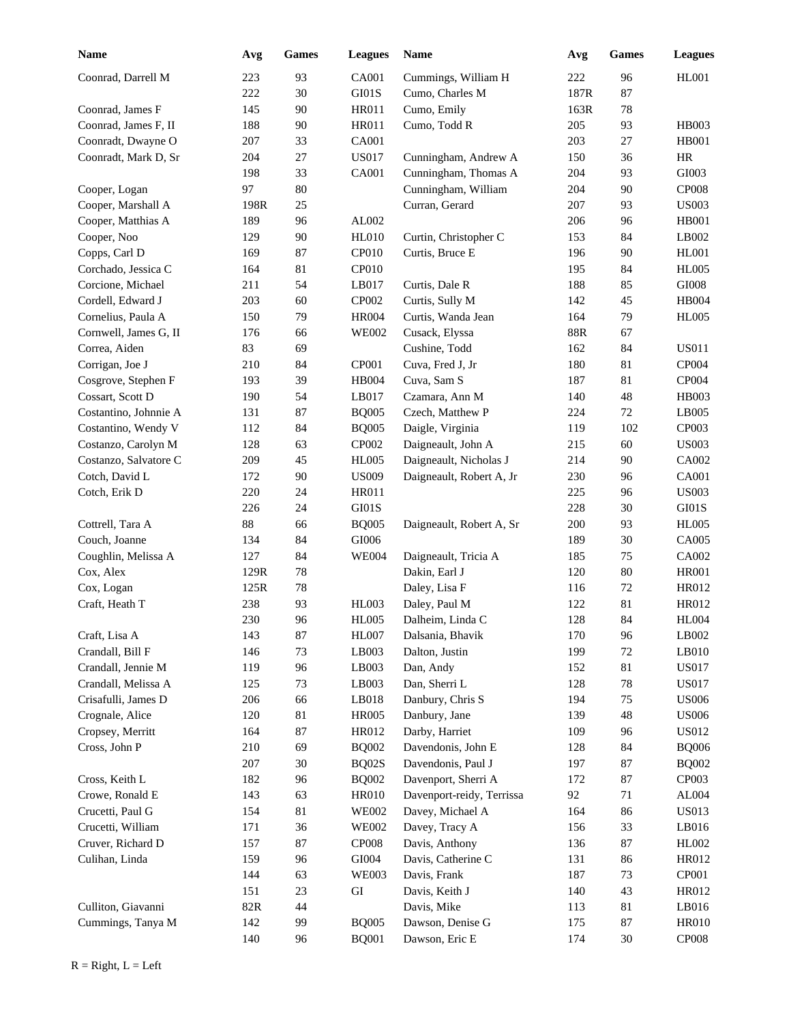| <b>Name</b>           | Avg  | <b>Games</b> | <b>Leagues</b>    | Name                      | Avg  | Games  | <b>Leagues</b> |
|-----------------------|------|--------------|-------------------|---------------------------|------|--------|----------------|
| Coonrad, Darrell M    | 223  | 93           | <b>CA001</b>      | Cummings, William H       | 222  | 96     | <b>HL001</b>   |
|                       | 222  | 30           | GI01S             | Cumo, Charles M           | 187R | 87     |                |
| Coonrad, James F      | 145  | 90           | <b>HR011</b>      | Cumo, Emily               | 163R | 78     |                |
| Coonrad, James F, II  | 188  | 90           | <b>HR011</b>      | Cumo, Todd R              | 205  | 93     | <b>HB003</b>   |
| Coonradt, Dwayne O    | 207  | 33           | <b>CA001</b>      |                           | 203  | 27     | <b>HB001</b>   |
| Coonradt, Mark D, Sr  | 204  | 27           | <b>US017</b>      | Cunningham, Andrew A      | 150  | 36     | <b>HR</b>      |
|                       | 198  | 33           | <b>CA001</b>      | Cunningham, Thomas A      | 204  | 93     | GI003          |
| Cooper, Logan         | 97   | 80           |                   | Cunningham, William       | 204  | 90     | <b>CP008</b>   |
| Cooper, Marshall A    | 198R | 25           |                   | Curran, Gerard            | 207  | 93     | <b>US003</b>   |
| Cooper, Matthias A    | 189  | 96           | AL002             |                           | 206  | 96     | <b>HB001</b>   |
| Cooper, Noo           | 129  | 90           | <b>HL010</b>      | Curtin, Christopher C     | 153  | 84     | LB002          |
| Copps, Carl D         | 169  | 87           | CP <sub>010</sub> | Curtis, Bruce E           | 196  | 90     | <b>HL001</b>   |
| Corchado, Jessica C   | 164  | 81           | CP <sub>010</sub> |                           | 195  | 84     | <b>HL005</b>   |
| Corcione, Michael     | 211  | 54           | LB017             | Curtis, Dale R            | 188  | 85     | $\rm GIO08$    |
| Cordell, Edward J     | 203  | 60           | CP002             | Curtis, Sully M           | 142  | 45     | HB004          |
| Cornelius, Paula A    | 150  | 79           | <b>HR004</b>      | Curtis, Wanda Jean        | 164  | 79     | <b>HL005</b>   |
| Cornwell, James G, II | 176  | 66           | <b>WE002</b>      | Cusack, Elyssa            | 88R  | 67     |                |
| Correa, Aiden         | 83   | 69           |                   | Cushine, Todd             | 162  | 84     | <b>US011</b>   |
| Corrigan, Joe J       | 210  | 84           | CP001             | Cuva, Fred J, Jr          | 180  | 81     | CP004          |
| Cosgrove, Stephen F   | 193  | 39           | <b>HB004</b>      | Cuva, Sam S               | 187  | 81     | CP004          |
| Cossart, Scott D      | 190  | 54           | LB017             | Czamara, Ann M            | 140  | 48     | <b>HB003</b>   |
| Costantino, Johnnie A | 131  | 87           | <b>BQ005</b>      | Czech, Matthew P          | 224  | 72     | LB005          |
| Costantino, Wendy V   | 112  | 84           | <b>BQ005</b>      | Daigle, Virginia          | 119  | 102    | CP003          |
| Costanzo, Carolyn M   | 128  | 63           | CP002             | Daigneault, John A        | 215  | 60     | <b>US003</b>   |
| Costanzo, Salvatore C | 209  | 45           | <b>HL005</b>      | Daigneault, Nicholas J    | 214  | 90     | CA002          |
| Cotch, David L        | 172  | 90           | <b>US009</b>      | Daigneault, Robert A, Jr  | 230  | 96     | <b>CA001</b>   |
| Cotch, Erik D         | 220  | 24           | <b>HR011</b>      |                           | 225  | 96     | <b>US003</b>   |
|                       | 226  | 24           | GI01S             |                           | 228  | 30     | GI01S          |
| Cottrell, Tara A      | 88   | 66           | <b>BQ005</b>      | Daigneault, Robert A, Sr  | 200  | 93     | <b>HL005</b>   |
| Couch, Joanne         | 134  | 84           | GI006             |                           | 189  | 30     | CA005          |
| Coughlin, Melissa A   | 127  | 84           | <b>WE004</b>      | Daigneault, Tricia A      | 185  | 75     | CA002          |
| Cox, Alex             | 129R | 78           |                   | Dakin, Earl J             | 120  | $80\,$ | <b>HR001</b>   |
| Cox, Logan            | 125R | 78           |                   | Daley, Lisa F             | 116  | 72     | HR012          |
| Craft, Heath T        | 238  | 93           | <b>HL003</b>      | Daley, Paul M             | 122  | 81     | HR012          |
|                       | 230  | 96           | <b>HL005</b>      | Dalheim, Linda C          | 128  | 84     | <b>HL004</b>   |
| Craft, Lisa A         | 143  | 87           | <b>HL007</b>      | Dalsania, Bhavik          | 170  | 96     | LB002          |
| Crandall, Bill F      | 146  | 73           | LB003             | Dalton, Justin            | 199  | $72\,$ | LB010          |
| Crandall, Jennie M    | 119  | 96           | LB003             | Dan, Andy                 | 152  | 81     | <b>US017</b>   |
| Crandall, Melissa A   | 125  | 73           | LB003             | Dan, Sherri L             | 128  | 78     | <b>US017</b>   |
| Crisafulli, James D   | 206  | 66           | LB018             | Danbury, Chris S          | 194  | 75     | <b>US006</b>   |
| Crognale, Alice       | 120  | 81           | <b>HR005</b>      | Danbury, Jane             | 139  | 48     | <b>US006</b>   |
| Cropsey, Merritt      | 164  | 87           | HR012             | Darby, Harriet            | 109  | 96     | <b>US012</b>   |
| Cross, John P         | 210  | 69           | <b>BQ002</b>      | Davendonis, John E        | 128  | 84     | <b>BQ006</b>   |
|                       | 207  | 30           | BQ02S             | Davendonis, Paul J        | 197  | $87\,$ | <b>BQ002</b>   |
| Cross, Keith L        | 182  | 96           | <b>BQ002</b>      | Davenport, Sherri A       | 172  | $87\,$ | CP003          |
| Crowe, Ronald E       | 143  | 63           | <b>HR010</b>      | Davenport-reidy, Terrissa | 92   | 71     | AL004          |
| Crucetti, Paul G      | 154  | 81           | <b>WE002</b>      | Davey, Michael A          | 164  | 86     | <b>US013</b>   |
| Crucetti, William     | 171  | 36           | <b>WE002</b>      | Davey, Tracy A            | 156  | 33     | LB016          |
| Cruver, Richard D     | 157  | 87           | <b>CP008</b>      | Davis, Anthony            | 136  | 87     | HL002          |
| Culihan, Linda        | 159  | 96           | GI004             | Davis, Catherine C        | 131  | 86     | HR012          |
|                       | 144  | 63           | <b>WE003</b>      | Davis, Frank              | 187  | 73     | CP001          |
|                       | 151  | 23           | GI                | Davis, Keith J            | 140  | 43     | HR012          |
| Culliton, Giavanni    | 82R  | 44           |                   | Davis, Mike               | 113  | 81     | LB016          |
| Cummings, Tanya M     | 142  | 99           | <b>BQ005</b>      | Dawson, Denise G          | 175  | $87\,$ | <b>HR010</b>   |
|                       | 140  | 96           | <b>BQ001</b>      | Dawson, Eric E            | 174  | $30\,$ | CP008          |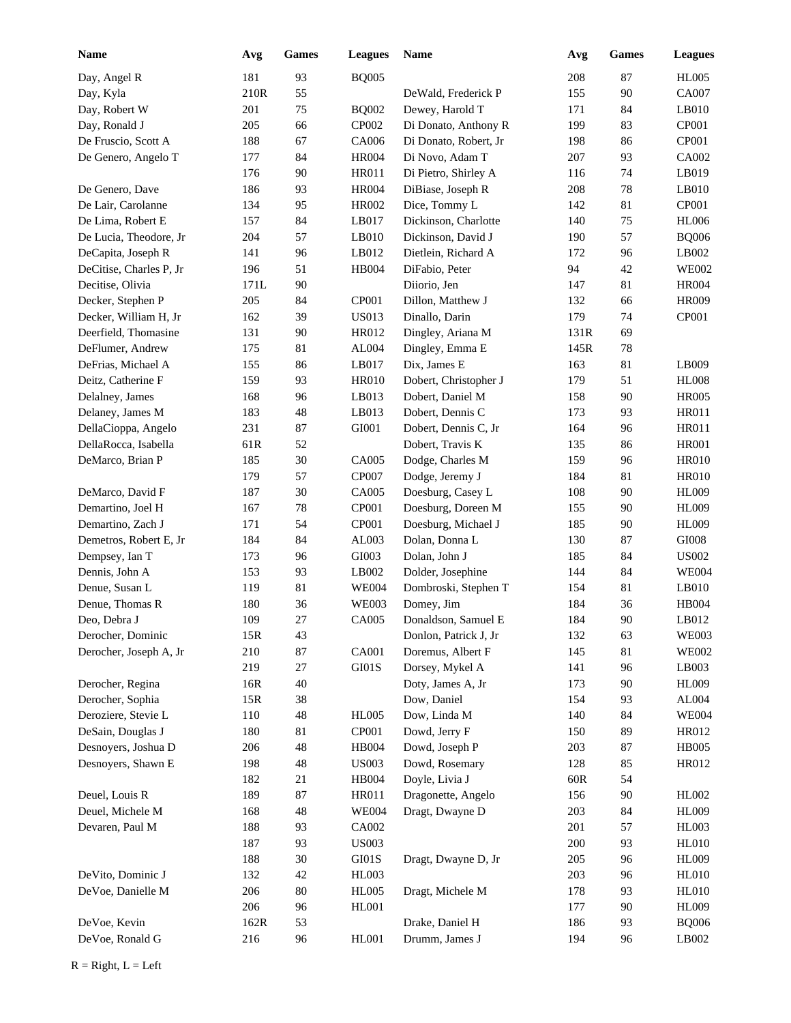| <b>Name</b>             | Avg  | Games  | <b>Leagues</b> | Name                  | Avg  | Games  | <b>Leagues</b> |
|-------------------------|------|--------|----------------|-----------------------|------|--------|----------------|
| Day, Angel R            | 181  | 93     | <b>BQ005</b>   |                       | 208  | 87     | <b>HL005</b>   |
| Day, Kyla               | 210R | 55     |                | DeWald, Frederick P   | 155  | 90     | CA007          |
| Day, Robert W           | 201  | 75     | <b>BQ002</b>   | Dewey, Harold T       | 171  | 84     | LB010          |
| Day, Ronald J           | 205  | 66     | CP002          | Di Donato, Anthony R  | 199  | 83     | CP001          |
| De Fruscio, Scott A     | 188  | 67     | CA006          | Di Donato, Robert, Jr | 198  | 86     | CP001          |
| De Genero, Angelo T     | 177  | 84     | <b>HR004</b>   | Di Novo, Adam T       | 207  | 93     | CA002          |
|                         | 176  | 90     | <b>HR011</b>   | Di Pietro, Shirley A  | 116  | 74     | LB019          |
| De Genero, Dave         | 186  | 93     | <b>HR004</b>   | DiBiase, Joseph R     | 208  | 78     | LB010          |
| De Lair, Carolanne      | 134  | 95     | HR002          | Dice, Tommy L         | 142  | 81     | CP001          |
| De Lima, Robert E       | 157  | 84     | LB017          | Dickinson, Charlotte  | 140  | 75     | <b>HL006</b>   |
| De Lucia, Theodore, Jr  | 204  | 57     | LB010          | Dickinson, David J    | 190  | 57     | <b>BQ006</b>   |
| DeCapita, Joseph R      | 141  | 96     | LB012          | Dietlein, Richard A   | 172  | 96     | LB002          |
| DeCitise, Charles P, Jr | 196  | 51     | <b>HB004</b>   | DiFabio, Peter        | 94   | 42     | <b>WE002</b>   |
| Decitise, Olivia        | 171L | 90     |                | Diiorio, Jen          | 147  | 81     | <b>HR004</b>   |
| Decker, Stephen P       | 205  | 84     | CP001          | Dillon, Matthew J     | 132  | 66     | <b>HR009</b>   |
| Decker, William H, Jr   | 162  | 39     | <b>US013</b>   | Dinallo, Darin        | 179  | 74     | CP001          |
| Deerfield, Thomasine    | 131  | 90     | HR012          | Dingley, Ariana M     | 131R | 69     |                |
| DeFlumer, Andrew        | 175  | 81     | AL004          | Dingley, Emma E       | 145R | 78     |                |
| DeFrias, Michael A      | 155  | 86     | LB017          | Dix, James E          | 163  | 81     | LB009          |
| Deitz, Catherine F      | 159  | 93     | <b>HR010</b>   | Dobert, Christopher J | 179  | 51     | <b>HL008</b>   |
| Delalney, James         | 168  | 96     | LB013          | Dobert, Daniel M      | 158  | 90     | <b>HR005</b>   |
| Delaney, James M        | 183  | 48     | LB013          | Dobert, Dennis C      | 173  | 93     | HR011          |
| DellaCioppa, Angelo     | 231  | 87     | GI001          | Dobert, Dennis C, Jr  | 164  | 96     | <b>HR011</b>   |
| DellaRocca, Isabella    | 61R  | 52     |                | Dobert, Travis K      | 135  | 86     | <b>HR001</b>   |
| DeMarco, Brian P        | 185  | 30     | CA005          | Dodge, Charles M      | 159  | 96     | <b>HR010</b>   |
|                         | 179  | 57     | CP007          | Dodge, Jeremy J       | 184  | 81     | <b>HR010</b>   |
| DeMarco, David F        | 187  | 30     | CA005          | Doesburg, Casey L     | 108  | 90     | <b>HL009</b>   |
| Demartino, Joel H       | 167  | 78     | CP001          | Doesburg, Doreen M    | 155  | 90     | <b>HL009</b>   |
| Demartino, Zach J       | 171  | 54     | CP001          | Doesburg, Michael J   | 185  | 90     | <b>HL009</b>   |
| Demetros, Robert E, Jr  | 184  | 84     | AL003          | Dolan, Donna L        | 130  | 87     | GI008          |
| Dempsey, Ian T          | 173  | 96     | GI003          | Dolan, John J         | 185  | 84     | <b>US002</b>   |
| Dennis, John A          | 153  | 93     | LB002          | Dolder, Josephine     | 144  | 84     | <b>WE004</b>   |
| Denue, Susan L          | 119  | 81     | <b>WE004</b>   | Dombroski, Stephen T  | 154  | $81\,$ | LB010          |
| Denue, Thomas R         | 180  | 36     | <b>WE003</b>   | Domey, Jim            | 184  | 36     | <b>HB004</b>   |
| Deo, Debra J            | 109  | 27     | CA005          | Donaldson, Samuel E   | 184  | 90     | LB012          |
| Derocher, Dominic       | 15R  | 43     |                | Donlon, Patrick J, Jr | 132  | 63     | <b>WE003</b>   |
| Derocher, Joseph A, Jr  | 210  | $87\,$ | <b>CA001</b>   | Doremus, Albert F     | 145  | $81\,$ | <b>WE002</b>   |
|                         | 219  | 27     | GI01S          | Dorsey, Mykel A       | 141  | 96     | LB003          |
| Derocher, Regina        | 16R  | 40     |                | Doty, James A, Jr     | 173  | 90     | <b>HL009</b>   |
| Derocher, Sophia        | 15R  | 38     |                | Dow, Daniel           | 154  | 93     | AL004          |
| Deroziere, Stevie L     | 110  | 48     | <b>HL005</b>   | Dow, Linda M          | 140  | 84     | <b>WE004</b>   |
| DeSain, Douglas J       | 180  | 81     | CP001          | Dowd, Jerry F         | 150  | 89     | HR012          |
| Desnoyers, Joshua D     | 206  | 48     | HB004          | Dowd, Joseph P        | 203  | $87\,$ | <b>HB005</b>   |
| Desnoyers, Shawn E      | 198  | 48     | <b>US003</b>   | Dowd, Rosemary        | 128  | 85     | HR012          |
|                         | 182  | 21     | HB004          | Doyle, Livia J        | 60R  | 54     |                |
| Deuel, Louis R          | 189  | 87     | HR011          | Dragonette, Angelo    | 156  | 90     | HL002          |
| Deuel, Michele M        | 168  | 48     | <b>WE004</b>   | Dragt, Dwayne D       | 203  | 84     | <b>HL009</b>   |
| Devaren, Paul M         | 188  | 93     | CA002          |                       | 201  | 57     | <b>HL003</b>   |
|                         |      | 93     | <b>US003</b>   |                       |      | 93     |                |
|                         | 187  |        |                |                       | 200  |        | <b>HL010</b>   |
|                         | 188  | 30     | $\rm GI01S$    | Dragt, Dwayne D, Jr   | 205  | 96     | <b>HL009</b>   |
| DeVito, Dominic J       | 132  | 42     | <b>HL003</b>   |                       | 203  | 96     | <b>HL010</b>   |
| DeVoe, Danielle M       | 206  | 80     | <b>HL005</b>   | Dragt, Michele M      | 178  | 93     | <b>HL010</b>   |
|                         | 206  | 96     | HL001          |                       | 177  | 90     | <b>HL009</b>   |
| DeVoe, Kevin            | 162R | 53     |                | Drake, Daniel H       | 186  | 93     | <b>BQ006</b>   |
| DeVoe, Ronald G         | 216  | 96     | HL001          | Drumm, James J        | 194  | 96     | LB002          |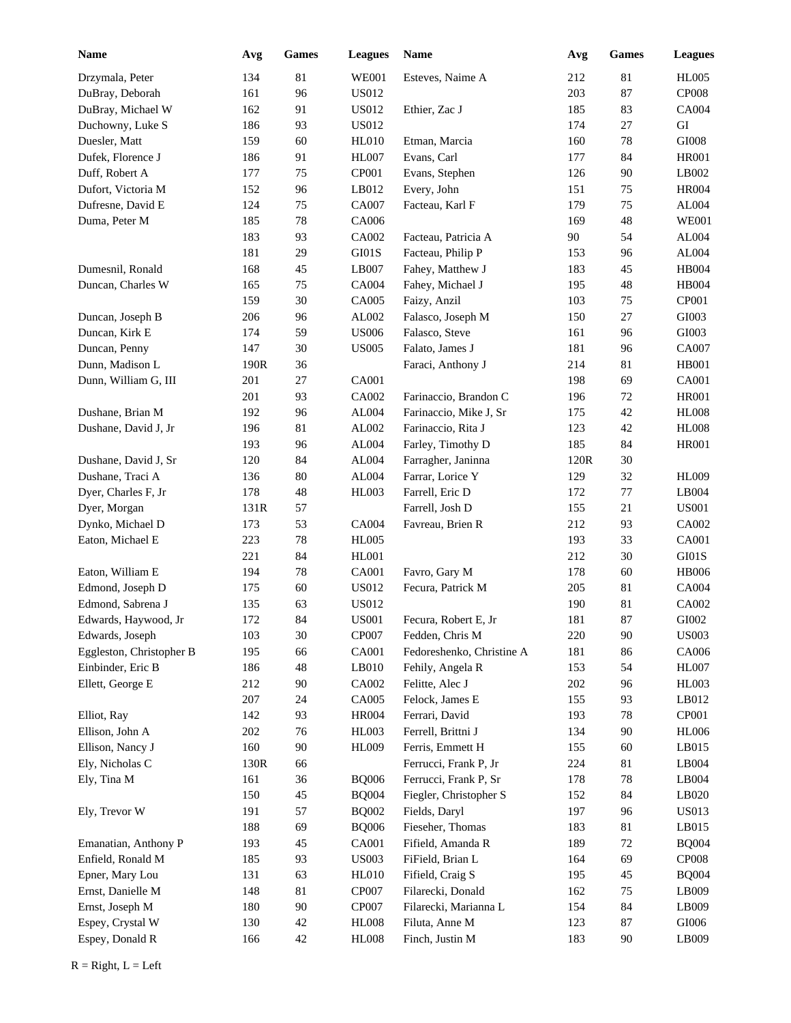| <b>Name</b>              | Avg  | Games  | <b>Leagues</b> | Name                      | Avg  | <b>Games</b> | <b>Leagues</b>    |
|--------------------------|------|--------|----------------|---------------------------|------|--------------|-------------------|
| Drzymala, Peter          | 134  | 81     | <b>WE001</b>   | Esteves, Naime A          | 212  | 81           | <b>HL005</b>      |
| DuBray, Deborah          | 161  | 96     | US012          |                           | 203  | 87           | CP <sub>008</sub> |
| DuBray, Michael W        | 162  | 91     | <b>US012</b>   | Ethier, Zac J             | 185  | 83           | <b>CA004</b>      |
| Duchowny, Luke S         | 186  | 93     | <b>US012</b>   |                           | 174  | 27           | GI                |
| Duesler, Matt            | 159  | 60     | <b>HL010</b>   | Etman, Marcia             | 160  | 78           | $\rm GIO08$       |
| Dufek, Florence J        | 186  | 91     | <b>HL007</b>   | Evans, Carl               | 177  | 84           | <b>HR001</b>      |
| Duff, Robert A           | 177  | 75     | CP001          | Evans, Stephen            | 126  | 90           | LB002             |
| Dufort, Victoria M       | 152  | 96     | LB012          | Every, John               | 151  | 75           | <b>HR004</b>      |
| Dufresne, David E        | 124  | 75     | CA007          | Facteau, Karl F           | 179  | 75           | AL004             |
| Duma, Peter M            | 185  | 78     | CA006          |                           | 169  | 48           | <b>WE001</b>      |
|                          | 183  | 93     | CA002          | Facteau, Patricia A       | 90   | 54           | AL004             |
|                          | 181  | 29     | GI01S          | Facteau, Philip P         | 153  | 96           | AL004             |
| Dumesnil, Ronald         | 168  | 45     | LB007          | Fahey, Matthew J          | 183  | 45           | <b>HB004</b>      |
| Duncan, Charles W        | 165  | 75     | CA004          | Fahey, Michael J          | 195  | 48           | <b>HB004</b>      |
|                          | 159  | 30     | CA005          | Faizy, Anzil              | 103  | 75           | CP001             |
| Duncan, Joseph B         | 206  | 96     | AL002          | Falasco, Joseph M         | 150  | $27\,$       | GI003             |
| Duncan, Kirk E           | 174  | 59     | <b>US006</b>   | Falasco, Steve            | 161  | 96           | GI003             |
| Duncan, Penny            | 147  | 30     | <b>US005</b>   | Falato, James J           | 181  | 96           | CA007             |
| Dunn, Madison L          | 190R | 36     |                | Faraci, Anthony J         | 214  | 81           | <b>HB001</b>      |
| Dunn, William G, III     | 201  | $27\,$ | CA001          |                           | 198  | 69           | <b>CA001</b>      |
|                          | 201  | 93     | CA002          | Farinaccio, Brandon C     | 196  | 72           | <b>HR001</b>      |
| Dushane, Brian M         | 192  | 96     | AL004          | Farinaccio, Mike J, Sr    | 175  | 42           | <b>HL008</b>      |
| Dushane, David J, Jr     | 196  | 81     | AL002          | Farinaccio, Rita J        | 123  | 42           | <b>HL008</b>      |
|                          | 193  | 96     | AL004          | Farley, Timothy D         | 185  | 84           | <b>HR001</b>      |
| Dushane, David J, Sr     | 120  | 84     | AL004          | Farragher, Janinna        | 120R | 30           |                   |
| Dushane, Traci A         | 136  | $80\,$ | AL004          | Farrar, Lorice Y          | 129  | 32           | <b>HL009</b>      |
| Dyer, Charles F, Jr      | 178  | 48     | <b>HL003</b>   | Farrell, Eric D           | 172  | 77           | LB004             |
| Dyer, Morgan             | 131R | 57     |                | Farrell, Josh D           | 155  | 21           | <b>US001</b>      |
| Dynko, Michael D         | 173  | 53     | CA004          | Favreau, Brien R          | 212  | 93           | CA002             |
| Eaton, Michael E         | 223  | 78     | <b>HL005</b>   |                           | 193  | 33           | <b>CA001</b>      |
|                          | 221  | 84     | HL001          |                           | 212  | 30           | GI01S             |
| Eaton, William E         | 194  | 78     | <b>CA001</b>   | Favro, Gary M             | 178  | 60           | <b>HB006</b>      |
| Edmond, Joseph D         | 175  | 60     | <b>US012</b>   | Fecura, Patrick M         | 205  | 81           | CA004             |
| Edmond, Sabrena J        | 135  | 63     | <b>US012</b>   |                           | 190  | 81           | CA002             |
| Edwards, Haywood, Jr     | 172  | 84     | <b>US001</b>   | Fecura, Robert E, Jr      | 181  | 87           | GI002             |
| Edwards, Joseph          | 103  | 30     | CP007          | Fedden, Chris M           | 220  | 90           | <b>US003</b>      |
| Eggleston, Christopher B | 195  | 66     | CA001          | Fedoreshenko, Christine A | 181  | 86           | CA006             |
| Einbinder, Eric B        | 186  | 48     | LB010          | Fehily, Angela R          | 153  | 54           | <b>HL007</b>      |
| Ellett, George E         | 212  | 90     | CA002          | Felitte, Alec J           | 202  | 96           | HL003             |
|                          | 207  | 24     | CA005          | Felock, James E           | 155  | 93           | LB012             |
| Elliot, Ray              | 142  | 93     | <b>HR004</b>   | Ferrari, David            | 193  | 78           | CP001             |
| Ellison, John A          | 202  | 76     | HL003          | Ferrell, Brittni J        | 134  | 90           | <b>HL006</b>      |
| Ellison, Nancy J         | 160  | 90     | <b>HL009</b>   | Ferris, Emmett H          | 155  | 60           | LB015             |
| Ely, Nicholas C          | 130R | 66     |                | Ferrucci, Frank P, Jr     | 224  | 81           | LB004             |
| Ely, Tina M              | 161  | 36     | <b>BQ006</b>   | Ferrucci, Frank P, Sr     | 178  | 78           | LB004             |
|                          | 150  | 45     | <b>BQ004</b>   | Fiegler, Christopher S    | 152  | 84           | LB020             |
| Ely, Trevor W            | 191  | 57     | <b>BQ002</b>   | Fields, Daryl             | 197  | 96           | <b>US013</b>      |
|                          | 188  | 69     | <b>BQ006</b>   | Fieseher, Thomas          | 183  | 81           | LB015             |
| Emanatian, Anthony P     | 193  | 45     | CA001          | Fifield, Amanda R         | 189  | $72\,$       | <b>BQ004</b>      |
| Enfield, Ronald M        | 185  | 93     | <b>US003</b>   | FiField, Brian L          | 164  | 69           | CP008             |
| Epner, Mary Lou          | 131  | 63     | <b>HL010</b>   | Fifield, Craig S          | 195  | 45           | <b>BQ004</b>      |
| Ernst, Danielle M        | 148  | 81     | CP007          | Filarecki, Donald         | 162  | $75\,$       | LB009             |
| Ernst, Joseph M          | 180  | $90\,$ | CP007          | Filarecki, Marianna L     | 154  | 84           | LB009             |
| Espey, Crystal W         | 130  | 42     | <b>HL008</b>   | Filuta, Anne M            | 123  | $87\,$       | GI006             |
| Espey, Donald R          | 166  | 42     | <b>HL008</b>   | Finch, Justin M           | 183  | $90\,$       | LB009             |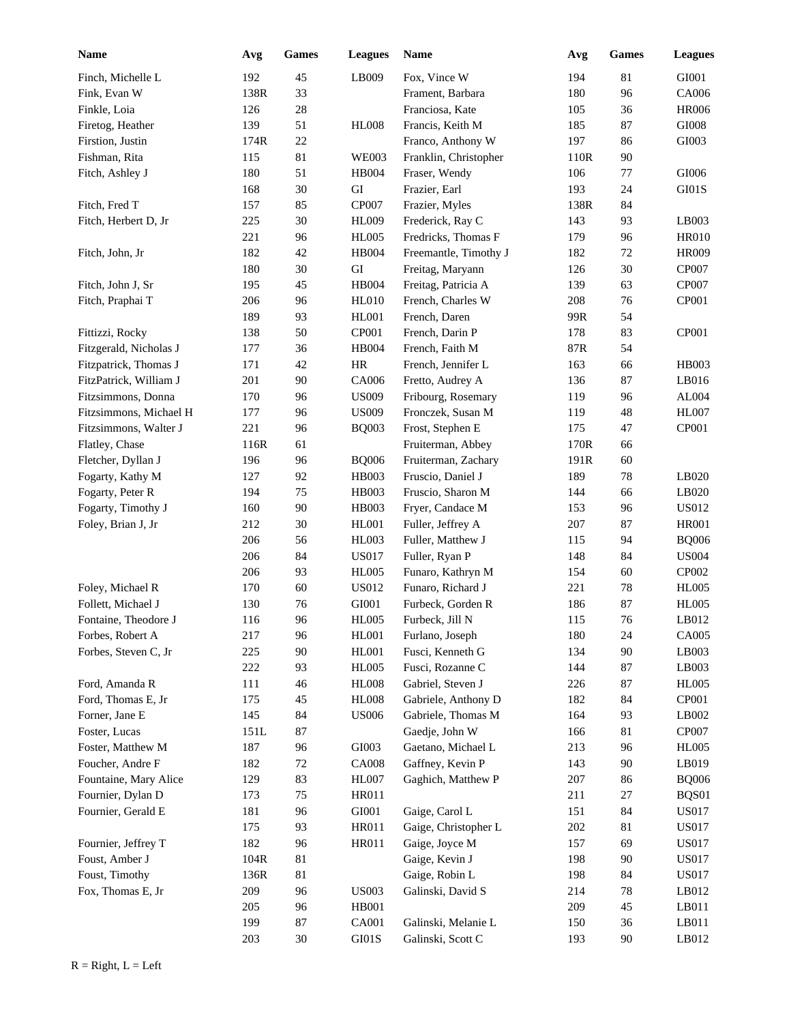| <b>Name</b>            | Avg  | Games  | <b>Leagues</b> | <b>Name</b>           | Avg  | <b>Games</b> | <b>Leagues</b> |
|------------------------|------|--------|----------------|-----------------------|------|--------------|----------------|
| Finch, Michelle L      | 192  | 45     | LB009          | Fox, Vince W          | 194  | 81           | GI001          |
| Fink, Evan W           | 138R | 33     |                | Frament, Barbara      | 180  | 96           | CA006          |
| Finkle, Loia           | 126  | 28     |                | Franciosa, Kate       | 105  | 36           | <b>HR006</b>   |
| Firetog, Heather       | 139  | 51     | <b>HL008</b>   | Francis, Keith M      | 185  | 87           | $\rm GIO08$    |
| Firstion, Justin       | 174R | $22\,$ |                | Franco, Anthony W     | 197  | 86           | GI003          |
| Fishman, Rita          | 115  | 81     | <b>WE003</b>   | Franklin, Christopher | 110R | 90           |                |
| Fitch, Ashley J        | 180  | 51     | <b>HB004</b>   | Fraser, Wendy         | 106  | 77           | $\rm GIO06$    |
|                        | 168  | 30     | GI             | Frazier, Earl         | 193  | 24           | GI01S          |
| Fitch, Fred T          | 157  | 85     | CP007          | Frazier, Myles        | 138R | 84           |                |
| Fitch, Herbert D, Jr   | 225  | 30     | <b>HL009</b>   | Frederick, Ray C      | 143  | 93           | LB003          |
|                        | 221  | 96     | <b>HL005</b>   | Fredricks, Thomas F   | 179  | 96           | HR010          |
| Fitch, John, Jr        | 182  | 42     | HB004          | Freemantle, Timothy J | 182  | $72\,$       | <b>HR009</b>   |
|                        | 180  | 30     | ${\rm GI}$     | Freitag, Maryann      | 126  | 30           | CP007          |
| Fitch, John J, Sr      | 195  | 45     | <b>HB004</b>   | Freitag, Patricia A   | 139  | 63           | CP007          |
| Fitch, Praphai T       | 206  | 96     | <b>HL010</b>   | French, Charles W     | 208  | 76           | CP001          |
|                        | 189  | 93     | <b>HL001</b>   | French, Daren         | 99R  | 54           |                |
| Fittizzi, Rocky        | 138  | 50     | CP001          | French, Darin P       | 178  | 83           | CP001          |
| Fitzgerald, Nicholas J | 177  | 36     | <b>HB004</b>   | French, Faith M       | 87R  | 54           |                |
| Fitzpatrick, Thomas J  | 171  | 42     | HR             | French, Jennifer L    | 163  | 66           | <b>HB003</b>   |
| FitzPatrick, William J | 201  | 90     | CA006          | Fretto, Audrey A      | 136  | 87           | LB016          |
| Fitzsimmons, Donna     | 170  | 96     | <b>US009</b>   | Fribourg, Rosemary    | 119  | 96           | AL004          |
| Fitzsimmons, Michael H | 177  | 96     | <b>US009</b>   | Fronczek, Susan M     | 119  | 48           | <b>HL007</b>   |
| Fitzsimmons, Walter J  | 221  | 96     | <b>BQ003</b>   | Frost, Stephen E      | 175  | 47           | CP001          |
| Flatley, Chase         | 116R | 61     |                | Fruiterman, Abbey     | 170R | 66           |                |
| Fletcher, Dyllan J     | 196  | 96     | <b>BQ006</b>   | Fruiterman, Zachary   | 191R | 60           |                |
| Fogarty, Kathy M       | 127  | 92     | <b>HB003</b>   | Fruscio, Daniel J     | 189  | 78           | LB020          |
| Fogarty, Peter R       | 194  | 75     | <b>HB003</b>   | Fruscio, Sharon M     | 144  | 66           | LB020          |
| Fogarty, Timothy J     | 160  | 90     | <b>HB003</b>   | Fryer, Candace M      | 153  | 96           | US012          |
| Foley, Brian J, Jr     | 212  | 30     | <b>HL001</b>   | Fuller, Jeffrey A     | 207  | 87           | <b>HR001</b>   |
|                        | 206  | 56     | HL003          | Fuller, Matthew J     | 115  | 94           | <b>BQ006</b>   |
|                        | 206  | 84     | <b>US017</b>   | Fuller, Ryan P        | 148  | 84           | <b>US004</b>   |
|                        | 206  | 93     | <b>HL005</b>   | Funaro, Kathryn M     | 154  | 60           | CP002          |
| Foley, Michael R       | 170  | 60     | <b>US012</b>   | Funaro, Richard J     | 221  | 78           | <b>HL005</b>   |
| Follett, Michael J     | 130  | 76     | GI001          | Furbeck, Gorden R     | 186  | 87           | <b>HL005</b>   |
| Fontaine, Theodore J   | 116  | 96     | <b>HL005</b>   | Furbeck, Jill N       | 115  | 76           | LB012          |
| Forbes, Robert A       | 217  | 96     | <b>HL001</b>   | Furlano, Joseph       | 180  | 24           | CA005          |
| Forbes, Steven C, Jr   | 225  | 90     | <b>HL001</b>   | Fusci, Kenneth G      | 134  | 90           | LB003          |
|                        | 222  | 93     | <b>HL005</b>   | Fusci, Rozanne C      | 144  | 87           | LB003          |
| Ford, Amanda R         | 111  | 46     | <b>HL008</b>   | Gabriel, Steven J     | 226  | $87\,$       | <b>HL005</b>   |
| Ford, Thomas E, Jr     | 175  | 45     | <b>HL008</b>   | Gabriele, Anthony D   | 182  | 84           | CP001          |
| Forner, Jane E         | 145  | 84     | <b>US006</b>   | Gabriele, Thomas M    | 164  | 93           | LB002          |
| Foster, Lucas          | 151L | 87     |                | Gaedje, John W        | 166  | 81           | CP007          |
| Foster, Matthew M      | 187  | 96     | GI003          | Gaetano, Michael L    | 213  | 96           | <b>HL005</b>   |
| Foucher, Andre F       | 182  | $72\,$ | <b>CA008</b>   | Gaffney, Kevin P      | 143  | 90           | LB019          |
| Fountaine, Mary Alice  | 129  | 83     | <b>HL007</b>   | Gaghich, Matthew P    | 207  | 86           | <b>BQ006</b>   |
| Fournier, Dylan D      | 173  | 75     | <b>HR011</b>   |                       | 211  | $27\,$       | BQS01          |
| Fournier, Gerald E     | 181  | 96     | ${\rm GIO}01$  | Gaige, Carol L        | 151  | 84           | <b>US017</b>   |
|                        | 175  | 93     | HR011          | Gaige, Christopher L  | 202  | $81\,$       | <b>US017</b>   |
| Fournier, Jeffrey T    | 182  | 96     | HR011          | Gaige, Joyce M        | 157  | 69           | <b>US017</b>   |
| Foust, Amber J         | 104R | 81     |                | Gaige, Kevin J        | 198  | 90           | <b>US017</b>   |
| Foust, Timothy         | 136R | 81     |                | Gaige, Robin L        | 198  | 84           | <b>US017</b>   |
| Fox, Thomas E, Jr      | 209  | 96     | <b>US003</b>   | Galinski, David S     | 214  | 78           | LB012          |
|                        | 205  | 96     | <b>HB001</b>   |                       | 209  | 45           | LB011          |
|                        | 199  | 87     | <b>CA001</b>   | Galinski, Melanie L   | 150  | 36           | LB011          |
|                        | 203  | $30\,$ | GI01S          | Galinski, Scott C     | 193  | $90\,$       | LB012          |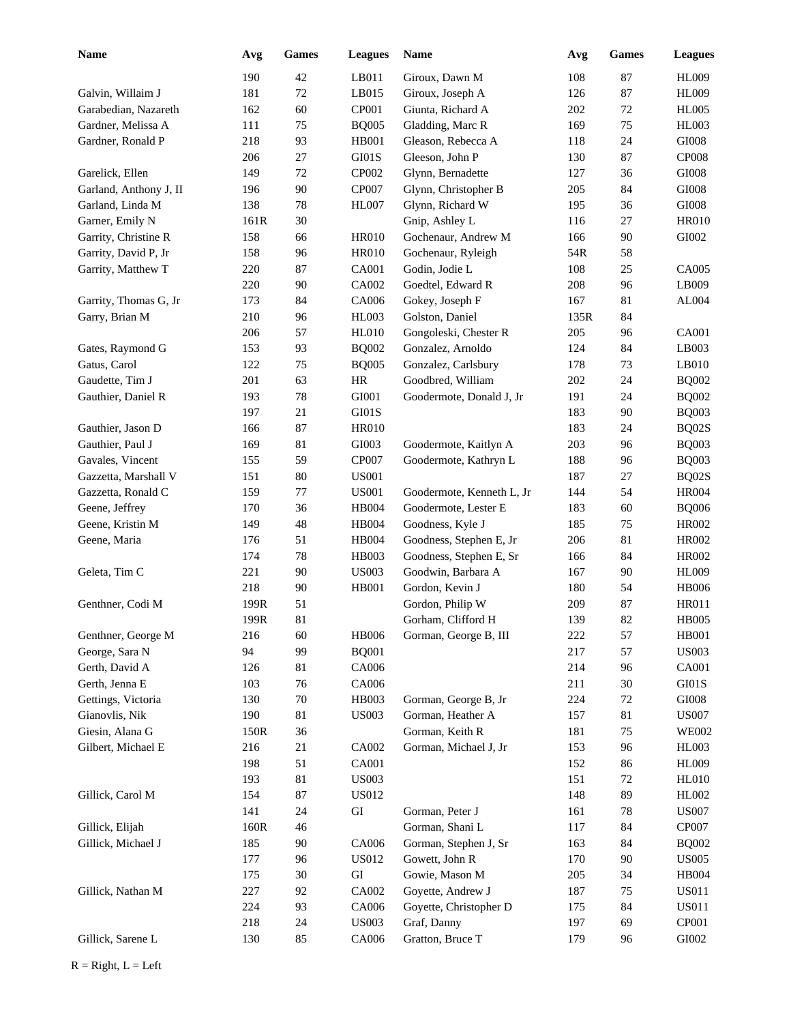| Name                   | Avg  | Games  | <b>Leagues</b> | <b>Name</b>               | Avg  | <b>Games</b> | <b>Leagues</b> |
|------------------------|------|--------|----------------|---------------------------|------|--------------|----------------|
|                        | 190  | 42     | LB011          | Giroux, Dawn M            | 108  | 87           | <b>HL009</b>   |
| Galvin, Willaim J      | 181  | 72     | LB015          | Giroux, Joseph A          | 126  | 87           | <b>HL009</b>   |
| Garabedian, Nazareth   | 162  | 60     | CP001          | Giunta, Richard A         | 202  | 72           | <b>HL005</b>   |
| Gardner, Melissa A     | 111  | 75     | <b>BQ005</b>   | Gladding, Marc R          | 169  | 75           | <b>HL003</b>   |
| Gardner, Ronald P      | 218  | 93     | HB001          | Gleason, Rebecca A        | 118  | 24           | $\rm GIO08$    |
|                        | 206  | 27     | GI01S          | Gleeson, John P           | 130  | 87           | <b>CP008</b>   |
| Garelick, Ellen        | 149  | 72     | CP002          | Glynn, Bernadette         | 127  | 36           | $\rm GIO08$    |
| Garland, Anthony J, II | 196  | $90\,$ | CP007          | Glynn, Christopher B      | 205  | 84           | GI008          |
| Garland, Linda M       | 138  | 78     | <b>HL007</b>   | Glynn, Richard W          | 195  | 36           | $\rm GIO08$    |
| Garner, Emily N        | 161R | 30     |                | Gnip, Ashley L            | 116  | 27           | <b>HR010</b>   |
| Garrity, Christine R   | 158  | 66     | <b>HR010</b>   | Gochenaur, Andrew M       | 166  | 90           | GI002          |
| Garrity, David P, Jr   | 158  | 96     | <b>HR010</b>   | Gochenaur, Ryleigh        | 54R  | 58           |                |
| Garrity, Matthew T     | 220  | 87     | CA001          | Godin, Jodie L            | 108  | 25           | CA005          |
|                        | 220  | 90     | CA002          | Goedtel, Edward R         | 208  | 96           | LB009          |
| Garrity, Thomas G, Jr  | 173  | 84     | CA006          | Gokey, Joseph F           | 167  | 81           | AL004          |
| Garry, Brian M         | 210  | 96     | <b>HL003</b>   | Golston, Daniel           | 135R | 84           |                |
|                        | 206  | 57     | <b>HL010</b>   | Gongoleski, Chester R     | 205  | 96           | CA001          |
| Gates, Raymond G       | 153  | 93     | <b>BQ002</b>   | Gonzalez, Arnoldo         | 124  | 84           | LB003          |
| Gatus, Carol           | 122  | 75     | <b>BQ005</b>   | Gonzalez, Carlsbury       | 178  | 73           | LB010          |
| Gaudette, Tim J        | 201  | 63     | <b>HR</b>      | Goodbred, William         | 202  | 24           | <b>BQ002</b>   |
| Gauthier, Daniel R     | 193  | 78     | GI001          | Goodermote, Donald J, Jr  | 191  | 24           | <b>BQ002</b>   |
|                        | 197  | 21     | GI01S          |                           | 183  | 90           | <b>BQ003</b>   |
| Gauthier, Jason D      | 166  | 87     | <b>HR010</b>   |                           | 183  | 24           | BQ02S          |
| Gauthier, Paul J       | 169  | 81     | GI003          | Goodermote, Kaitlyn A     | 203  | 96           | <b>BQ003</b>   |
| Gavales, Vincent       | 155  | 59     | CP007          | Goodermote, Kathryn L     | 188  | 96           | <b>BQ003</b>   |
| Gazzetta, Marshall V   | 151  | 80     | <b>US001</b>   |                           | 187  | 27           | BQ02S          |
| Gazzetta, Ronald C     | 159  | 77     | <b>US001</b>   | Goodermote, Kenneth L, Jr | 144  | 54           | <b>HR004</b>   |
| Geene, Jeffrey         | 170  | 36     | <b>HB004</b>   | Goodermote, Lester E      | 183  | 60           | <b>BQ006</b>   |
| Geene, Kristin M       | 149  | 48     | <b>HB004</b>   | Goodness, Kyle J          | 185  | 75           | <b>HR002</b>   |
| Geene, Maria           | 176  | 51     | <b>HB004</b>   | Goodness, Stephen E, Jr   | 206  | 81           | <b>HR002</b>   |
|                        | 174  | 78     | <b>HB003</b>   | Goodness, Stephen E, Sr   | 166  | 84           | <b>HR002</b>   |
| Geleta, Tim C          | 221  | 90     | <b>US003</b>   | Goodwin, Barbara A        | 167  | 90           | <b>HL009</b>   |
|                        | 218  | 90     | <b>HB001</b>   | Gordon, Kevin J           | 180  | 54           | <b>HB006</b>   |
| Genthner, Codi M       | 199R | 51     |                | Gordon, Philip W          | 209  | 87           | <b>HR011</b>   |
|                        | 199R | 81     |                | Gorham, Clifford H        | 139  | 82           | <b>HB005</b>   |
| Genthner, George M     | 216  | 60     | <b>HB006</b>   | Gorman, George B, III     | 222  | 57           | <b>HB001</b>   |
| George, Sara N         | 94   | 99     | <b>BQ001</b>   |                           | 217  | 57           | <b>US003</b>   |
| Gerth, David A         | 126  | 81     | CA006          |                           | 214  | 96           | <b>CA001</b>   |
| Gerth, Jenna E         | 103  | 76     | CA006          |                           | 211  | 30           | $\rm GI01S$    |
| Gettings, Victoria     | 130  | 70     | HB003          | Gorman, George B, Jr      | 224  | $72\,$       | GI008          |
| Gianovlis, Nik         | 190  | 81     | <b>US003</b>   | Gorman, Heather A         | 157  | 81           | <b>US007</b>   |
| Giesin, Alana G        | 150R | 36     |                | Gorman, Keith R           | 181  | 75           | <b>WE002</b>   |
| Gilbert, Michael E     | 216  | $21\,$ | CA002          | Gorman, Michael J, Jr     | 153  | 96           | HL003          |
|                        | 198  | 51     | CA001          |                           | 152  | 86           | <b>HL009</b>   |
|                        | 193  | 81     | <b>US003</b>   |                           | 151  | 72           | HL010          |
| Gillick, Carol M       | 154  | 87     | US012          |                           | 148  | 89           | HL002          |
|                        | 141  | 24     | GI             | Gorman, Peter J           | 161  | 78           | <b>US007</b>   |
| Gillick, Elijah        | 160R | 46     |                | Gorman, Shani L           | 117  | 84           | CP007          |
| Gillick, Michael J     | 185  | $90\,$ | CA006          | Gorman, Stephen J, Sr     | 163  | 84           | <b>BQ002</b>   |
|                        | 177  | 96     | <b>US012</b>   | Gowett, John R            | 170  | 90           | <b>US005</b>   |
|                        | 175  | 30     | ${\rm GI}$     | Gowie, Mason M            | 205  | 34           | HB004          |
| Gillick, Nathan M      | 227  | 92     | CA002          | Goyette, Andrew J         | 187  | 75           | <b>US011</b>   |
|                        | 224  | 93     | CA006          | Goyette, Christopher D    | 175  | 84           | <b>US011</b>   |
|                        | 218  | $24\,$ | <b>US003</b>   | Graf, Danny               | 197  | 69           | CP001          |
| Gillick, Sarene L      | 130  | 85     | CA006          | Gratton, Bruce T          | 179  | 96           | ${\rm GIO}02$  |
|                        |      |        |                |                           |      |              |                |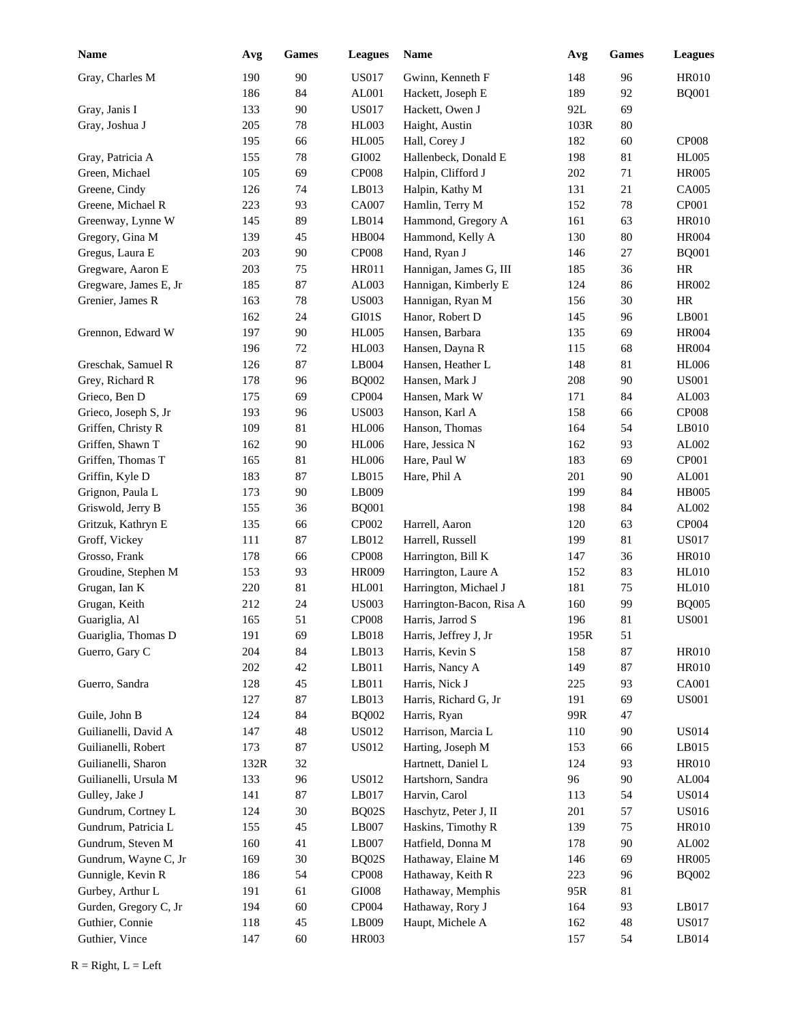| <b>Name</b>           | Avg  | <b>Games</b> | <b>Leagues</b>         | Name                     | Avg  | <b>Games</b> | <b>Leagues</b> |
|-----------------------|------|--------------|------------------------|--------------------------|------|--------------|----------------|
| Gray, Charles M       | 190  | 90           | <b>US017</b>           | Gwinn, Kenneth F         | 148  | 96           | <b>HR010</b>   |
|                       | 186  | 84           | AL001                  | Hackett, Joseph E        | 189  | 92           | <b>BQ001</b>   |
| Gray, Janis I         | 133  | 90           | <b>US017</b>           | Hackett, Owen J          | 92L  | 69           |                |
| Gray, Joshua J        | 205  | 78           | <b>HL003</b>           | Haight, Austin           | 103R | $80\,$       |                |
|                       | 195  | 66           | <b>HL005</b>           | Hall, Corey J            | 182  | 60           | <b>CP008</b>   |
| Gray, Patricia A      | 155  | 78           | GI002                  | Hallenbeck, Donald E     | 198  | 81           | <b>HL005</b>   |
| Green, Michael        | 105  | 69           | CP <sub>008</sub>      | Halpin, Clifford J       | 202  | 71           | <b>HR005</b>   |
| Greene, Cindy         | 126  | 74           | LB013                  | Halpin, Kathy M          | 131  | 21           | CA005          |
| Greene, Michael R     | 223  | 93           | CA007                  | Hamlin, Terry M          | 152  | 78           | CP001          |
| Greenway, Lynne W     | 145  | 89           | LB014                  | Hammond, Gregory A       | 161  | 63           | <b>HR010</b>   |
| Gregory, Gina M       | 139  | 45           | <b>HB004</b>           | Hammond, Kelly A         | 130  | $80\,$       | <b>HR004</b>   |
| Gregus, Laura E       | 203  | $90\,$       | CP <sub>008</sub>      | Hand, Ryan J             | 146  | 27           | <b>BQ001</b>   |
| Gregware, Aaron E     | 203  | 75           | <b>HR011</b>           | Hannigan, James G, III   | 185  | 36           | $\rm{HR}$      |
| Gregware, James E, Jr | 185  | 87           | AL003                  | Hannigan, Kimberly E     | 124  | 86           | <b>HR002</b>   |
| Grenier, James R      | 163  | 78           | <b>US003</b>           | Hannigan, Ryan M         | 156  | 30           | <b>HR</b>      |
|                       | 162  | 24           | GI01S                  | Hanor, Robert D          | 145  | 96           | LB001          |
| Grennon, Edward W     | 197  | 90           | <b>HL005</b>           | Hansen, Barbara          | 135  | 69           | <b>HR004</b>   |
|                       | 196  | 72           | HL003                  | Hansen, Dayna R          | 115  | 68           | <b>HR004</b>   |
| Greschak, Samuel R    | 126  | 87           | LB004                  | Hansen, Heather L        | 148  | 81           | <b>HL006</b>   |
| Grey, Richard R       | 178  | 96           | <b>BQ002</b>           | Hansen, Mark J           | 208  | 90           | <b>US001</b>   |
| Grieco, Ben D         | 175  | 69           | CP004                  | Hansen, Mark W           | 171  | 84           | AL003          |
| Grieco, Joseph S, Jr  | 193  | 96           | <b>US003</b>           | Hanson, Karl A           | 158  | 66           | <b>CP008</b>   |
| Griffen, Christy R    | 109  | 81           | <b>HL006</b>           | Hanson, Thomas           | 164  | 54           | LB010          |
| Griffen, Shawn T      | 162  | 90           | <b>HL006</b>           | Hare, Jessica N          | 162  | 93           | AL002          |
| Griffen, Thomas T     | 165  | 81           | <b>HL006</b>           | Hare, Paul W             | 183  | 69           | CP001          |
| Griffin, Kyle D       | 183  | 87           | LB015                  | Hare, Phil A             | 201  | 90           | AL001          |
| Grignon, Paula L      | 173  | 90           | LB009                  |                          | 199  | 84           | <b>HB005</b>   |
| Griswold, Jerry B     | 155  | 36           | <b>BQ001</b>           |                          | 198  | 84           | AL002          |
| Gritzuk, Kathryn E    | 135  | 66           | CP002                  | Harrell, Aaron           | 120  | 63           | CP004          |
| Groff, Vickey         | 111  | 87           | LB012                  | Harrell, Russell         | 199  | 81           | <b>US017</b>   |
| Grosso, Frank         | 178  | 66           | CP <sub>008</sub>      | Harrington, Bill K       | 147  | 36           | <b>HR010</b>   |
| Groudine, Stephen M   | 153  | 93           | <b>HR009</b>           | Harrington, Laure A      | 152  | 83           | <b>HL010</b>   |
| Grugan, Ian K         | 220  | 81           | <b>HL001</b>           | Harrington, Michael J    | 181  | 75           | <b>HL010</b>   |
| Grugan, Keith         | 212  | 24           | <b>US003</b>           | Harrington-Bacon, Risa A | 160  | 99           | <b>BQ005</b>   |
| Guariglia, Al         | 165  | 51           | <b>CP008</b>           | Harris, Jarrod S         | 196  | 81           | <b>US001</b>   |
| Guariglia, Thomas D   | 191  | 69           | LB018                  | Harris, Jeffrey J, Jr    | 195R | 51           |                |
| Guerro, Gary C        | 204  | 84           | LB013                  | Harris, Kevin S          | 158  | 87           | <b>HR010</b>   |
|                       | 202  | 42           | LB011                  | Harris, Nancy A          | 149  | 87           | <b>HR010</b>   |
| Guerro, Sandra        | 128  | 45           | LB011                  | Harris, Nick J           | 225  | 93           | CA001          |
|                       | 127  | 87           | LB013                  | Harris, Richard G, Jr    | 191  | 69           | <b>US001</b>   |
| Guile, John B         | 124  | 84           | <b>BQ002</b>           | Harris, Ryan             | 99R  | 47           |                |
| Guilianelli, David A  | 147  | 48           | <b>US012</b>           | Harrison, Marcia L       | 110  | 90           | <b>US014</b>   |
| Guilianelli, Robert   | 173  | 87           | <b>US012</b>           | Harting, Joseph M        | 153  | 66           | LB015          |
| Guilianelli, Sharon   | 132R | 32           |                        | Hartnett, Daniel L       | 124  | 93           | <b>HR010</b>   |
| Guilianelli, Ursula M | 133  | 96           | <b>US012</b>           | Hartshorn, Sandra        | 96   | $90\,$       | AL004          |
| Gulley, Jake J        | 141  | 87           | LB017                  | Harvin, Carol            | 113  | 54           | <b>US014</b>   |
| Gundrum, Cortney L    | 124  | $30\,$       | BQ02S                  | Haschytz, Peter J, II    | 201  | 57           | <b>US016</b>   |
| Gundrum, Patricia L   | 155  | 45           | $\operatorname{LB}007$ | Haskins, Timothy R       | 139  | 75           | <b>HR010</b>   |
| Gundrum, Steven M     | 160  | 41           | $\operatorname{LB}007$ | Hatfield, Donna M        | 178  | $90\,$       | AL002          |
| Gundrum, Wayne C, Jr  | 169  | 30           | BQ02S                  | Hathaway, Elaine M       | 146  | 69           | <b>HR005</b>   |
| Gunnigle, Kevin R     | 186  | 54           | <b>CP008</b>           | Hathaway, Keith R        | 223  | 96           | <b>BQ002</b>   |
| Gurbey, Arthur L      | 191  | 61           | GI008                  | Hathaway, Memphis        | 95R  | 81           |                |
| Gurden, Gregory C, Jr | 194  | $60\,$       | CP004                  | Hathaway, Rory J         | 164  | 93           | LB017          |
| Guthier, Connie       | 118  | 45           | LB009                  | Haupt, Michele A         | 162  | 48           | <b>US017</b>   |
| Guthier, Vince        | 147  | 60           | HR003                  |                          | 157  | 54           | LB014          |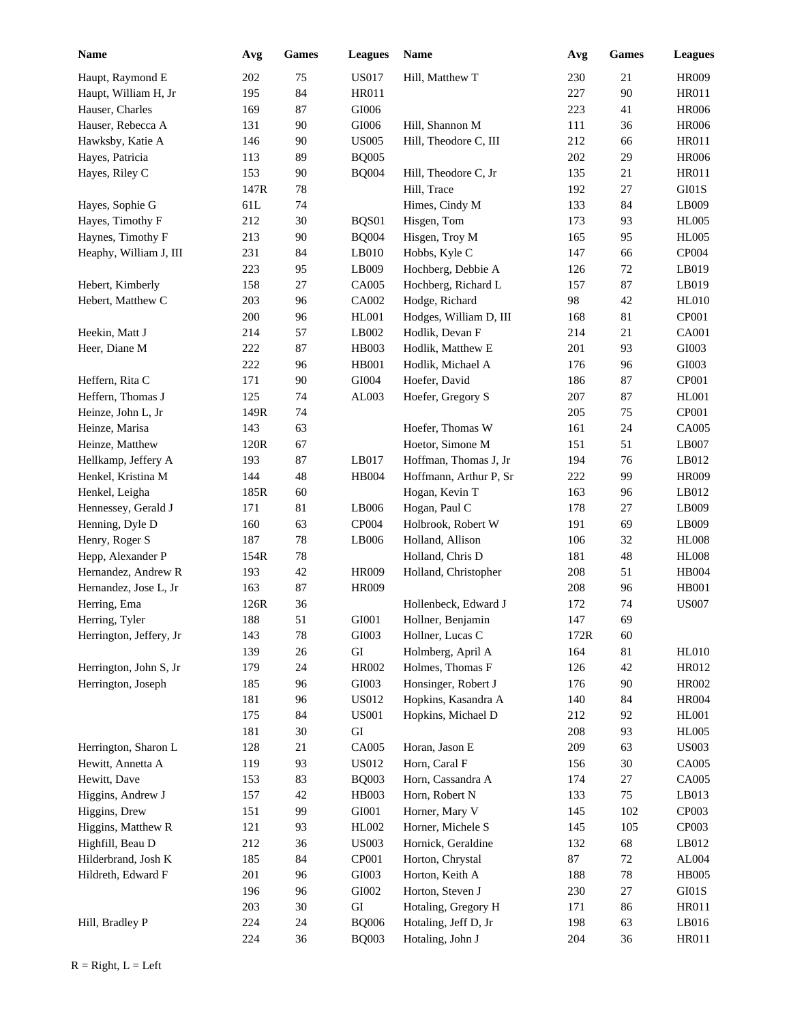| Name                    | Avg  | <b>Games</b> | <b>Leagues</b> | Name                   | Avg  | Games  | <b>Leagues</b> |
|-------------------------|------|--------------|----------------|------------------------|------|--------|----------------|
| Haupt, Raymond E        | 202  | 75           | <b>US017</b>   | Hill, Matthew T        | 230  | 21     | <b>HR009</b>   |
| Haupt, William H, Jr    | 195  | 84           | <b>HR011</b>   |                        | 227  | 90     | HR011          |
| Hauser, Charles         | 169  | 87           | GI006          |                        | 223  | 41     | <b>HR006</b>   |
| Hauser, Rebecca A       | 131  | 90           | GI006          | Hill, Shannon M        | 111  | 36     | <b>HR006</b>   |
| Hawksby, Katie A        | 146  | 90           | <b>US005</b>   | Hill, Theodore C, III  | 212  | 66     | <b>HR011</b>   |
| Hayes, Patricia         | 113  | 89           | <b>BQ005</b>   |                        | 202  | 29     | <b>HR006</b>   |
| Hayes, Riley C          | 153  | 90           | <b>BQ004</b>   | Hill, Theodore C, Jr   | 135  | 21     | <b>HR011</b>   |
|                         | 147R | 78           |                | Hill, Trace            | 192  | 27     | GI01S          |
| Hayes, Sophie G         | 61L  | 74           |                | Himes, Cindy M         | 133  | 84     | LB009          |
| Hayes, Timothy F        | 212  | 30           | BQS01          | Hisgen, Tom            | 173  | 93     | <b>HL005</b>   |
| Haynes, Timothy F       | 213  | 90           | <b>BQ004</b>   | Hisgen, Troy M         | 165  | 95     | <b>HL005</b>   |
| Heaphy, William J, III  | 231  | 84           | LB010          | Hobbs, Kyle C          | 147  | 66     | CP004          |
|                         | 223  | 95           | LB009          | Hochberg, Debbie A     | 126  | 72     | LB019          |
| Hebert, Kimberly        | 158  | 27           | CA005          | Hochberg, Richard L    | 157  | 87     | LB019          |
| Hebert, Matthew C       | 203  | 96           | CA002          | Hodge, Richard         | 98   | 42     | <b>HL010</b>   |
|                         | 200  | 96           | <b>HL001</b>   | Hodges, William D, III | 168  | 81     | CP001          |
| Heekin, Matt J          | 214  | 57           | LB002          | Hodlik, Devan F        | 214  | 21     | <b>CA001</b>   |
| Heer, Diane M           | 222  | 87           | HB003          | Hodlik, Matthew E      | 201  | 93     | GI003          |
|                         | 222  | 96           | HB001          | Hodlik, Michael A      | 176  | 96     | GI003          |
| Heffern, Rita C         | 171  | 90           | GI004          | Hoefer, David          | 186  | 87     | CP001          |
| Heffern, Thomas J       | 125  | 74           | AL003          | Hoefer, Gregory S      | 207  | 87     | <b>HL001</b>   |
| Heinze, John L, Jr      | 149R | 74           |                |                        | 205  | 75     | CP001          |
| Heinze, Marisa          | 143  | 63           |                | Hoefer, Thomas W       | 161  | 24     | CA005          |
| Heinze, Matthew         | 120R | 67           |                | Hoetor, Simone M       | 151  | 51     | LB007          |
| Hellkamp, Jeffery A     | 193  | 87           | LB017          | Hoffman, Thomas J, Jr  | 194  | 76     | LB012          |
| Henkel, Kristina M      | 144  | 48           | <b>HB004</b>   | Hoffmann, Arthur P, Sr | 222  | 99     | <b>HR009</b>   |
| Henkel, Leigha          | 185R | 60           |                | Hogan, Kevin T         | 163  | 96     | LB012          |
| Hennessey, Gerald J     | 171  | 81           | LB006          | Hogan, Paul C          | 178  | 27     | LB009          |
| Henning, Dyle D         | 160  | 63           | <b>CP004</b>   | Holbrook, Robert W     | 191  | 69     | LB009          |
| Henry, Roger S          | 187  | 78           | LB006          | Holland, Allison       | 106  | 32     | <b>HL008</b>   |
| Hepp, Alexander P       | 154R | 78           |                | Holland, Chris D       | 181  | 48     | <b>HL008</b>   |
| Hernandez, Andrew R     | 193  | 42           | <b>HR009</b>   | Holland, Christopher   | 208  | 51     | HB004          |
| Hernandez, Jose L, Jr   | 163  | 87           | <b>HR009</b>   |                        | 208  | 96     | <b>HB001</b>   |
| Herring, Ema            | 126R | 36           |                | Hollenbeck, Edward J   | 172  | 74     | <b>US007</b>   |
| Herring, Tyler          | 188  | 51           | GI001          | Hollner, Benjamin      | 147  | 69     |                |
| Herrington, Jeffery, Jr | 143  | 78           | GI003          | Hollner, Lucas C       | 172R | 60     |                |
|                         | 139  | 26           | ${\rm GI}$     | Holmberg, April A      | 164  | $81\,$ | HL010          |
| Herrington, John S, Jr  | 179  | 24           | HR002          | Holmes, Thomas F       | 126  | 42     | HR012          |
| Herrington, Joseph      | 185  | 96           | GI003          | Honsinger, Robert J    | 176  | 90     | HR002          |
|                         | 181  | 96           | <b>US012</b>   | Hopkins, Kasandra A    | 140  | 84     | <b>HR004</b>   |
|                         | 175  | 84           | <b>US001</b>   | Hopkins, Michael D     | 212  | 92     | <b>HL001</b>   |
|                         | 181  | 30           | ${\rm GI}$     |                        | 208  | 93     | <b>HL005</b>   |
| Herrington, Sharon L    | 128  | 21           | CA005          | Horan, Jason E         | 209  | 63     | <b>US003</b>   |
| Hewitt, Annetta A       | 119  | 93           | US012          | Horn, Caral F          | 156  | 30     | CA005          |
| Hewitt, Dave            | 153  | 83           | <b>BQ003</b>   | Horn, Cassandra A      | 174  | $27\,$ | CA005          |
| Higgins, Andrew J       | 157  | 42           | HB003          | Horn, Robert N         | 133  | 75     | LB013          |
| Higgins, Drew           | 151  | 99           | GI001          | Horner, Mary V         | 145  | 102    | CP003          |
| Higgins, Matthew R      | 121  | 93           | HL002          | Horner, Michele S      | 145  | 105    | CP003          |
| Highfill, Beau D        | 212  | 36           | <b>US003</b>   | Hornick, Geraldine     | 132  | 68     | LB012          |
| Hilderbrand, Josh K     | 185  | 84           | CP001          | Horton, Chrystal       | 87   | $72\,$ | AL004          |
| Hildreth, Edward F      | 201  | 96           | GI003          | Horton, Keith A        | 188  | 78     | <b>HB005</b>   |
|                         | 196  | 96           | GI002          | Horton, Steven J       | 230  | 27     | $\rm GI01S$    |
|                         | 203  | 30           | GI             | Hotaling, Gregory H    | 171  | 86     | HR011          |
| Hill, Bradley P         | 224  | 24           | <b>BQ006</b>   | Hotaling, Jeff D, Jr   | 198  | 63     | LB016          |
|                         | 224  | 36           | <b>BQ003</b>   | Hotaling, John J       | 204  | 36     | HR011          |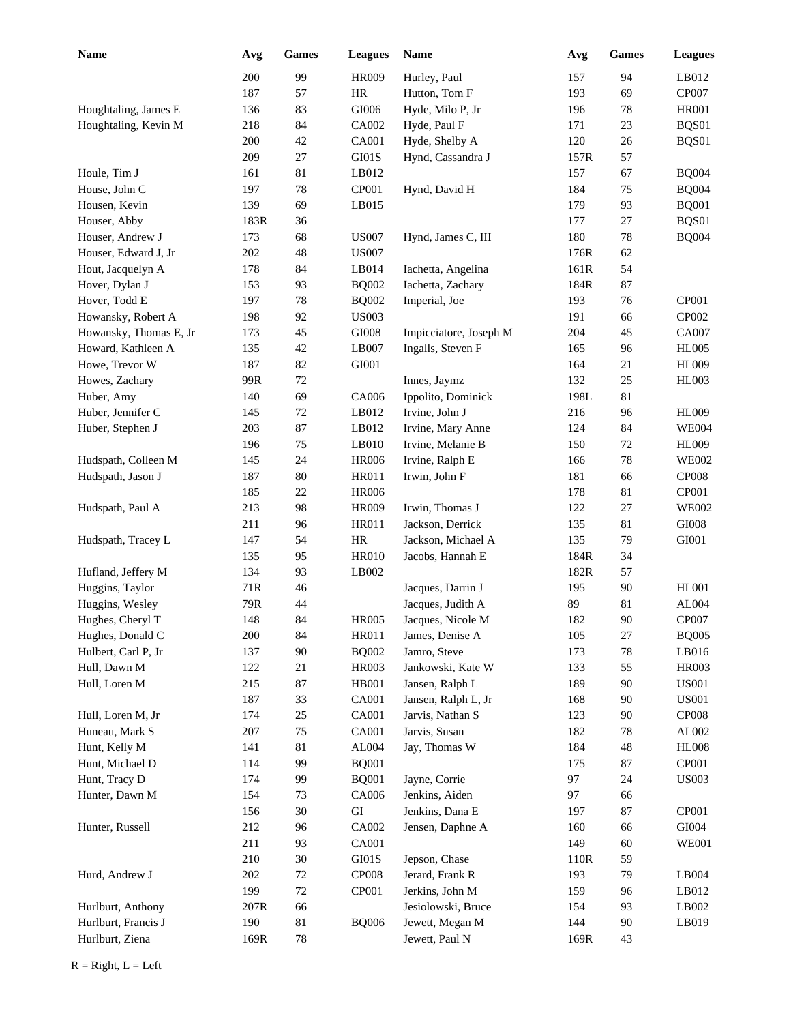| Name                   | Avg  | <b>Games</b> | <b>Leagues</b> | <b>Name</b>            | Avg    | Games  | <b>Leagues</b>    |
|------------------------|------|--------------|----------------|------------------------|--------|--------|-------------------|
|                        | 200  | 99           | <b>HR009</b>   | Hurley, Paul           | 157    | 94     | LB012             |
|                        | 187  | 57           | HR             | Hutton, Tom F          | 193    | 69     | CP007             |
| Houghtaling, James E   | 136  | 83           | GI006          | Hyde, Milo P, Jr       | 196    | 78     | <b>HR001</b>      |
| Houghtaling, Kevin M   | 218  | 84           | CA002          | Hyde, Paul F           | 171    | 23     | BQS01             |
|                        | 200  | 42           | <b>CA001</b>   | Hyde, Shelby A         | 120    | 26     | BQS01             |
|                        | 209  | 27           | GI01S          | Hynd, Cassandra J      | 157R   | 57     |                   |
| Houle, Tim J           | 161  | 81           | LB012          |                        | 157    | 67     | <b>BQ004</b>      |
| House, John C          | 197  | 78           | CP001          | Hynd, David H          | 184    | 75     | <b>BQ004</b>      |
| Housen, Kevin          | 139  | 69           | LB015          |                        | 179    | 93     | <b>BQ001</b>      |
| Houser, Abby           | 183R | 36           |                |                        | 177    | 27     | BQS01             |
| Houser, Andrew J       | 173  | 68           | <b>US007</b>   | Hynd, James C, III     | 180    | 78     | <b>BQ004</b>      |
| Houser, Edward J, Jr   | 202  | 48           | <b>US007</b>   |                        | $176R$ | 62     |                   |
| Hout, Jacquelyn A      | 178  | 84           | LB014          | Iachetta, Angelina     | 161R   | 54     |                   |
| Hover, Dylan J         | 153  | 93           | <b>BQ002</b>   | Iachetta, Zachary      | 184R   | 87     |                   |
| Hover, Todd E          | 197  | 78           | <b>BQ002</b>   | Imperial, Joe          | 193    | 76     | CP001             |
| Howansky, Robert A     | 198  | 92           | <b>US003</b>   |                        | 191    | 66     | CP002             |
| Howansky, Thomas E, Jr | 173  | 45           | $\rm GIO08$    | Impicciatore, Joseph M | 204    | 45     | CA007             |
| Howard, Kathleen A     | 135  | 42           | LB007          | Ingalls, Steven F      | 165    | 96     | <b>HL005</b>      |
| Howe, Trevor W         | 187  | 82           | GI001          |                        | 164    | 21     | <b>HL009</b>      |
| Howes, Zachary         | 99R  | 72           |                | Innes, Jaymz           | 132    | 25     | HL003             |
| Huber, Amy             | 140  | 69           | CA006          | Ippolito, Dominick     | 198L   | 81     |                   |
| Huber, Jennifer C      | 145  | 72           | LB012          | Irvine, John J         | 216    | 96     | <b>HL009</b>      |
| Huber, Stephen J       | 203  | 87           | LB012          | Irvine, Mary Anne      | 124    | 84     | <b>WE004</b>      |
|                        | 196  | 75           | LB010          | Irvine, Melanie B      | 150    | $72\,$ | <b>HL009</b>      |
| Hudspath, Colleen M    | 145  | 24           | <b>HR006</b>   | Irvine, Ralph E        | 166    | 78     | <b>WE002</b>      |
| Hudspath, Jason J      | 187  | 80           | <b>HR011</b>   | Irwin, John F          | 181    | 66     | CP <sub>008</sub> |
|                        | 185  | 22           | <b>HR006</b>   |                        | 178    | 81     | CP001             |
| Hudspath, Paul A       | 213  | 98           | <b>HR009</b>   | Irwin, Thomas J        | 122    | 27     | <b>WE002</b>      |
|                        | 211  | 96           | <b>HR011</b>   | Jackson, Derrick       | 135    | 81     | $\rm GIO08$       |
| Hudspath, Tracey L     | 147  | 54           | HR             | Jackson, Michael A     | 135    | 79     | GI001             |
|                        | 135  | 95           | <b>HR010</b>   | Jacobs, Hannah E       | 184R   | 34     |                   |
| Hufland, Jeffery M     | 134  | 93           | LB002          |                        | 182R   | 57     |                   |
| Huggins, Taylor        | 71R  | 46           |                | Jacques, Darrin J      | 195    | 90     | <b>HL001</b>      |
| Huggins, Wesley        | 79R  | 44           |                | Jacques, Judith A      | 89     | 81     | AL004             |
| Hughes, Cheryl T       | 148  | 84           | <b>HR005</b>   | Jacques, Nicole M      | 182    | 90     | CP007             |
| Hughes, Donald C       | 200  | 84           | HR011          | James, Denise A        | 105    | $27\,$ | <b>BQ005</b>      |
| Hulbert, Carl P, Jr    | 137  | 90           | <b>BQ002</b>   | Jamro, Steve           | 173    | 78     | LB016             |
| Hull, Dawn M           | 122  | 21           | HR003          | Jankowski, Kate W      | 133    | 55     | HR003             |
| Hull, Loren M          | 215  | 87           | HB001          | Jansen, Ralph L        | 189    | 90     | <b>US001</b>      |
|                        | 187  | 33           | CA001          | Jansen, Ralph L, Jr    | 168    | 90     | <b>US001</b>      |
| Hull, Loren M, Jr      | 174  | 25           | CA001          | Jarvis, Nathan S       | 123    | 90     | CP008             |
| Huneau, Mark S         | 207  | 75           | CA001          | Jarvis, Susan          | 182    | 78     | AL002             |
| Hunt, Kelly M          | 141  | 81           | AL004          | Jay, Thomas W          | 184    | 48     | <b>HL008</b>      |
| Hunt, Michael D        | 114  | 99           | <b>BQ001</b>   |                        | 175    | 87     | CP001             |
| Hunt, Tracy D          | 174  | 99           | <b>BQ001</b>   | Jayne, Corrie          | 97     | 24     | <b>US003</b>      |
| Hunter, Dawn M         | 154  | 73           | CA006          | Jenkins, Aiden         | 97     | 66     |                   |
|                        | 156  | 30           | GI             | Jenkins, Dana E        | 197    | $87\,$ | CP001             |
| Hunter, Russell        | 212  | 96           | CA002          | Jensen, Daphne A       | 160    | 66     | GI004             |
|                        | 211  | 93           | CA001          |                        | 149    | 60     | <b>WE001</b>      |
|                        | 210  | 30           | GI01S          | Jepson, Chase          | 110R   | 59     |                   |
| Hurd, Andrew J         | 202  | $72\,$       | <b>CP008</b>   | Jerard, Frank R        | 193    | 79     | LB004             |
|                        | 199  | $72\,$       | CP001          | Jerkins, John M        | 159    | 96     | LB012             |
| Hurlburt, Anthony      | 207R | 66           |                | Jesiolowski, Bruce     | 154    | 93     | LB002             |
| Hurlburt, Francis J    | 190  | $81\,$       | <b>BQ006</b>   | Jewett, Megan M        | 144    | 90     | LB019             |
| Hurlburt, Ziena        | 169R | 78           |                | Jewett, Paul N         | 169R   | 43     |                   |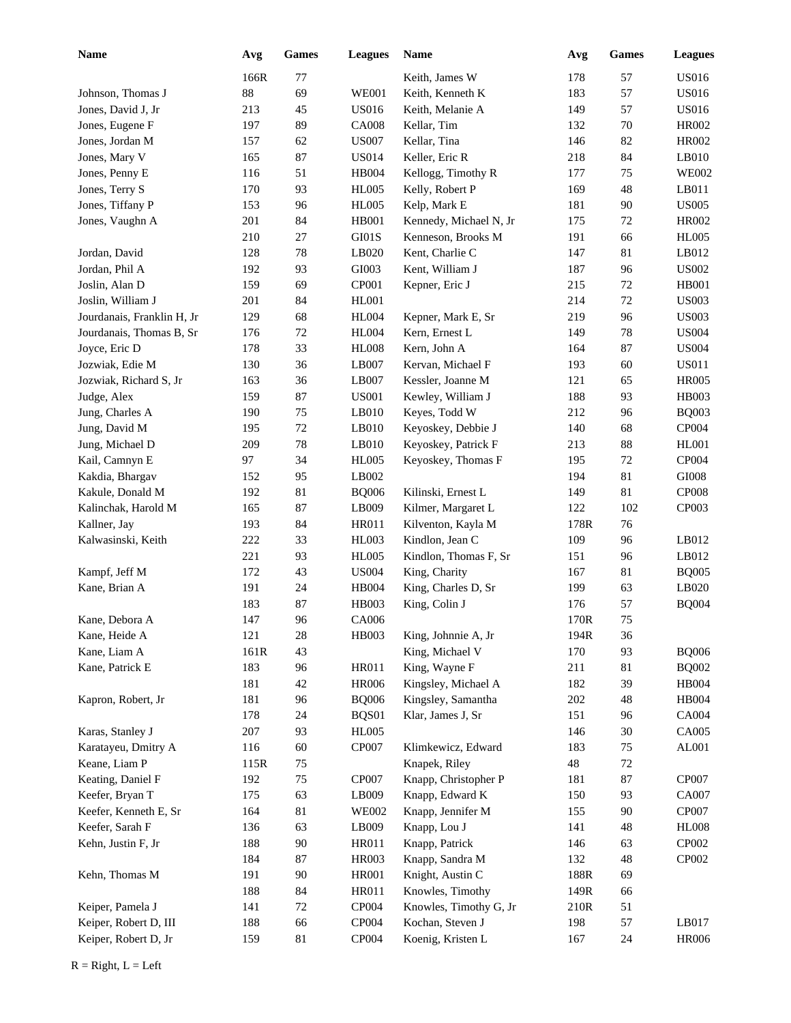| <b>Name</b>                | Avg  | Games  | <b>Leagues</b> | <b>Name</b>            | Avg    | <b>Games</b> | <b>Leagues</b> |
|----------------------------|------|--------|----------------|------------------------|--------|--------------|----------------|
|                            | 166R | 77     |                | Keith, James W         | 178    | 57           | <b>US016</b>   |
| Johnson, Thomas J          | 88   | 69     | <b>WE001</b>   | Keith. Kenneth K       | 183    | 57           | <b>US016</b>   |
| Jones, David J, Jr         | 213  | 45     | <b>US016</b>   | Keith, Melanie A       | 149    | 57           | <b>US016</b>   |
| Jones, Eugene F            | 197  | 89     | <b>CA008</b>   | Kellar, Tim            | 132    | $70\,$       | <b>HR002</b>   |
| Jones, Jordan M            | 157  | 62     | <b>US007</b>   | Kellar, Tina           | 146    | 82           | <b>HR002</b>   |
| Jones, Mary V              | 165  | 87     | <b>US014</b>   | Keller, Eric R         | 218    | 84           | LB010          |
| Jones, Penny E             | 116  | 51     | <b>HB004</b>   | Kellogg, Timothy R     | 177    | 75           | <b>WE002</b>   |
| Jones, Terry S             | 170  | 93     | <b>HL005</b>   | Kelly, Robert P        | 169    | 48           | LB011          |
| Jones, Tiffany P           | 153  | 96     | <b>HL005</b>   | Kelp, Mark E           | 181    | 90           | <b>US005</b>   |
| Jones, Vaughn A            | 201  | 84     | <b>HB001</b>   | Kennedy, Michael N, Jr | 175    | 72           | <b>HR002</b>   |
|                            | 210  | 27     | GI01S          | Kenneson, Brooks M     | 191    | 66           | <b>HL005</b>   |
| Jordan, David              | 128  | 78     | LB020          | Kent, Charlie C        | 147    | 81           | LB012          |
| Jordan, Phil A             | 192  | 93     | GI003          | Kent, William J        | 187    | 96           | <b>US002</b>   |
| Joslin, Alan D             | 159  | 69     | CP001          | Kepner, Eric J         | 215    | $72\,$       | HB001          |
| Joslin, William J          | 201  | 84     | <b>HL001</b>   |                        | 214    | 72           | <b>US003</b>   |
| Jourdanais, Franklin H, Jr | 129  | 68     | <b>HL004</b>   | Kepner, Mark E, Sr     | 219    | 96           | <b>US003</b>   |
| Jourdanais, Thomas B, Sr   | 176  | 72     | <b>HL004</b>   | Kern, Ernest L         | 149    | $78\,$       | <b>US004</b>   |
| Joyce, Eric D              | 178  | 33     | <b>HL008</b>   | Kern, John A           | 164    | 87           | <b>US004</b>   |
| Jozwiak, Edie M            | 130  | 36     | LB007          | Kervan, Michael F      | 193    | 60           | <b>US011</b>   |
| Jozwiak, Richard S, Jr     | 163  | 36     | LB007          | Kessler, Joanne M      | 121    | 65           | <b>HR005</b>   |
| Judge, Alex                | 159  | 87     | <b>US001</b>   | Kewley, William J      | 188    | 93           | <b>HB003</b>   |
| Jung, Charles A            | 190  | 75     | LB010          | Keyes, Todd W          | 212    | 96           | <b>BQ003</b>   |
| Jung, David M              | 195  | 72     | LB010          | Keyoskey, Debbie J     | 140    | 68           | CP004          |
| Jung, Michael D            | 209  | 78     | LB010          | Keyoskey, Patrick F    | 213    | 88           | <b>HL001</b>   |
| Kail, Camnyn E             | 97   | 34     | <b>HL005</b>   | Keyoskey, Thomas F     | 195    | 72           | CP004          |
| Kakdia, Bhargav            | 152  | 95     | LB002          |                        | 194    | 81           | $\rm GIO08$    |
| Kakule, Donald M           | 192  | 81     | <b>BQ006</b>   | Kilinski, Ernest L     | 149    | 81           | <b>CP008</b>   |
| Kalinchak, Harold M        | 165  | 87     | LB009          | Kilmer, Margaret L     | 122    | 102          | CP003          |
| Kallner, Jay               | 193  | 84     | <b>HR011</b>   | Kilventon, Kayla M     | 178R   | 76           |                |
| Kalwasinski, Keith         | 222  | 33     | HL003          | Kindlon, Jean C        | 109    | 96           | LB012          |
|                            | 221  | 93     | <b>HL005</b>   | Kindlon, Thomas F, Sr  | 151    | 96           | LB012          |
| Kampf, Jeff M              | 172  | 43     | <b>US004</b>   | King, Charity          | 167    | 81           | <b>BQ005</b>   |
| Kane, Brian A              | 191  | 24     | HB004          | King, Charles D, Sr    | 199    | 63           | LB020          |
|                            | 183  | 87     | HB003          | King, Colin J          | 176    | 57           | <b>BQ004</b>   |
| Kane, Debora A             | 147  | 96     | CA006          |                        | 170R   | 75           |                |
| Kane, Heide A              | 121  | 28     | HB003          | King, Johnnie A, Jr    | 194R   | 36           |                |
| Kane, Liam A               | 161R | 43     |                | King, Michael V        | 170    | 93           | <b>BQ006</b>   |
| Kane, Patrick E            | 183  | 96     | HR011          | King, Wayne F          | 211    | 81           | <b>BQ002</b>   |
|                            | 181  | 42     | <b>HR006</b>   | Kingsley, Michael A    | 182    | 39           | HB004          |
| Kapron, Robert, Jr         | 181  | 96     | <b>BQ006</b>   | Kingsley, Samantha     | 202    | 48           | HB004          |
|                            | 178  | 24     | BQS01          | Klar, James J, Sr      | 151    | 96           | CA004          |
| Karas, Stanley J           | 207  | 93     | <b>HL005</b>   |                        | 146    | $30\,$       | CA005          |
| Karatayeu, Dmitry A        | 116  | $60\,$ | CP007          | Klimkewicz, Edward     | 183    | 75           | AL001          |
| Keane, Liam P              | 115R | 75     |                | Knapek, Riley          | $48\,$ | 72           |                |
| Keating, Daniel F          | 192  | 75     | CP007          | Knapp, Christopher P   | 181    | 87           | CP007          |
| Keefer, Bryan T            | 175  | 63     | LB009          | Knapp, Edward K        | 150    | 93           | CA007          |
| Keefer, Kenneth E, Sr      | 164  | 81     | <b>WE002</b>   | Knapp, Jennifer M      | 155    | 90           | CP007          |
| Keefer, Sarah F            | 136  | 63     | LB009          | Knapp, Lou J           | 141    | 48           | <b>HL008</b>   |
| Kehn, Justin F, Jr         | 188  | $90\,$ | HR011          | Knapp, Patrick         | 146    | 63           | CP002          |
|                            | 184  | 87     | <b>HR003</b>   | Knapp, Sandra M        | 132    | 48           | CP002          |
| Kehn, Thomas M             | 191  | 90     | <b>HR001</b>   | Knight, Austin C       | 188R   | 69           |                |
|                            | 188  | 84     | HR011          | Knowles, Timothy       | 149R   | 66           |                |
| Keiper, Pamela J           | 141  | $72\,$ | CP004          | Knowles, Timothy G, Jr | 210R   | 51           |                |
| Keiper, Robert D, III      | 188  | 66     | CP004          | Kochan, Steven J       | 198    | 57           | LB017          |
| Keiper, Robert D, Jr       | 159  | 81     | CP004          | Koenig, Kristen L      | 167    | 24           | <b>HR006</b>   |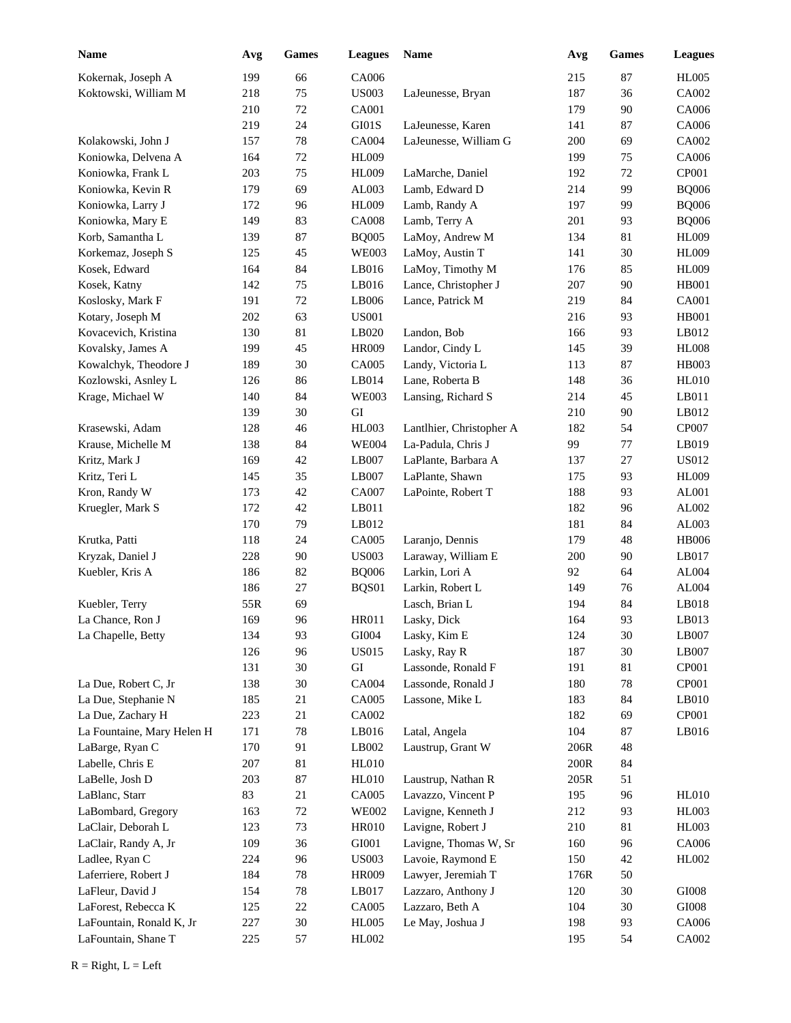| <b>Name</b>                | Avg | Games  | <b>Leagues</b> | Name                     | Avg    | <b>Games</b> | <b>Leagues</b> |
|----------------------------|-----|--------|----------------|--------------------------|--------|--------------|----------------|
| Kokernak, Joseph A         | 199 | 66     | CA006          |                          | 215    | 87           | <b>HL005</b>   |
| Koktowski, William M       | 218 | 75     | <b>US003</b>   | LaJeunesse, Bryan        | 187    | 36           | CA002          |
|                            | 210 | 72     | <b>CA001</b>   |                          | 179    | 90           | CA006          |
|                            | 219 | 24     | GI01S          | LaJeunesse, Karen        | 141    | 87           | CA006          |
| Kolakowski, John J         | 157 | 78     | CA004          | LaJeunesse, William G    | 200    | 69           | CA002          |
| Koniowka, Delvena A        | 164 | 72     | <b>HL009</b>   |                          | 199    | 75           | CA006          |
| Koniowka, Frank L          | 203 | 75     | <b>HL009</b>   | LaMarche, Daniel         | 192    | 72           | CP001          |
| Koniowka, Kevin R          | 179 | 69     | AL003          | Lamb, Edward D           | 214    | 99           | <b>BQ006</b>   |
| Koniowka, Larry J          | 172 | 96     | <b>HL009</b>   | Lamb, Randy A            | 197    | 99           | <b>BQ006</b>   |
| Koniowka, Mary E           | 149 | 83     | <b>CA008</b>   | Lamb, Terry A            | 201    | 93           | <b>BQ006</b>   |
| Korb, Samantha L           | 139 | 87     | <b>BQ005</b>   | LaMoy, Andrew M          | 134    | 81           | <b>HL009</b>   |
| Korkemaz, Joseph S         | 125 | 45     | <b>WE003</b>   | LaMoy, Austin T          | 141    | 30           | <b>HL009</b>   |
| Kosek, Edward              | 164 | 84     | LB016          | LaMoy, Timothy M         | 176    | 85           | <b>HL009</b>   |
| Kosek, Katny               | 142 | 75     | LB016          | Lance, Christopher J     | 207    | 90           | <b>HB001</b>   |
| Koslosky, Mark F           | 191 | 72     | LB006          | Lance, Patrick M         | 219    | 84           | <b>CA001</b>   |
| Kotary, Joseph M           | 202 | 63     | <b>US001</b>   |                          | 216    | 93           | <b>HB001</b>   |
| Kovacevich, Kristina       | 130 | 81     | LB020          | Landon, Bob              | 166    | 93           | LB012          |
| Kovalsky, James A          | 199 | 45     | <b>HR009</b>   | Landor, Cindy L          | 145    | 39           | <b>HL008</b>   |
| Kowalchyk, Theodore J      | 189 | 30     | CA005          | Landy, Victoria L        | 113    | 87           | <b>HB003</b>   |
| Kozlowski, Asnley L        | 126 | 86     | LB014          | Lane, Roberta B          | 148    | 36           | <b>HL010</b>   |
| Krage, Michael W           | 140 | 84     | <b>WE003</b>   | Lansing, Richard S       | 214    | 45           | LB011          |
|                            | 139 | 30     | ${\rm GI}$     |                          | 210    | 90           | LB012          |
| Krasewski, Adam            | 128 | 46     | <b>HL003</b>   | Lantlhier, Christopher A | 182    | 54           | CP007          |
| Krause, Michelle M         | 138 | 84     | <b>WE004</b>   | La-Padula, Chris J       | 99     | 77           | LB019          |
| Kritz, Mark J              | 169 | 42     | LB007          | LaPlante, Barbara A      | 137    | 27           | <b>US012</b>   |
| Kritz, Teri L              | 145 | 35     | LB007          | LaPlante, Shawn          | 175    | 93           | <b>HL009</b>   |
| Kron, Randy W              | 173 | 42     | CA007          | LaPointe, Robert T       | 188    | 93           | AL001          |
| Kruegler, Mark S           | 172 | 42     | LB011          |                          | 182    | 96           | AL002          |
|                            | 170 | 79     | LB012          |                          | 181    | 84           | AL003          |
| Krutka, Patti              | 118 | 24     | CA005          | Laranjo, Dennis          | 179    | 48           | <b>HB006</b>   |
| Kryzak, Daniel J           | 228 | 90     | <b>US003</b>   | Laraway, William E       | 200    | 90           | LB017          |
| Kuebler, Kris A            | 186 | 82     | <b>BQ006</b>   | Larkin, Lori A           | 92     | 64           | AL004          |
|                            | 186 | 27     | BQS01          | Larkin, Robert L         | 149    | 76           | AL004          |
| Kuebler, Terry             | 55R | 69     |                | Lasch, Brian L           | 194    | 84           | LB018          |
| La Chance, Ron J           | 169 | 96     | HR011          | Lasky, Dick              | 164    | 93           | LB013          |
| La Chapelle, Betty         | 134 | 93     | GI004          | Lasky, Kim E             | 124    | 30           | LB007          |
|                            | 126 | 96     | <b>US015</b>   | Lasky, Ray R             | 187    | 30           | LB007          |
|                            | 131 | $30\,$ | GI             | Lassonde, Ronald F       | 191    | 81           | CP001          |
| La Due, Robert C, Jr       | 138 | $30\,$ | CA004          | Lassonde, Ronald J       | 180    | 78           | CP001          |
| La Due, Stephanie N        | 185 | 21     | CA005          | Lassone, Mike L          | 183    | 84           | LB010          |
| La Due, Zachary H          | 223 | 21     | CA002          |                          | 182    | 69           | CP001          |
| La Fountaine, Mary Helen H | 171 | 78     | LB016          | Latal, Angela            | 104    | 87           | LB016          |
| LaBarge, Ryan C            | 170 | 91     | LB002          | Laustrup, Grant W        | 206R   | 48           |                |
| Labelle, Chris E           | 207 | 81     | <b>HL010</b>   |                          | $200R$ | 84           |                |
| LaBelle, Josh D            | 203 | $87\,$ | HL010          | Laustrup, Nathan R       | 205R   | 51           |                |
| LaBlanc, Starr             | 83  | 21     | CA005          | Lavazzo, Vincent P       | 195    | 96           | HL010          |
| LaBombard, Gregory         | 163 | $72\,$ | <b>WE002</b>   | Lavigne, Kenneth J       | 212    | 93           | HL003          |
| LaClair, Deborah L         | 123 | 73     | <b>HR010</b>   | Lavigne, Robert J        | 210    | $81\,$       | HL003          |
| LaClair, Randy A, Jr       | 109 | 36     | ${\rm GIO}01$  | Lavigne, Thomas W, Sr    | 160    | 96           | CA006          |
| Ladlee, Ryan C             | 224 | 96     | <b>US003</b>   | Lavoie, Raymond E        | 150    | 42           | HL002          |
| Laferriere, Robert J       | 184 | 78     | HR009          | Lawyer, Jeremiah T       | 176R   | 50           |                |
| LaFleur, David J           | 154 | 78     | LB017          | Lazzaro, Anthony J       | 120    | $30\,$       | ${\rm GIO}08$  |
| LaForest, Rebecca K        | 125 | $22\,$ | CA005          | Lazzaro, Beth A          | 104    | 30           | GI008          |
| LaFountain, Ronald K, Jr   | 227 | 30     | <b>HL005</b>   | Le May, Joshua J         | 198    | 93           | CA006          |
| LaFountain, Shane T        | 225 | 57     | HL002          |                          | 195    | 54           | CA002          |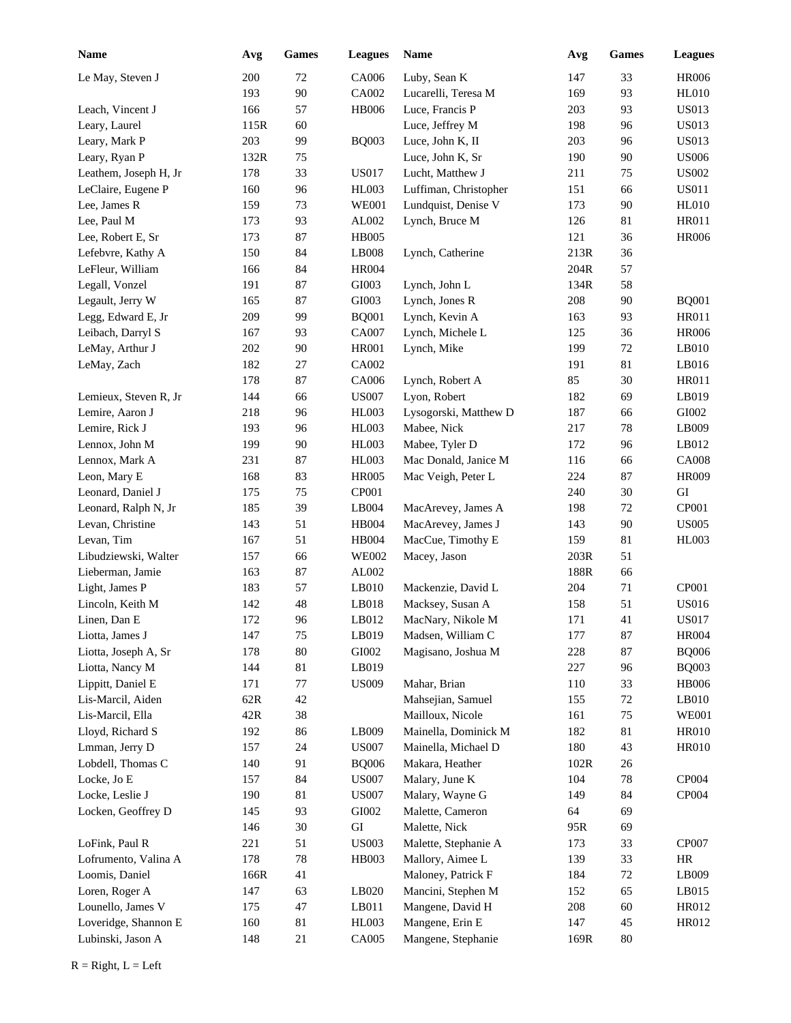| <b>Name</b>           | Avg  | Games  | <b>Leagues</b> | Name                  | Avg  | Games  | <b>Leagues</b> |
|-----------------------|------|--------|----------------|-----------------------|------|--------|----------------|
| Le May, Steven J      | 200  | 72     | CA006          | Luby, Sean K          | 147  | 33     | <b>HR006</b>   |
|                       | 193  | 90     | CA002          | Lucarelli, Teresa M   | 169  | 93     | <b>HL010</b>   |
| Leach, Vincent J      | 166  | 57     | <b>HB006</b>   | Luce, Francis P       | 203  | 93     | <b>US013</b>   |
| Leary, Laurel         | 115R | 60     |                | Luce, Jeffrey M       | 198  | 96     | <b>US013</b>   |
| Leary, Mark P         | 203  | 99     | <b>BQ003</b>   | Luce, John K, II      | 203  | 96     | <b>US013</b>   |
| Leary, Ryan P         | 132R | 75     |                | Luce, John K, Sr      | 190  | 90     | <b>US006</b>   |
| Leathem, Joseph H, Jr | 178  | 33     | <b>US017</b>   | Lucht, Matthew J      | 211  | 75     | <b>US002</b>   |
| LeClaire, Eugene P    | 160  | 96     | <b>HL003</b>   | Luffiman, Christopher | 151  | 66     | <b>US011</b>   |
| Lee, James R          | 159  | 73     | <b>WE001</b>   | Lundquist, Denise V   | 173  | 90     | <b>HL010</b>   |
| Lee, Paul M           | 173  | 93     | AL002          | Lynch, Bruce M        | 126  | 81     | <b>HR011</b>   |
| Lee, Robert E, Sr     | 173  | 87     | <b>HB005</b>   |                       | 121  | 36     | <b>HR006</b>   |
| Lefebvre, Kathy A     | 150  | 84     | LB008          | Lynch, Catherine      | 213R | 36     |                |
| LeFleur, William      | 166  | 84     | <b>HR004</b>   |                       | 204R | 57     |                |
| Legall, Vonzel        | 191  | 87     | GI003          | Lynch, John L         | 134R | 58     |                |
| Legault, Jerry W      | 165  | 87     | GI003          | Lynch, Jones R        | 208  | 90     | <b>BQ001</b>   |
| Legg, Edward E, Jr    | 209  | 99     | <b>BQ001</b>   | Lynch, Kevin A        | 163  | 93     | <b>HR011</b>   |
| Leibach, Darryl S     | 167  | 93     | CA007          | Lynch, Michele L      | 125  | 36     | <b>HR006</b>   |
| LeMay, Arthur J       | 202  | 90     | HR001          | Lynch, Mike           | 199  | 72     | LB010          |
| LeMay, Zach           | 182  | 27     | CA002          |                       | 191  | 81     | LB016          |
|                       | 178  | 87     | CA006          | Lynch, Robert A       | 85   | 30     | <b>HR011</b>   |
| Lemieux, Steven R, Jr | 144  | 66     | <b>US007</b>   | Lyon, Robert          | 182  | 69     | LB019          |
| Lemire, Aaron J       | 218  | 96     | <b>HL003</b>   | Lysogorski, Matthew D | 187  | 66     | ${\rm GIO}02$  |
| Lemire, Rick J        | 193  | 96     | HL003          | Mabee, Nick           | 217  | 78     | LB009          |
| Lennox, John M        | 199  | 90     | HL003          | Mabee, Tyler D        | 172  | 96     | LB012          |
| Lennox, Mark A        | 231  | 87     | <b>HL003</b>   | Mac Donald, Janice M  | 116  | 66     | <b>CA008</b>   |
| Leon, Mary E          | 168  | 83     | <b>HR005</b>   | Mac Veigh, Peter L    | 224  | 87     | <b>HR009</b>   |
| Leonard, Daniel J     | 175  | 75     | CP001          |                       | 240  | 30     | ${\rm GI}$     |
| Leonard, Ralph N, Jr  | 185  | 39     | LB004          | MacArevey, James A    | 198  | 72     | CP001          |
| Levan, Christine      | 143  | 51     | <b>HB004</b>   | MacArevey, James J    | 143  | 90     | <b>US005</b>   |
| Levan, Tim            | 167  | 51     | HB004          | MacCue, Timothy E     | 159  | 81     | <b>HL003</b>   |
| Libudziewski, Walter  | 157  | 66     | <b>WE002</b>   | Macey, Jason          | 203R | 51     |                |
| Lieberman, Jamie      | 163  | 87     | AL002          |                       | 188R | 66     |                |
| Light, James P        | 183  | 57     | LB010          | Mackenzie, David L    | 204  | 71     | CP001          |
| Lincoln, Keith M      | 142  | 48     | LB018          | Macksey, Susan A      | 158  | 51     | <b>US016</b>   |
| Linen, Dan E          | 172  | 96     | LB012          | MacNary, Nikole M     | 171  | 41     | <b>US017</b>   |
| Liotta, James J       | 147  | 75     | LB019          | Madsen, William C     | 177  | 87     | <b>HR004</b>   |
| Liotta, Joseph A, Sr  | 178  | $80\,$ | GI002          | Magisano, Joshua M    | 228  | 87     | <b>BQ006</b>   |
| Liotta, Nancy M       | 144  | 81     | LB019          |                       | 227  | 96     | <b>BQ003</b>   |
| Lippitt, Daniel E     | 171  | $77\,$ | <b>US009</b>   | Mahar, Brian          | 110  | 33     | HB006          |
| Lis-Marcil, Aiden     | 62R  | 42     |                | Mahsejian, Samuel     | 155  | 72     | $L$ B010       |
| Lis-Marcil, Ella      | 42R  | 38     |                | Mailloux, Nicole      | 161  | 75     | <b>WE001</b>   |
| Lloyd, Richard S      | 192  | 86     | LB009          | Mainella, Dominick M  | 182  | 81     | <b>HR010</b>   |
| Lmman, Jerry D        | 157  | 24     | <b>US007</b>   | Mainella, Michael D   | 180  | 43     | <b>HR010</b>   |
| Lobdell, Thomas C     | 140  | 91     | <b>BQ006</b>   | Makara, Heather       | 102R | 26     |                |
| Locke, Jo E           | 157  | 84     | <b>US007</b>   | Malary, June K        | 104  | 78     | CP004          |
| Locke, Leslie J       | 190  | 81     | <b>US007</b>   | Malary, Wayne G       | 149  | 84     | CP004          |
| Locken, Geoffrey D    | 145  | 93     | GI002          | Malette, Cameron      | 64   | 69     |                |
|                       | 146  | $30\,$ | ${\rm GI}$     | Malette, Nick         | 95R  | 69     |                |
| LoFink, Paul R        | 221  | 51     | <b>US003</b>   | Malette, Stephanie A  | 173  | 33     | CP007          |
| Lofrumento, Valina A  | 178  | $78\,$ | HB003          | Mallory, Aimee L      | 139  | 33     | HR             |
| Loomis, Daniel        | 166R | 41     |                | Maloney, Patrick F    | 184  | $72\,$ | LB009          |
| Loren, Roger A        | 147  | 63     | LB020          | Mancini, Stephen M    | 152  | 65     | LB015          |
| Lounello, James V     | 175  | 47     | LB011          | Mangene, David H      | 208  | $60\,$ | HR012          |
| Loveridge, Shannon E  | 160  | 81     | HL003          | Mangene, Erin E       | 147  | 45     | HR012          |
| Lubinski, Jason A     | 148  | 21     | CA005          | Mangene, Stephanie    | 169R | $80\,$ |                |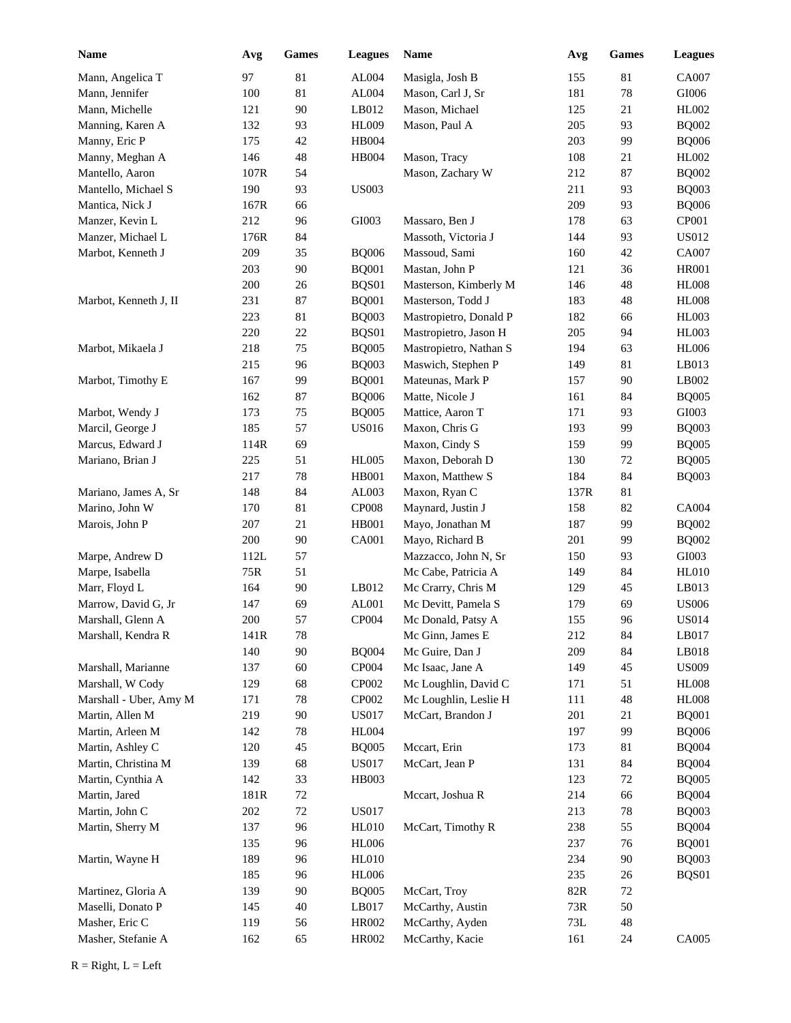| <b>Name</b>            | Avg  | Games  | <b>Leagues</b> | Name                   | Avg  | Games  | <b>Leagues</b> |
|------------------------|------|--------|----------------|------------------------|------|--------|----------------|
| Mann, Angelica T       | 97   | 81     | AL004          | Masigla, Josh B        | 155  | 81     | CA007          |
| Mann, Jennifer         | 100  | 81     | AL004          | Mason, Carl J, Sr      | 181  | $78\,$ | GI006          |
| Mann, Michelle         | 121  | 90     | LB012          | Mason, Michael         | 125  | 21     | HL002          |
| Manning, Karen A       | 132  | 93     | <b>HL009</b>   | Mason, Paul A          | 205  | 93     | <b>BQ002</b>   |
| Manny, Eric P          | 175  | 42     | HB004          |                        | 203  | 99     | <b>BQ006</b>   |
| Manny, Meghan A        | 146  | 48     | HB004          | Mason, Tracy           | 108  | 21     | HL002          |
| Mantello, Aaron        | 107R | 54     |                | Mason, Zachary W       | 212  | 87     | <b>BQ002</b>   |
| Mantello, Michael S    | 190  | 93     | <b>US003</b>   |                        | 211  | 93     | <b>BQ003</b>   |
| Mantica, Nick J        | 167R | 66     |                |                        | 209  | 93     | <b>BQ006</b>   |
| Manzer, Kevin L        | 212  | 96     | GI003          | Massaro, Ben J         | 178  | 63     | CP001          |
| Manzer, Michael L      | 176R | 84     |                | Massoth, Victoria J    | 144  | 93     | <b>US012</b>   |
| Marbot, Kenneth J      | 209  | 35     | <b>BQ006</b>   | Massoud, Sami          | 160  | 42     | CA007          |
|                        | 203  | 90     | <b>BQ001</b>   | Mastan, John P         | 121  | 36     | <b>HR001</b>   |
|                        | 200  | 26     | BQS01          | Masterson, Kimberly M  | 146  | 48     | <b>HL008</b>   |
| Marbot, Kenneth J, II  | 231  | 87     | <b>BQ001</b>   | Masterson, Todd J      | 183  | 48     | <b>HL008</b>   |
|                        | 223  | 81     | <b>BQ003</b>   | Mastropietro, Donald P | 182  | 66     | <b>HL003</b>   |
|                        | 220  | $22\,$ | BQS01          | Mastropietro, Jason H  | 205  | 94     | <b>HL003</b>   |
| Marbot, Mikaela J      | 218  | 75     | <b>BQ005</b>   | Mastropietro, Nathan S | 194  | 63     | <b>HL006</b>   |
|                        | 215  | 96     | <b>BQ003</b>   | Maswich, Stephen P     | 149  | 81     | LB013          |
| Marbot, Timothy E      | 167  | 99     | <b>BQ001</b>   | Mateunas, Mark P       | 157  | 90     | LB002          |
|                        | 162  | 87     | <b>BQ006</b>   | Matte, Nicole J        | 161  | 84     | <b>BQ005</b>   |
| Marbot, Wendy J        | 173  | 75     | <b>BQ005</b>   | Mattice, Aaron T       | 171  | 93     | GI003          |
| Marcil, George J       | 185  | 57     | <b>US016</b>   | Maxon, Chris G         | 193  | 99     | <b>BQ003</b>   |
| Marcus, Edward J       | 114R | 69     |                | Maxon, Cindy S         | 159  | 99     | <b>BQ005</b>   |
| Mariano, Brian J       | 225  | 51     | <b>HL005</b>   | Maxon, Deborah D       | 130  | 72     | <b>BQ005</b>   |
|                        | 217  | 78     | HB001          | Maxon, Matthew S       | 184  | 84     | <b>BQ003</b>   |
| Mariano, James A, Sr   | 148  | 84     | AL003          | Maxon, Ryan C          | 137R | 81     |                |
| Marino, John W         | 170  | 81     | <b>CP008</b>   | Maynard, Justin J      | 158  | 82     | CA004          |
| Marois, John P         | 207  | 21     | HB001          | Mayo, Jonathan M       | 187  | 99     | <b>BQ002</b>   |
|                        | 200  | 90     | CA001          | Mayo, Richard B        | 201  | 99     | <b>BQ002</b>   |
| Marpe, Andrew D        | 112L | 57     |                | Mazzacco, John N, Sr   | 150  | 93     | GI003          |
| Marpe, Isabella        | 75R  | 51     |                | Mc Cabe, Patricia A    | 149  | 84     | <b>HL010</b>   |
| Marr, Floyd L          | 164  | 90     | LB012          | Mc Crarry, Chris M     | 129  | 45     | LB013          |
| Marrow, David G, Jr    | 147  | 69     | AL001          | Mc Devitt, Pamela S    | 179  | 69     | <b>US006</b>   |
| Marshall, Glenn A      | 200  | 57     | CP004          | Mc Donald, Patsy A     | 155  | 96     | <b>US014</b>   |
| Marshall, Kendra R     | 141R | 78     |                | Mc Ginn, James E       | 212  | 84     | LB017          |
|                        | 140  | 90     | <b>BQ004</b>   | Mc Guire, Dan J        | 209  | 84     | LB018          |
| Marshall, Marianne     | 137  | 60     | CP004          | Mc Isaac, Jane A       | 149  | 45     | <b>US009</b>   |
| Marshall, W Cody       | 129  | 68     | CP002          | Mc Loughlin, David C   | 171  | 51     | <b>HL008</b>   |
| Marshall - Uber, Amy M | 171  | 78     | CP002          | Mc Loughlin, Leslie H  | 111  | 48     | <b>HL008</b>   |
| Martin, Allen M        | 219  | 90     | <b>US017</b>   | McCart, Brandon J      | 201  | 21     | <b>BQ001</b>   |
| Martin, Arleen M       | 142  | 78     | <b>HL004</b>   |                        | 197  | 99     | <b>BQ006</b>   |
| Martin, Ashley C       | 120  | 45     | <b>BQ005</b>   | Mccart, Erin           | 173  | 81     | <b>BQ004</b>   |
| Martin, Christina M    | 139  | 68     | <b>US017</b>   | McCart, Jean P         | 131  | 84     | <b>BQ004</b>   |
| Martin, Cynthia A      | 142  | 33     | HB003          |                        | 123  | 72     | <b>BQ005</b>   |
| Martin, Jared          | 181R | $72\,$ |                | Mccart, Joshua R       | 214  | 66     | <b>BQ004</b>   |
| Martin, John C         | 202  | $72\,$ | <b>US017</b>   |                        | 213  | $78\,$ | <b>BQ003</b>   |
| Martin, Sherry M       | 137  | 96     | <b>HL010</b>   | McCart, Timothy R      | 238  | 55     | <b>BQ004</b>   |
|                        | 135  | 96     | <b>HL006</b>   |                        | 237  | 76     | <b>BQ001</b>   |
| Martin, Wayne H        | 189  | 96     | <b>HL010</b>   |                        | 234  | 90     | <b>BQ003</b>   |
|                        | 185  | 96     | <b>HL006</b>   |                        | 235  | 26     | BQS01          |
| Martinez, Gloria A     | 139  | 90     | <b>BQ005</b>   | McCart, Troy           | 82R  | 72     |                |
| Maselli, Donato P      | 145  | 40     | LB017          | McCarthy, Austin       | 73R  | 50     |                |
| Masher, Eric C         | 119  | 56     | HR002          | McCarthy, Ayden        | 73L  | 48     |                |
| Masher, Stefanie A     | 162  | 65     | HR002          | McCarthy, Kacie        | 161  | 24     | CA005          |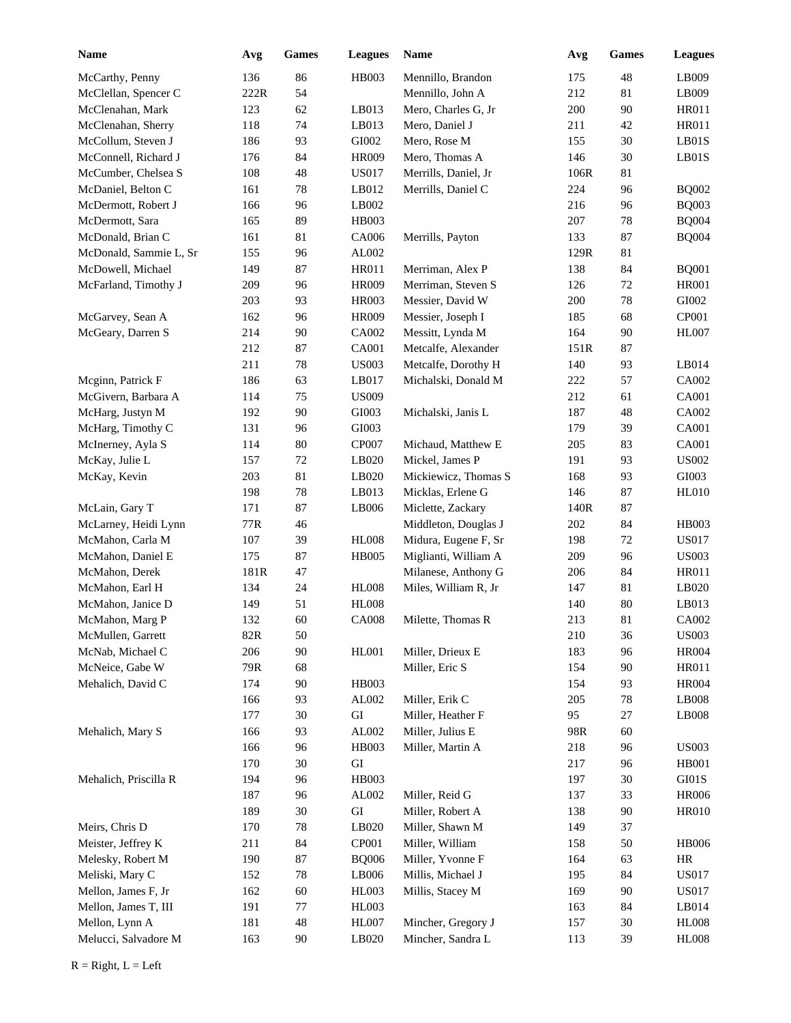| <b>Name</b>            | Avg  | Games  | <b>Leagues</b> | Name                 | Avg  | <b>Games</b> | <b>Leagues</b>         |
|------------------------|------|--------|----------------|----------------------|------|--------------|------------------------|
| McCarthy, Penny        | 136  | 86     | HB003          | Mennillo, Brandon    | 175  | 48           | LB009                  |
| McClellan, Spencer C   | 222R | 54     |                | Mennillo, John A     | 212  | 81           | LB009                  |
| McClenahan, Mark       | 123  | 62     | LB013          | Mero, Charles G, Jr  | 200  | 90           | HR011                  |
| McClenahan, Sherry     | 118  | 74     | LB013          | Mero, Daniel J       | 211  | 42           | <b>HR011</b>           |
| McCollum, Steven J     | 186  | 93     | ${\rm GIO}02$  | Mero, Rose M         | 155  | 30           | LBO1S                  |
| McConnell, Richard J   | 176  | 84     | <b>HR009</b>   | Mero, Thomas A       | 146  | 30           | LBO1S                  |
| McCumber, Chelsea S    | 108  | 48     | <b>US017</b>   | Merrills, Daniel, Jr | 106R | $81\,$       |                        |
| McDaniel, Belton C     | 161  | 78     | LB012          | Merrills, Daniel C   | 224  | 96           | <b>BQ002</b>           |
| McDermott, Robert J    | 166  | 96     | LB002          |                      | 216  | 96           | <b>BQ003</b>           |
| McDermott, Sara        | 165  | 89     | HB003          |                      | 207  | 78           | <b>BQ004</b>           |
| McDonald, Brian C      | 161  | 81     | CA006          | Merrills, Payton     | 133  | 87           | <b>BQ004</b>           |
| McDonald, Sammie L, Sr | 155  | 96     | AL002          |                      | 129R | $81\,$       |                        |
| McDowell, Michael      | 149  | 87     | <b>HR011</b>   | Merriman, Alex P     | 138  | 84           | <b>BQ001</b>           |
| McFarland, Timothy J   | 209  | 96     | <b>HR009</b>   | Merriman, Steven S   | 126  | $72\,$       | <b>HR001</b>           |
|                        | 203  | 93     | <b>HR003</b>   | Messier, David W     | 200  | 78           | GI002                  |
| McGarvey, Sean A       | 162  | 96     | <b>HR009</b>   | Messier, Joseph I    | 185  | 68           | CP001                  |
| McGeary, Darren S      | 214  | 90     | CA002          | Messitt, Lynda M     | 164  | 90           | <b>HL007</b>           |
|                        | 212  | 87     | CA001          | Metcalfe, Alexander  | 151R | 87           |                        |
|                        | 211  | $78\,$ | <b>US003</b>   | Metcalfe, Dorothy H  | 140  | 93           | LB014                  |
| Mcginn, Patrick F      | 186  | 63     | LB017          | Michalski, Donald M  | 222  | 57           | CA002                  |
| McGivern, Barbara A    | 114  | 75     | <b>US009</b>   |                      | 212  | 61           | CA001                  |
| McHarg, Justyn M       | 192  | 90     | GI003          | Michalski, Janis L   | 187  | 48           | CA002                  |
| McHarg, Timothy C      | 131  | 96     | GI003          |                      | 179  | 39           | CA001                  |
| McInerney, Ayla S      | 114  | 80     | CP007          | Michaud, Matthew E   | 205  | 83           | CA001                  |
| McKay, Julie L         | 157  | 72     | LB020          | Mickel, James P      | 191  | 93           | <b>US002</b>           |
| McKay, Kevin           | 203  | 81     | LB020          | Mickiewicz, Thomas S | 168  | 93           | GI003                  |
|                        | 198  | 78     | LB013          | Micklas, Erlene G    | 146  | 87           | <b>HL010</b>           |
| McLain, Gary T         | 171  | 87     | LB006          | Miclette, Zackary    | 140R | 87           |                        |
| McLarney, Heidi Lynn   | 77R  | 46     |                | Middleton, Douglas J | 202  | 84           | HB003                  |
| McMahon, Carla M       | 107  | 39     | <b>HL008</b>   | Midura, Eugene F, Sr | 198  | $72\,$       | <b>US017</b>           |
| McMahon, Daniel E      | 175  | 87     | <b>HB005</b>   | Miglianti, William A | 209  | 96           | <b>US003</b>           |
| McMahon, Derek         | 181R | 47     |                | Milanese, Anthony G  | 206  | 84           | <b>HR011</b>           |
| McMahon, Earl H        | 134  | 24     | HL008          | Miles, William R, Jr | 147  | $81\,$       | LB020                  |
| McMahon, Janice D      | 149  | 51     | <b>HL008</b>   |                      | 140  | 80           | LB013                  |
| McMahon, Marg P        | 132  | 60     | <b>CA008</b>   | Milette, Thomas R    | 213  | 81           | CA002                  |
| McMullen, Garrett      | 82R  | 50     |                |                      | 210  | 36           | <b>US003</b>           |
| McNab, Michael C       | 206  | 90     | HL001          | Miller, Drieux E     | 183  | 96           | <b>HR004</b>           |
| McNeice, Gabe W        | 79R  | 68     |                | Miller, Eric S       | 154  | 90           | HR011                  |
| Mehalich, David C      | 174  | 90     | HB003          |                      | 154  | 93           | <b>HR004</b>           |
|                        | 166  | 93     | AL002          | Miller, Erik C       | 205  | 78           | LB008                  |
|                        | 177  | $30\,$ | ${\rm GI}$     | Miller, Heather F    | 95   | 27           | $\operatorname{LB008}$ |
| Mehalich, Mary S       | 166  | 93     | ${\rm AL}002$  | Miller, Julius E     | 98R  | 60           |                        |
|                        | 166  | 96     | HB003          | Miller, Martin A     | 218  | 96           | <b>US003</b>           |
|                        | 170  | 30     | GI             |                      | 217  | 96           | <b>HB001</b>           |
| Mehalich, Priscilla R  | 194  | 96     | HB003          |                      | 197  | 30           | GI01S                  |
|                        | 187  | 96     | AL002          | Miller, Reid G       | 137  | 33           | <b>HR006</b>           |
|                        | 189  | $30\,$ | ${\rm GI}$     | Miller, Robert A     | 138  | 90           | <b>HR010</b>           |
| Meirs, Chris D         | 170  | 78     | LB020          | Miller, Shawn M      | 149  | 37           |                        |
| Meister, Jeffrey K     | 211  | 84     | CP001          | Miller, William      | 158  | $50\,$       | <b>HB006</b>           |
| Melesky, Robert M      | 190  | 87     | <b>BQ006</b>   | Miller, Yvonne F     | 164  | 63           | HR                     |
| Meliski, Mary C        | 152  | $78\,$ | LB006          | Millis, Michael J    | 195  | 84           | <b>US017</b>           |
| Mellon, James F, Jr    | 162  | 60     | <b>HL003</b>   | Millis, Stacey M     | 169  | 90           | <b>US017</b>           |
| Mellon, James T, III   | 191  | 77     | <b>HL003</b>   |                      | 163  | 84           | LB014                  |
| Mellon, Lynn A         | 181  | 48     | <b>HL007</b>   | Mincher, Gregory J   | 157  | $30\,$       | <b>HL008</b>           |
| Melucci, Salvadore M   | 163  | $90\,$ | LB020          | Mincher, Sandra L    | 113  | 39           | <b>HL008</b>           |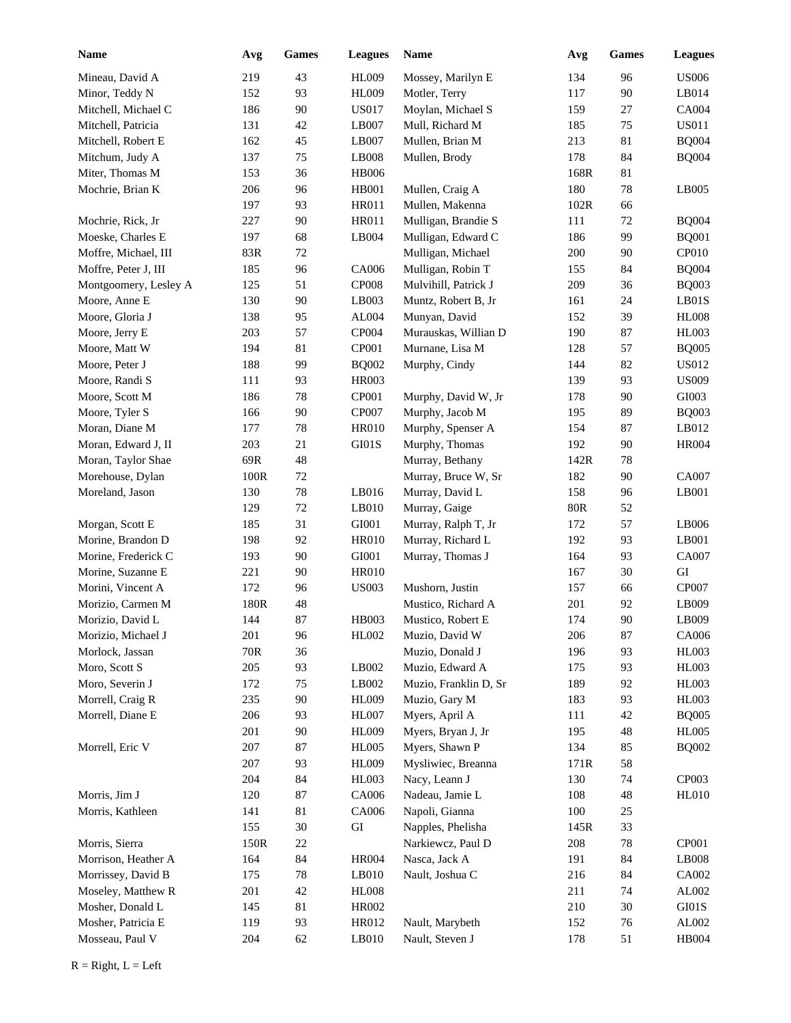| <b>Name</b>           | Avg        | Games  | <b>Leagues</b>    | Name                  | Avg  | <b>Games</b> | <b>Leagues</b> |
|-----------------------|------------|--------|-------------------|-----------------------|------|--------------|----------------|
| Mineau, David A       | 219        | 43     | <b>HL009</b>      | Mossey, Marilyn E     | 134  | 96           | <b>US006</b>   |
| Minor, Teddy N        | 152        | 93     | <b>HL009</b>      | Motler, Terry         | 117  | 90           | LB014          |
| Mitchell, Michael C   | 186        | 90     | US017             | Moylan, Michael S     | 159  | 27           | CA004          |
| Mitchell, Patricia    | 131        | 42     | LB007             | Mull, Richard M       | 185  | 75           | <b>US011</b>   |
| Mitchell, Robert E    | 162        | 45     | LB007             | Mullen, Brian M       | 213  | 81           | <b>BQ004</b>   |
| Mitchum, Judy A       | 137        | 75     | LB008             | Mullen, Brody         | 178  | 84           | <b>BQ004</b>   |
| Miter, Thomas M       | 153        | 36     | <b>HB006</b>      |                       | 168R | 81           |                |
| Mochrie, Brian K      | 206        | 96     | HB001             | Mullen, Craig A       | 180  | 78           | LB005          |
|                       | 197        | 93     | HR011             | Mullen, Makenna       | 102R | 66           |                |
| Mochrie, Rick, Jr     | 227        | 90     | HR011             | Mulligan, Brandie S   | 111  | $72\,$       | <b>BQ004</b>   |
| Moeske, Charles E     | 197        | 68     | LB004             | Mulligan, Edward C    | 186  | 99           | <b>BQ001</b>   |
| Moffre, Michael, III  | 83R        | 72     |                   | Mulligan, Michael     | 200  | 90           | CP010          |
| Moffre, Peter J, III  | 185        | 96     | CA006             | Mulligan, Robin T     | 155  | 84           | <b>BQ004</b>   |
| Montgoomery, Lesley A | 125        | 51     | CP <sub>008</sub> | Mulvihill, Patrick J  | 209  | 36           | <b>BQ003</b>   |
| Moore, Anne E         | 130        | 90     | LB003             | Muntz, Robert B, Jr   | 161  | 24           | LB01S          |
| Moore, Gloria J       | 138        | 95     | AL004             | Munyan, David         | 152  | 39           | <b>HL008</b>   |
| Moore, Jerry E        | 203        | 57     | CP004             | Murauskas, Willian D  | 190  | 87           | <b>HL003</b>   |
| Moore, Matt W         | 194        | 81     | CP001             | Murnane, Lisa M       | 128  | 57           | <b>BQ005</b>   |
| Moore, Peter J        | 188        | 99     | <b>BQ002</b>      | Murphy, Cindy         | 144  | 82           | US012          |
| Moore, Randi S        | 111        | 93     | HR003             |                       | 139  | 93           | <b>US009</b>   |
| Moore, Scott M        | 186        | 78     | CP001             | Murphy, David W, Jr   | 178  | 90           | GI003          |
| Moore, Tyler S        | 166        | 90     | CP007             | Murphy, Jacob M       | 195  | 89           | <b>BQ003</b>   |
| Moran, Diane M        | 177        | 78     | <b>HR010</b>      | Murphy, Spenser A     | 154  | 87           | LB012          |
| Moran, Edward J, II   | 203        | 21     | GI01S             | Murphy, Thomas        | 192  | 90           | <b>HR004</b>   |
| Moran, Taylor Shae    | 69R        | 48     |                   | Murray, Bethany       | 142R | 78           |                |
| Morehouse, Dylan      | 100R       | $72\,$ |                   | Murray, Bruce W, Sr   | 182  | 90           | CA007          |
| Moreland, Jason       | 130        | $78\,$ | LB016             | Murray, David L       | 158  | 96           | LB001          |
|                       | 129        | $72\,$ | LB010             | Murray, Gaige         | 80R  | 52           |                |
| Morgan, Scott E       | 185        | 31     | GI001             | Murray, Ralph T, Jr   | 172  | 57           | LB006          |
| Morine, Brandon D     | 198        | 92     | <b>HR010</b>      | Murray, Richard L     | 192  | 93           | LB001          |
| Morine, Frederick C   | 193        | 90     | GI001             | Murray, Thomas J      | 164  | 93           | <b>CA007</b>   |
| Morine, Suzanne E     | 221        | 90     | <b>HR010</b>      |                       | 167  | 30           | GI             |
| Morini, Vincent A     | 172        | 96     | <b>US003</b>      | Mushorn, Justin       | 157  | 66           | CP007          |
| Morizio, Carmen M     | 180R       | 48     |                   | Mustico, Richard A    | 201  | 92           | LB009          |
| Morizio, David L      | 144        | 87     | HB003             | Mustico, Robert E     | 174  | 90           | LB009          |
| Morizio, Michael J    | 201        | 96     | HL002             | Muzio, David W        | 206  | 87           | CA006          |
| Morlock, Jassan       | <b>70R</b> | 36     |                   | Muzio, Donald J       | 196  | 93           | <b>HL003</b>   |
| Moro, Scott S         | 205        | 93     | LB002             | Muzio, Edward A       | 175  | 93           | HL003          |
| Moro, Severin J       | 172        | 75     | LB002             | Muzio, Franklin D, Sr | 189  | 92           | HL003          |
| Morrell, Craig R      | 235        | 90     | <b>HL009</b>      | Muzio, Gary M         | 183  | 93           | <b>HL003</b>   |
| Morrell, Diane E      | 206        | 93     | <b>HL007</b>      | Myers, April A        | 111  | 42           | <b>BQ005</b>   |
|                       | 201        | 90     | <b>HL009</b>      | Myers, Bryan J, Jr    | 195  | 48           | <b>HL005</b>   |
| Morrell, Eric V       | 207        | 87     | <b>HL005</b>      | Myers, Shawn P        | 134  | 85           | <b>BQ002</b>   |
|                       | 207        | 93     | <b>HL009</b>      | Mysliwiec, Breanna    | 171R | 58           |                |
|                       | 204        | 84     | HL003             | Nacy, Leann J         | 130  | 74           | CP003          |
| Morris, Jim J         | 120        | 87     | CA006             | Nadeau, Jamie L       | 108  | 48           | <b>HL010</b>   |
| Morris, Kathleen      | 141        | 81     | CA006             | Napoli, Gianna        | 100  | $25\,$       |                |
|                       | 155        | $30\,$ | ${\rm GI}$        | Napples, Phelisha     | 145R | 33           |                |
| Morris, Sierra        | 150R       | $22\,$ |                   | Narkiewcz, Paul D     | 208  | 78           | CP001          |
| Morrison, Heather A   | 164        | 84     | <b>HR004</b>      | Nasca, Jack A         | 191  | 84           | LB008          |
| Morrissey, David B    | 175        | $78\,$ | LB010             | Nault, Joshua C       | 216  | 84           | CA002          |
| Moseley, Matthew R    | 201        | 42     | <b>HL008</b>      |                       | 211  | 74           | AL002          |
| Mosher, Donald L      | 145        | 81     | HR002             |                       | 210  | 30           | GI01S          |
| Mosher, Patricia E    | 119        | 93     | HR012             | Nault, Marybeth       | 152  | 76           | AL002          |
| Mosseau, Paul V       | 204        | 62     | $L$ B010          | Nault, Steven J       | 178  | 51           | <b>HB004</b>   |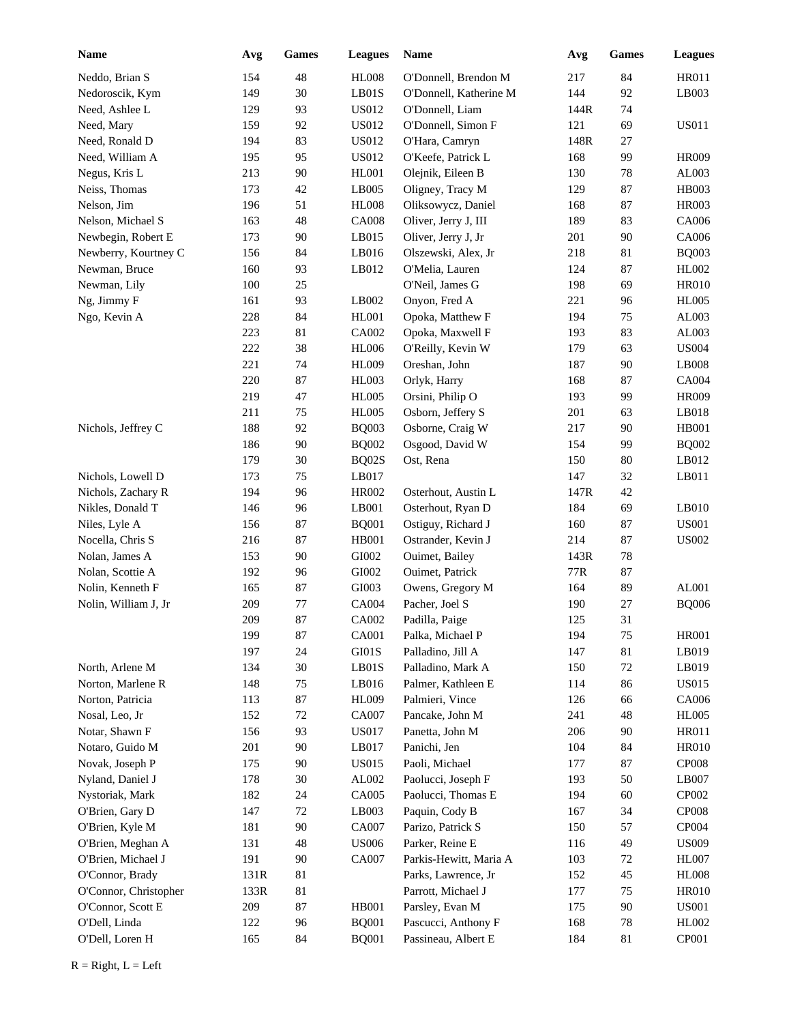| <b>Name</b>           | Avg  | Games   | <b>Leagues</b> | Name                   | Avg     | <b>Games</b> | <b>Leagues</b> |
|-----------------------|------|---------|----------------|------------------------|---------|--------------|----------------|
| Neddo, Brian S        | 154  | 48      | <b>HL008</b>   | O'Donnell, Brendon M   | 217     | 84           | HR011          |
| Nedoroscik, Kym       | 149  | 30      | LB01S          | O'Donnell, Katherine M | 144     | 92           | LB003          |
| Need, Ashlee L        | 129  | 93      | US012          | O'Donnell, Liam        | 144R    | 74           |                |
| Need, Mary            | 159  | 92      | <b>US012</b>   | O'Donnell, Simon F     | 121     | 69           | <b>US011</b>   |
| Need, Ronald D        | 194  | 83      | <b>US012</b>   | O'Hara, Camryn         | 148R    | 27           |                |
| Need, William A       | 195  | 95      | <b>US012</b>   | O'Keefe, Patrick L     | 168     | 99           | <b>HR009</b>   |
| Negus, Kris L         | 213  | 90      | <b>HL001</b>   | Olejnik, Eileen B      | 130     | 78           | AL003          |
| Neiss, Thomas         | 173  | 42      | LB005          | Oligney, Tracy M       | 129     | 87           | HB003          |
| Nelson, Jim           | 196  | 51      | <b>HL008</b>   | Oliksowycz, Daniel     | 168     | 87           | <b>HR003</b>   |
| Nelson, Michael S     | 163  | 48      | <b>CA008</b>   | Oliver, Jerry J, III   | 189     | 83           | CA006          |
| Newbegin, Robert E    | 173  | 90      | LB015          | Oliver, Jerry J, Jr    | 201     | 90           | CA006          |
| Newberry, Kourtney C  | 156  | 84      | LB016          | Olszewski, Alex, Jr    | 218     | 81           | <b>BQ003</b>   |
| Newman, Bruce         | 160  | 93      | LB012          | O'Melia, Lauren        | 124     | 87           | HL002          |
| Newman, Lily          | 100  | 25      |                | O'Neil, James G        | 198     | 69           | <b>HR010</b>   |
| Ng, Jimmy F           | 161  | 93      | LB002          | Onyon, Fred A          | 221     | 96           | <b>HL005</b>   |
| Ngo, Kevin A          | 228  | 84      | HL001          | Opoka, Matthew F       | 194     | 75           | AL003          |
|                       | 223  | 81      | CA002          | Opoka, Maxwell F       | 193     | 83           | AL003          |
|                       | 222  | 38      | <b>HL006</b>   | O'Reilly, Kevin W      | 179     | 63           | <b>US004</b>   |
|                       | 221  | 74      | <b>HL009</b>   | Oreshan, John          | 187     | 90           | LB008          |
|                       | 220  | 87      | HL003          | Orlyk, Harry           | 168     | 87           | CA004          |
|                       | 219  | 47      | <b>HL005</b>   | Orsini, Philip O       | 193     | 99           | <b>HR009</b>   |
|                       | 211  | 75      | <b>HL005</b>   | Osborn, Jeffery S      | 201     | 63           | LB018          |
| Nichols, Jeffrey C    | 188  | 92      | <b>BQ003</b>   | Osborne, Craig W       | 217     | 90           | <b>HB001</b>   |
|                       | 186  | 90      | <b>BQ002</b>   | Osgood, David W        | 154     | 99           | <b>BQ002</b>   |
|                       | 179  | 30      | BQ02S          | Ost, Rena              | 150     | 80           | LB012          |
| Nichols, Lowell D     | 173  | 75      | LB017          |                        | 147     | 32           | LB011          |
| Nichols, Zachary R    | 194  | 96      | HR002          | Osterhout, Austin L    | 147R    | 42           |                |
| Nikles, Donald T      | 146  | 96      | LB001          | Osterhout, Ryan D      | 184     | 69           | LB010          |
| Niles, Lyle A         | 156  | 87      | <b>BQ001</b>   | Ostiguy, Richard J     | 160     | 87           | <b>US001</b>   |
| Nocella, Chris S      | 216  | 87      | HB001          | Ostrander, Kevin J     | 214     | 87           | <b>US002</b>   |
| Nolan, James A        | 153  | 90      | GI002          | Ouimet, Bailey         | 143R    | 78           |                |
| Nolan, Scottie A      | 192  | 96      | GI002          | Ouimet, Patrick        | 77R     | 87           |                |
| Nolin, Kenneth F      | 165  | 87      | GI003          | Owens, Gregory M       | 164     | 89           | AL001          |
| Nolin, William J, Jr  | 209  | $77 \,$ | CA004          | Pacher, Joel S         | 190     | 27           | <b>BQ006</b>   |
|                       | 209  | 87      | CA002          | Padilla, Paige         | $125\,$ | 31           |                |
|                       | 199  | 87      | CA001          | Palka, Michael P       | 194     | 75           | <b>HR001</b>   |
|                       | 197  | 24      | GI01S          | Palladino, Jill A      | 147     | 81           | LB019          |
| North, Arlene M       | 134  | $30\,$  | LBO1S          | Palladino, Mark A      | 150     | $72\,$       | LB019          |
| Norton, Marlene R     | 148  | 75      | LB016          | Palmer, Kathleen E     | 114     | 86           | <b>US015</b>   |
| Norton, Patricia      | 113  | $87\,$  | <b>HL009</b>   | Palmieri, Vince        | 126     | 66           | CA006          |
| Nosal, Leo, Jr        | 152  | 72      | CA007          | Pancake, John M        | 241     | 48           | <b>HL005</b>   |
| Notar, Shawn F        | 156  | 93      | <b>US017</b>   | Panetta, John M        | 206     | 90           | HR011          |
| Notaro, Guido M       | 201  | 90      | LB017          | Panichi, Jen           | 104     | 84           | <b>HR010</b>   |
| Novak, Joseph P       | 175  | 90      | US015          | Paoli, Michael         | 177     | 87           | <b>CP008</b>   |
| Nyland, Daniel J      | 178  | $30\,$  | AL002          | Paolucci, Joseph F     | 193     | 50           | LB007          |
| Nystoriak, Mark       | 182  | 24      | CA005          | Paolucci, Thomas E     | 194     | 60           | CP002          |
| O'Brien, Gary D       | 147  | 72      | LB003          | Paquin, Cody B         | 167     | 34           | <b>CP008</b>   |
| O'Brien, Kyle M       | 181  | $90\,$  | CA007          | Parizo, Patrick S      | 150     | 57           | CP004          |
| O'Brien, Meghan A     | 131  | 48      | <b>US006</b>   | Parker, Reine E        | 116     | 49           | <b>US009</b>   |
| O'Brien, Michael J    | 191  | $90\,$  | CA007          | Parkis-Hewitt, Maria A | 103     | $72\,$       | <b>HL007</b>   |
| O'Connor, Brady       | 131R | 81      |                | Parks, Lawrence, Jr    | 152     | 45           | <b>HL008</b>   |
| O'Connor, Christopher | 133R | 81      |                | Parrott, Michael J     | 177     | 75           | <b>HR010</b>   |
| O'Connor, Scott E     | 209  | 87      | HB001          | Parsley, Evan M        | 175     | 90           | <b>US001</b>   |
| O'Dell, Linda         | 122  | 96      | <b>BQ001</b>   | Pascucci, Anthony F    | 168     | 78           | HL002          |
| O'Dell, Loren H       | 165  | 84      | <b>BQ001</b>   | Passineau, Albert E    | 184     | $81\,$       | CP001          |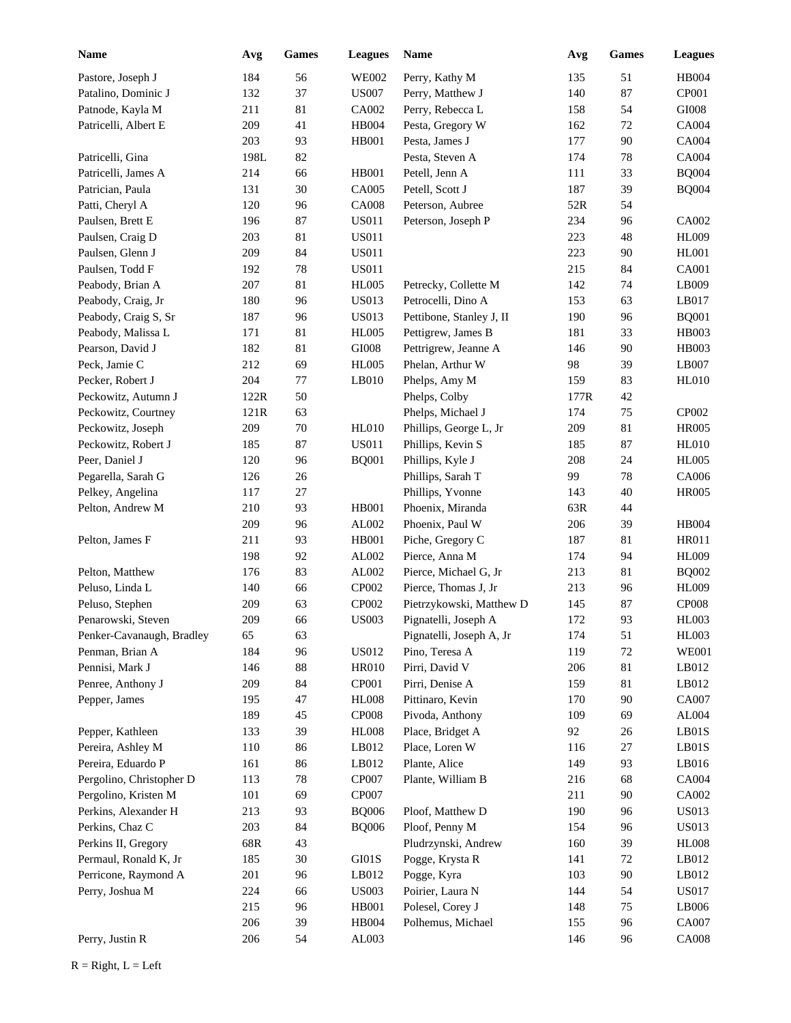| <b>Name</b>                                  | Avg  | Games  | <b>Leagues</b> | <b>Name</b>              | Avg  | Games  | <b>Leagues</b>        |
|----------------------------------------------|------|--------|----------------|--------------------------|------|--------|-----------------------|
| Pastore, Joseph J                            | 184  | 56     | <b>WE002</b>   | Perry, Kathy M           | 135  | 51     | <b>HB004</b>          |
| Patalino, Dominic J                          | 132  | 37     | <b>US007</b>   | Perry, Matthew J         | 140  | 87     | CP001                 |
| Patnode, Kayla M                             | 211  | 81     | CA002          | Perry, Rebecca L         | 158  | 54     | GI008                 |
| Patricelli, Albert E                         | 209  | 41     | HB004          | Pesta, Gregory W         | 162  | $72\,$ | CA004                 |
|                                              | 203  | 93     | <b>HB001</b>   | Pesta, James J           | 177  | 90     | CA004                 |
| Patricelli, Gina                             | 198L | 82     |                | Pesta, Steven A          | 174  | $78\,$ | CA004                 |
| Patricelli, James A                          | 214  | 66     | <b>HB001</b>   | Petell, Jenn A           | 111  | 33     | <b>BQ004</b>          |
| Patrician, Paula                             | 131  | 30     | CA005          | Petell, Scott J          | 187  | 39     | <b>BQ004</b>          |
| Patti, Cheryl A                              | 120  | 96     | <b>CA008</b>   | Peterson, Aubree         | 52R  | 54     |                       |
| Paulsen, Brett E                             | 196  | 87     | <b>US011</b>   | Peterson, Joseph P       | 234  | 96     | CA002                 |
| Paulsen, Craig D                             | 203  | 81     | <b>US011</b>   |                          | 223  | 48     | <b>HL009</b>          |
| Paulsen, Glenn J                             | 209  | 84     | <b>US011</b>   |                          | 223  | 90     | HL001                 |
| Paulsen, Todd F                              | 192  | 78     | <b>US011</b>   |                          | 215  | 84     | CA001                 |
| Peabody, Brian A                             | 207  | 81     | <b>HL005</b>   | Petrecky, Collette M     | 142  | 74     | LB009                 |
| Peabody, Craig, Jr                           | 180  | 96     | <b>US013</b>   | Petrocelli, Dino A       | 153  | 63     | LB017                 |
| Peabody, Craig S, Sr                         | 187  | 96     | <b>US013</b>   | Pettibone, Stanley J, II | 190  | 96     | <b>BQ001</b>          |
| Peabody, Malissa L                           | 171  | 81     | <b>HL005</b>   | Pettigrew, James B       | 181  | 33     | HB003                 |
| Pearson, David J                             | 182  | 81     | GI008          | Pettrigrew, Jeanne A     | 146  | 90     | HB003                 |
| Peck, Jamie C                                | 212  | 69     | <b>HL005</b>   | Phelan, Arthur W         | 98   | 39     | LB007                 |
| Pecker, Robert J                             | 204  | 77     | LB010          | Phelps, Amy M            | 159  | 83     | <b>HL010</b>          |
| Peckowitz, Autumn J                          | 122R | 50     |                | Phelps, Colby            | 177R | 42     |                       |
| Peckowitz, Courtney                          | 121R | 63     |                | Phelps, Michael J        | 174  | 75     | CP002                 |
| Peckowitz, Joseph                            | 209  | $70\,$ | HL010          | Phillips, George L, Jr   | 209  | 81     | <b>HR005</b>          |
| Peckowitz, Robert J                          | 185  | 87     | <b>US011</b>   | Phillips, Kevin S        | 185  | 87     | <b>HL010</b>          |
| Peer, Daniel J                               | 120  | 96     | <b>BQ001</b>   | Phillips, Kyle J         | 208  | 24     | <b>HL005</b>          |
| Pegarella, Sarah G                           | 126  | 26     |                | Phillips, Sarah T        | 99   | 78     | CA006                 |
| Pelkey, Angelina                             | 117  | 27     |                | Phillips, Yvonne         | 143  | 40     | <b>HR005</b>          |
| Pelton, Andrew M                             | 210  | 93     | <b>HB001</b>   | Phoenix, Miranda         | 63R  | 44     |                       |
|                                              | 209  | 96     | AL002          | Phoenix, Paul W          | 206  | 39     | HB004                 |
| Pelton, James F                              | 211  | 93     | HB001          | Piche, Gregory C         | 187  | 81     | HR011                 |
|                                              | 198  | 92     | AL002          | Pierce, Anna M           | 174  | 94     | <b>HL009</b>          |
| Pelton, Matthew                              | 176  | 83     | AL002          | Pierce, Michael G, Jr    | 213  | 81     | <b>BQ002</b>          |
| Peluso, Linda L                              | 140  | 66     | CP002          | Pierce, Thomas J, Jr     | 213  | 96     | <b>HL009</b>          |
| Peluso, Stephen                              | 209  | 63     | CP002          | Pietrzykowski, Matthew D | 145  | 87     | <b>CP008</b>          |
|                                              |      |        |                |                          |      | 93     |                       |
| Penarowski, Steven                           | 209  | 66     | <b>US003</b>   | Pignatelli, Joseph A     | 172  |        | HL003                 |
| Penker-Cavanaugh, Bradley<br>Penman, Brian A | 65   | 63     |                | Pignatelli, Joseph A, Jr | 174  | 51     | HL003<br><b>WE001</b> |
|                                              | 184  | 96     | <b>US012</b>   | Pino, Teresa A           | 119  | $72\,$ |                       |
| Pennisi, Mark J                              | 146  | 88     | <b>HR010</b>   | Pirri, David V           | 206  | 81     | LB012                 |
| Penree, Anthony J                            | 209  | 84     | CP001          | Pirri, Denise A          | 159  | 81     | LB012                 |
| Pepper, James                                | 195  | 47     | <b>HL008</b>   | Pittinaro, Kevin         | 170  | 90     | CA007                 |
|                                              | 189  | 45     | CP008          | Pivoda, Anthony          | 109  | 69     | AL004                 |
| Pepper, Kathleen                             | 133  | 39     | <b>HL008</b>   | Place, Bridget A         | 92   | 26     | LBO1S                 |
| Pereira, Ashley M                            | 110  | 86     | LB012          | Place, Loren W           | 116  | 27     | LB01S                 |
| Pereira, Eduardo P                           | 161  | 86     | LB012          | Plante, Alice            | 149  | 93     | LB016                 |
| Pergolino, Christopher D                     | 113  | 78     | CP007          | Plante, William B        | 216  | 68     | CA004                 |
| Pergolino, Kristen M                         | 101  | 69     | <b>CP007</b>   |                          | 211  | 90     | CA002                 |
| Perkins, Alexander H                         | 213  | 93     | <b>BQ006</b>   | Ploof, Matthew D         | 190  | 96     | <b>US013</b>          |
| Perkins, Chaz C                              | 203  | 84     | <b>BQ006</b>   | Ploof, Penny M           | 154  | 96     | <b>US013</b>          |
| Perkins II, Gregory                          | 68R  | 43     |                | Pludrzynski, Andrew      | 160  | 39     | <b>HL008</b>          |
| Permaul, Ronald K, Jr                        | 185  | 30     | $\rm GI01S$    | Pogge, Krysta R          | 141  | 72     | LB012                 |
| Perricone, Raymond A                         | 201  | 96     | LB012          | Pogge, Kyra              | 103  | $90\,$ | LB012                 |
| Perry, Joshua M                              | 224  | 66     | <b>US003</b>   | Poirier, Laura N         | 144  | 54     | <b>US017</b>          |
|                                              | 215  | 96     | <b>HB001</b>   | Polesel, Corey J         | 148  | 75     | LB006                 |
|                                              | 206  | 39     | HB004          | Polhemus, Michael        | 155  | 96     | CA007                 |
| Perry, Justin R                              | 206  | 54     | AL003          |                          | 146  | 96     | <b>CA008</b>          |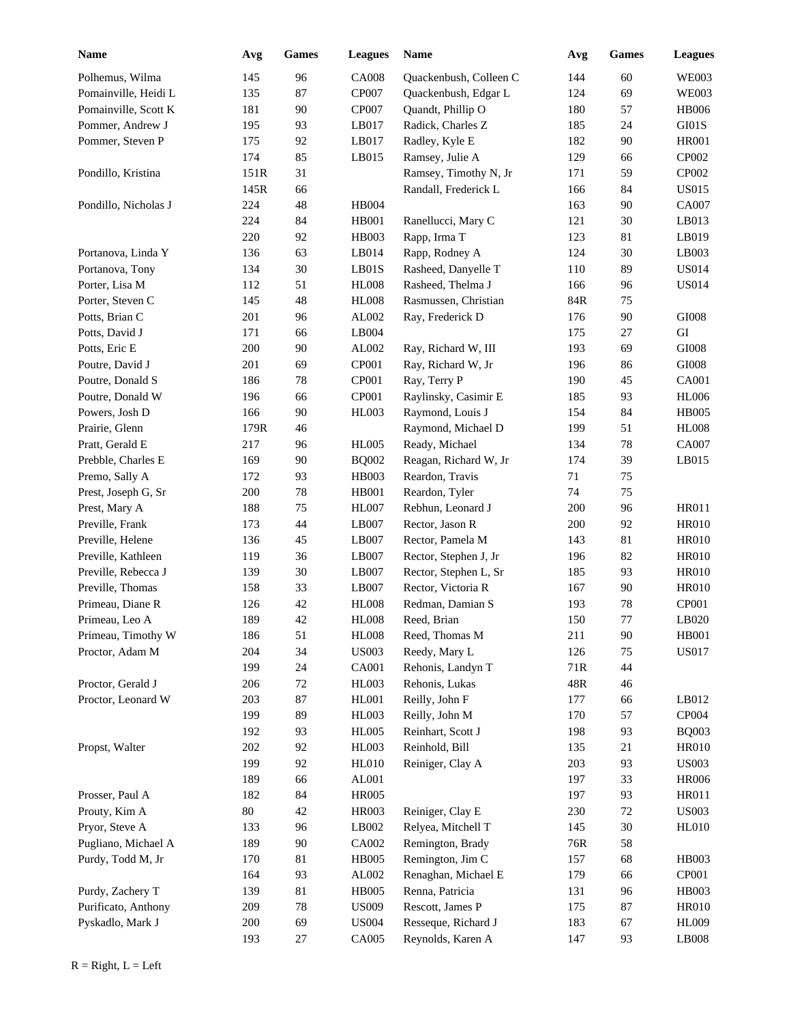| <b>Name</b>          | Avg    | Games  | <b>Leagues</b> | Name                   | Avg | Games  | <b>Leagues</b>         |
|----------------------|--------|--------|----------------|------------------------|-----|--------|------------------------|
| Polhemus, Wilma      | 145    | 96     | <b>CA008</b>   | Quackenbush, Colleen C | 144 | 60     | <b>WE003</b>           |
| Pomainville, Heidi L | 135    | 87     | CP007          | Quackenbush, Edgar L   | 124 | 69     | <b>WE003</b>           |
| Pomainville, Scott K | 181    | 90     | CP007          | Quandt, Phillip O      | 180 | 57     | <b>HB006</b>           |
| Pommer, Andrew J     | 195    | 93     | LB017          | Radick, Charles Z      | 185 | 24     | GI01S                  |
| Pommer, Steven P     | 175    | 92     | LB017          | Radley, Kyle E         | 182 | 90     | <b>HR001</b>           |
|                      | 174    | 85     | LB015          | Ramsey, Julie A        | 129 | 66     | CP002                  |
| Pondillo, Kristina   | 151R   | 31     |                | Ramsey, Timothy N, Jr  | 171 | 59     | CP002                  |
|                      | 145R   | 66     |                | Randall, Frederick L   | 166 | 84     | <b>US015</b>           |
| Pondillo, Nicholas J | 224    | 48     | <b>HB004</b>   |                        | 163 | 90     | CA007                  |
|                      | 224    | 84     | <b>HB001</b>   | Ranellucci, Mary C     | 121 | 30     | LB013                  |
|                      | 220    | 92     | <b>HB003</b>   | Rapp, Irma T           | 123 | 81     | LB019                  |
| Portanova, Linda Y   | 136    | 63     | LB014          | Rapp, Rodney A         | 124 | 30     | LB003                  |
| Portanova, Tony      | 134    | 30     | LBO1S          | Rasheed, Danyelle T    | 110 | 89     | <b>US014</b>           |
| Porter, Lisa M       | 112    | 51     | <b>HL008</b>   | Rasheed, Thelma J      | 166 | 96     | <b>US014</b>           |
| Porter, Steven C     | 145    | 48     | <b>HL008</b>   | Rasmussen, Christian   | 84R | 75     |                        |
| Potts, Brian C       | 201    | 96     | AL002          | Ray, Frederick D       | 176 | $90\,$ | GI008                  |
| Potts, David J       | 171    | 66     | LB004          |                        | 175 | 27     | GI                     |
| Potts, Eric E        | 200    | 90     | AL002          | Ray, Richard W, III    | 193 | 69     | GI008                  |
| Poutre, David J      | 201    | 69     | CP001          | Ray, Richard W, Jr     | 196 | 86     | GI008                  |
| Poutre, Donald S     | 186    | 78     | CP001          | Ray, Terry P           | 190 | 45     | <b>CA001</b>           |
| Poutre, Donald W     | 196    | 66     | CP001          | Raylinsky, Casimir E   | 185 | 93     | <b>HL006</b>           |
| Powers, Josh D       | 166    | 90     | HL003          | Raymond, Louis J       | 154 | 84     | <b>HB005</b>           |
| Prairie, Glenn       | 179R   | 46     |                | Raymond, Michael D     | 199 | 51     | <b>HL008</b>           |
| Pratt, Gerald E      | 217    | 96     | <b>HL005</b>   | Ready, Michael         | 134 | 78     | CA007                  |
| Prebble, Charles E   | 169    | 90     | <b>BQ002</b>   | Reagan, Richard W, Jr  | 174 | 39     | LB015                  |
| Premo, Sally A       | 172    | 93     | <b>HB003</b>   | Reardon, Travis        | 71  | 75     |                        |
| Prest, Joseph G, Sr  | 200    | $78\,$ | <b>HB001</b>   | Reardon, Tyler         | 74  | 75     |                        |
| Prest, Mary A        | 188    | 75     | <b>HL007</b>   | Rebhun, Leonard J      | 200 | 96     | HR011                  |
| Preville, Frank      | 173    | 44     | LB007          | Rector, Jason R        | 200 | 92     | <b>HR010</b>           |
| Preville, Helene     | 136    | 45     | LB007          | Rector, Pamela M       | 143 | 81     | <b>HR010</b>           |
| Preville, Kathleen   | 119    | 36     | LB007          | Rector, Stephen J, Jr  | 196 | 82     | <b>HR010</b>           |
| Preville, Rebecca J  | 139    | 30     | LB007          | Rector, Stephen L, Sr  | 185 | 93     | <b>HR010</b>           |
| Preville, Thomas     | 158    | 33     | LB007          | Rector, Victoria R     | 167 | 90     | <b>HR010</b>           |
| Primeau, Diane R     | 126    | 42     | <b>HL008</b>   | Redman, Damian S       | 193 | 78     | CP001                  |
| Primeau, Leo A       | 189    | 42     | <b>HL008</b>   | Reed, Brian            | 150 | 77     | LB020                  |
| Primeau, Timothy W   | 186    | 51     | <b>HL008</b>   | Reed, Thomas M         | 211 | 90     | HB001                  |
| Proctor, Adam M      | 204    | 34     | <b>US003</b>   | Reedy, Mary L          | 126 | 75     | <b>US017</b>           |
|                      | 199    | 24     | <b>CA001</b>   | Rehonis, Landyn T      | 71R | 44     |                        |
| Proctor, Gerald J    | 206    | 72     | <b>HL003</b>   | Rehonis, Lukas         | 48R | 46     |                        |
| Proctor, Leonard W   | 203    | 87     | HL001          | Reilly, John F         | 177 | 66     | LB012                  |
|                      | 199    | 89     | <b>HL003</b>   | Reilly, John M         | 170 | 57     | CP004                  |
|                      | 192    | 93     | <b>HL005</b>   | Reinhart, Scott J      | 198 | 93     | <b>BQ003</b>           |
| Propst, Walter       | 202    | 92     | HL003          | Reinhold, Bill         | 135 | 21     | <b>HR010</b>           |
|                      | 199    | 92     | HL010          | Reiniger, Clay A       | 203 | 93     | <b>US003</b>           |
|                      | 189    | 66     | AL001          |                        | 197 | 33     | <b>HR006</b>           |
| Prosser, Paul A      | 182    | 84     | <b>HR005</b>   |                        | 197 | 93     | HR011                  |
| Prouty, Kim A        | $80\,$ | $42\,$ | HR003          | Reiniger, Clay E       | 230 | $72\,$ | <b>US003</b>           |
| Pryor, Steve A       | 133    | 96     | LB002          | Relyea, Mitchell T     | 145 | 30     | <b>HL010</b>           |
| Pugliano, Michael A  | 189    | $90\,$ | CA002          | Remington, Brady       | 76R | 58     |                        |
| Purdy, Todd M, Jr    | 170    | 81     | <b>HB005</b>   | Remington, Jim C       | 157 | 68     | HB003                  |
|                      | 164    | 93     | AL002          | Renaghan, Michael E    | 179 | 66     | CP001                  |
| Purdy, Zachery T     | 139    | 81     | <b>HB005</b>   | Renna, Patricia        | 131 | 96     | HB003                  |
| Purificato, Anthony  | 209    | 78     | <b>US009</b>   | Rescott, James P       | 175 | 87     | <b>HR010</b>           |
| Pyskadlo, Mark J     | 200    | 69     | <b>US004</b>   | Resseque, Richard J    | 183 | 67     | <b>HL009</b>           |
|                      | 193    | 27     | CA005          | Reynolds, Karen A      | 147 | 93     | $\operatorname{LB008}$ |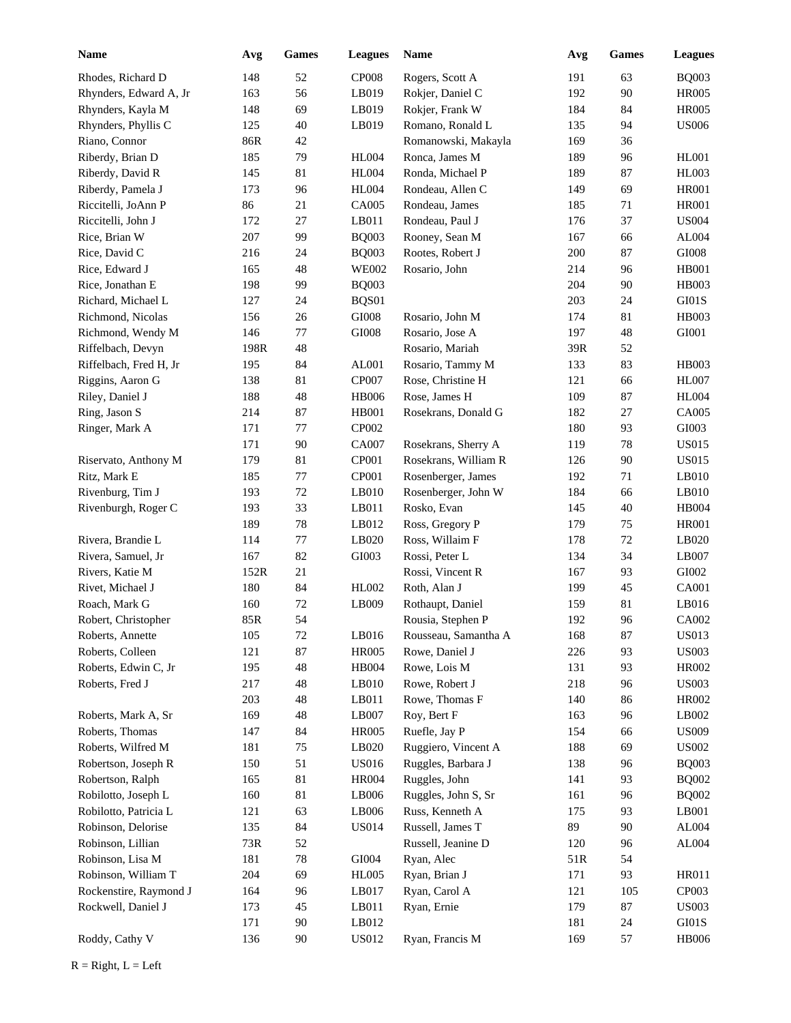| Name                   | Avg  | Games  | <b>Leagues</b> | <b>Name</b>          | Avg | Games | <b>Leagues</b> |
|------------------------|------|--------|----------------|----------------------|-----|-------|----------------|
| Rhodes, Richard D      | 148  | 52     | <b>CP008</b>   | Rogers, Scott A      | 191 | 63    | <b>BQ003</b>   |
| Rhynders, Edward A, Jr | 163  | 56     | LB019          | Rokjer, Daniel C     | 192 | 90    | <b>HR005</b>   |
| Rhynders, Kayla M      | 148  | 69     | LB019          | Rokjer, Frank W      | 184 | 84    | <b>HR005</b>   |
| Rhynders, Phyllis C    | 125  | 40     | LB019          | Romano, Ronald L     | 135 | 94    | <b>US006</b>   |
| Riano, Connor          | 86R  | 42     |                | Romanowski, Makayla  | 169 | 36    |                |
| Riberdy, Brian D       | 185  | 79     | <b>HL004</b>   | Ronca, James M       | 189 | 96    | <b>HL001</b>   |
| Riberdy, David R       | 145  | 81     | <b>HL004</b>   | Ronda, Michael P     | 189 | 87    | <b>HL003</b>   |
| Riberdy, Pamela J      | 173  | 96     | <b>HL004</b>   | Rondeau, Allen C     | 149 | 69    | <b>HR001</b>   |
| Riccitelli, JoAnn P    | 86   | 21     | CA005          | Rondeau, James       | 185 | 71    | <b>HR001</b>   |
| Riccitelli, John J     | 172  | 27     | LB011          | Rondeau, Paul J      | 176 | 37    | <b>US004</b>   |
| Rice, Brian W          | 207  | 99     | <b>BQ003</b>   | Rooney, Sean M       | 167 | 66    | AL004          |
| Rice, David C          | 216  | 24     | <b>BQ003</b>   | Rootes, Robert J     | 200 | 87    | GI008          |
| Rice, Edward J         | 165  | 48     | <b>WE002</b>   | Rosario, John        | 214 | 96    | <b>HB001</b>   |
| Rice, Jonathan E       | 198  | 99     | <b>BQ003</b>   |                      | 204 | 90    | HB003          |
| Richard, Michael L     | 127  | 24     | BQS01          |                      | 203 | 24    | GI01S          |
| Richmond, Nicolas      | 156  | $26\,$ | $\rm GIO08$    | Rosario, John M      | 174 | 81    | <b>HB003</b>   |
| Richmond, Wendy M      | 146  | 77     | $\rm GIO08$    | Rosario, Jose A      | 197 | 48    | GI001          |
| Riffelbach, Devyn      | 198R | 48     |                | Rosario, Mariah      | 39R | 52    |                |
| Riffelbach, Fred H, Jr | 195  | 84     | AL001          | Rosario, Tammy M     | 133 | 83    | <b>HB003</b>   |
| Riggins, Aaron G       | 138  | 81     | CP007          | Rose, Christine H    | 121 | 66    | <b>HL007</b>   |
| Riley, Daniel J        | 188  | 48     | <b>HB006</b>   | Rose, James H        | 109 | 87    | <b>HL004</b>   |
| Ring, Jason S          | 214  | 87     | <b>HB001</b>   | Rosekrans, Donald G  | 182 | 27    | CA005          |
| Ringer, Mark A         | 171  | 77     | CP002          |                      | 180 | 93    | GI003          |
|                        | 171  | 90     | CA007          | Rosekrans, Sherry A  | 119 | 78    | <b>US015</b>   |
| Riservato, Anthony M   | 179  | 81     | CP001          | Rosekrans, William R | 126 | 90    | <b>US015</b>   |
| Ritz, Mark E           | 185  | 77     | CP001          | Rosenberger, James   | 192 | 71    | LB010          |
| Rivenburg, Tim J       | 193  | 72     | LB010          | Rosenberger, John W  | 184 | 66    | LB010          |
| Rivenburgh, Roger C    | 193  | 33     | LB011          | Rosko, Evan          | 145 | 40    | <b>HB004</b>   |
|                        | 189  | 78     | LB012          | Ross, Gregory P      | 179 | 75    | <b>HR001</b>   |
| Rivera, Brandie L      | 114  | 77     | LB020          | Ross, Willaim F      | 178 | 72    | LB020          |
| Rivera, Samuel, Jr     | 167  | 82     | GI003          | Rossi, Peter L       | 134 | 34    | LB007          |
| Rivers, Katie M        | 152R | 21     |                | Rossi, Vincent R     | 167 | 93    | GI002          |
| Rivet, Michael J       | 180  | 84     | HL002          | Roth, Alan J         | 199 | 45    | <b>CA001</b>   |
| Roach, Mark G          | 160  | 72     | LB009          | Rothaupt, Daniel     | 159 | 81    | LB016          |
| Robert, Christopher    | 85R  | 54     |                | Rousia, Stephen P    | 192 | 96    | CA002          |
| Roberts, Annette       | 105  | $72\,$ | LB016          | Rousseau, Samantha A | 168 | 87    | <b>US013</b>   |
| Roberts, Colleen       | 121  | 87     | <b>HR005</b>   | Rowe, Daniel J       | 226 | 93    | <b>US003</b>   |
| Roberts, Edwin C, Jr   | 195  | 48     | HB004          | Rowe, Lois M         | 131 | 93    | HR002          |
| Roberts, Fred J        | 217  | 48     | LB010          | Rowe, Robert J       | 218 | 96    | <b>US003</b>   |
|                        | 203  | 48     | LB011          | Rowe, Thomas F       | 140 | 86    | HR002          |
| Roberts, Mark A, Sr    | 169  | 48     | LB007          | Roy, Bert F          | 163 | 96    | LB002          |
| Roberts, Thomas        | 147  | 84     | <b>HR005</b>   | Ruefle, Jay P        | 154 | 66    | <b>US009</b>   |
| Roberts, Wilfred M     | 181  | 75     | LB020          | Ruggiero, Vincent A  | 188 | 69    | <b>US002</b>   |
| Robertson, Joseph R    | 150  | 51     | <b>US016</b>   | Ruggles, Barbara J   | 138 | 96    | <b>BQ003</b>   |
| Robertson, Ralph       | 165  | 81     | <b>HR004</b>   | Ruggles, John        | 141 | 93    | <b>BQ002</b>   |
| Robilotto, Joseph L    | 160  | 81     | LB006          | Ruggles, John S, Sr  | 161 | 96    | <b>BQ002</b>   |
| Robilotto, Patricia L  | 121  | 63     | LB006          | Russ, Kenneth A      | 175 | 93    | L B001         |
| Robinson, Delorise     | 135  | 84     | <b>US014</b>   | Russell, James T     | 89  | 90    | AL004          |
| Robinson, Lillian      | 73R  | 52     |                | Russell, Jeanine D   | 120 | 96    | ${\rm AL004}$  |
| Robinson, Lisa M       | 181  | 78     | GI004          | Ryan, Alec           | 51R | 54    |                |
| Robinson, William T    | 204  | 69     | <b>HL005</b>   | Ryan, Brian J        | 171 | 93    | HR011          |
| Rockenstire, Raymond J | 164  | 96     | LB017          | Ryan, Carol A        | 121 | 105   | CP003          |
| Rockwell, Daniel J     | 173  | 45     | LB011          | Ryan, Ernie          | 179 | 87    | <b>US003</b>   |
|                        | 171  | 90     | LB012          |                      | 181 | 24    | $\rm GI01S$    |
| Roddy, Cathy V         | 136  | 90     | <b>US012</b>   | Ryan, Francis M      | 169 | 57    | HB006          |

 $R = Right, L = Left$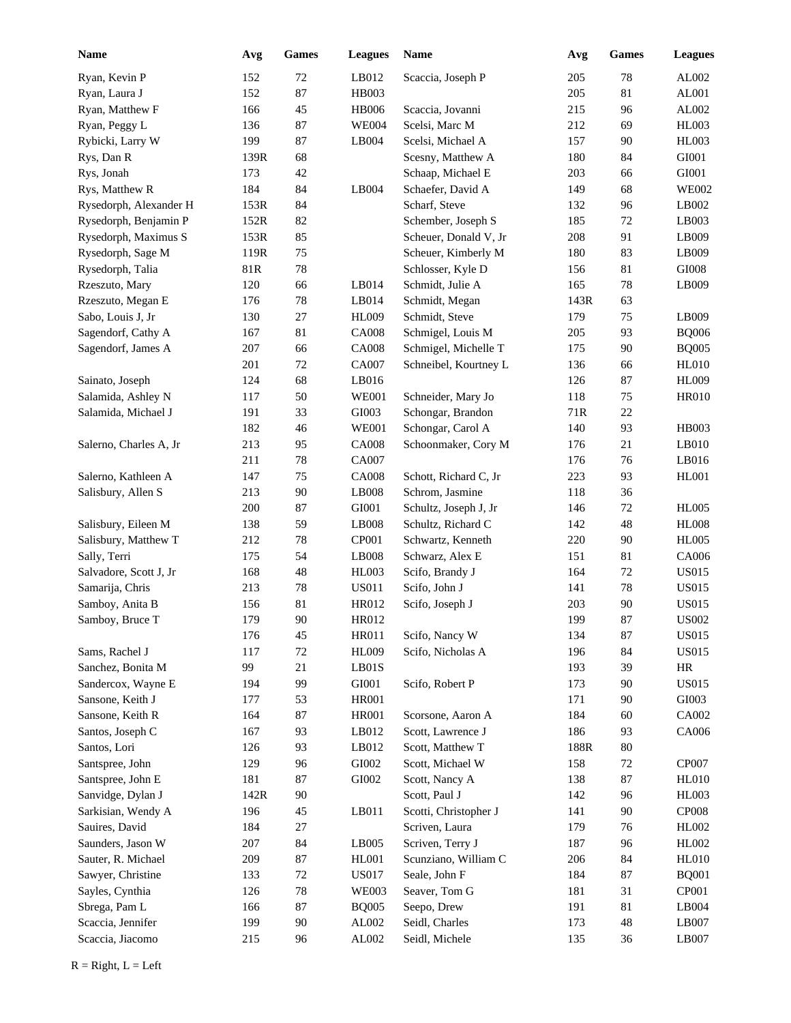| <b>Name</b>            | Avg  | Games  | <b>Leagues</b> | Name                  | Avg  | Games  | <b>Leagues</b> |
|------------------------|------|--------|----------------|-----------------------|------|--------|----------------|
| Ryan, Kevin P          | 152  | 72     | LB012          | Scaccia, Joseph P     | 205  | 78     | AL002          |
| Ryan, Laura J          | 152  | 87     | HB003          |                       | 205  | 81     | AL001          |
| Ryan, Matthew F        | 166  | 45     | <b>HB006</b>   | Scaccia, Jovanni      | 215  | 96     | AL002          |
| Ryan, Peggy L          | 136  | 87     | <b>WE004</b>   | Scelsi, Marc M        | 212  | 69     | <b>HL003</b>   |
| Rybicki, Larry W       | 199  | 87     | LB004          | Scelsi, Michael A     | 157  | 90     | <b>HL003</b>   |
| Rys, Dan R             | 139R | 68     |                | Scesny, Matthew A     | 180  | 84     | GI001          |
| Rys, Jonah             | 173  | 42     |                | Schaap, Michael E     | 203  | 66     | GI001          |
| Rys, Matthew R         | 184  | 84     | LB004          | Schaefer, David A     | 149  | 68     | <b>WE002</b>   |
| Rysedorph, Alexander H | 153R | 84     |                | Scharf, Steve         | 132  | 96     | LB002          |
| Rysedorph, Benjamin P  | 152R | 82     |                | Schember, Joseph S    | 185  | 72     | LB003          |
| Rysedorph, Maximus S   | 153R | 85     |                | Scheuer, Donald V, Jr | 208  | 91     | LB009          |
| Rysedorph, Sage M      | 119R | 75     |                | Scheuer, Kimberly M   | 180  | 83     | LB009          |
| Rysedorph, Talia       | 81R  | $78\,$ |                | Schlosser, Kyle D     | 156  | 81     | $\rm GIO08$    |
| Rzeszuto, Mary         | 120  | 66     | LB014          | Schmidt, Julie A      | 165  | 78     | LB009          |
| Rzeszuto, Megan E      | 176  | 78     | LB014          | Schmidt, Megan        | 143R | 63     |                |
| Sabo, Louis J, Jr      | 130  | 27     | <b>HL009</b>   | Schmidt, Steve        | 179  | 75     | LB009          |
| Sagendorf, Cathy A     | 167  | 81     | <b>CA008</b>   | Schmigel, Louis M     | 205  | 93     | <b>BQ006</b>   |
| Sagendorf, James A     | 207  | 66     | <b>CA008</b>   | Schmigel, Michelle T  | 175  | 90     | <b>BQ005</b>   |
|                        | 201  | 72     | CA007          | Schneibel, Kourtney L | 136  | 66     | HL010          |
| Sainato, Joseph        | 124  | 68     | LB016          |                       | 126  | 87     | <b>HL009</b>   |
| Salamida, Ashley N     | 117  | 50     | <b>WE001</b>   | Schneider, Mary Jo    | 118  | 75     | <b>HR010</b>   |
| Salamida, Michael J    | 191  | 33     | GI003          | Schongar, Brandon     | 71R  | 22     |                |
|                        | 182  | 46     | <b>WE001</b>   | Schongar, Carol A     | 140  | 93     | HB003          |
| Salerno, Charles A, Jr | 213  | 95     | <b>CA008</b>   | Schoonmaker, Cory M   | 176  | 21     | LB010          |
|                        | 211  | 78     | CA007          |                       | 176  | 76     | LB016          |
| Salerno, Kathleen A    | 147  | 75     | <b>CA008</b>   | Schott, Richard C, Jr | 223  | 93     | <b>HL001</b>   |
| Salisbury, Allen S     | 213  | 90     | LB008          | Schrom, Jasmine       | 118  | 36     |                |
|                        | 200  | 87     | GI001          | Schultz, Joseph J, Jr | 146  | 72     | <b>HL005</b>   |
| Salisbury, Eileen M    | 138  | 59     | LB008          | Schultz, Richard C    | 142  | 48     | <b>HL008</b>   |
| Salisbury, Matthew T   | 212  | 78     | CP001          | Schwartz, Kenneth     | 220  | 90     | <b>HL005</b>   |
| Sally, Terri           | 175  | 54     | LB008          | Schwarz, Alex E       | 151  | 81     | CA006          |
| Salvadore, Scott J, Jr | 168  | 48     | HL003          | Scifo, Brandy J       | 164  | 72     | <b>US015</b>   |
| Samarija, Chris        | 213  | 78     | <b>US011</b>   | Scifo, John J         | 141  | 78     | <b>US015</b>   |
| Samboy, Anita B        | 156  | 81     | HR012          | Scifo, Joseph J       | 203  | 90     | <b>US015</b>   |
| Samboy, Bruce T        | 179  | 90     | HR012          |                       | 199  | 87     | <b>US002</b>   |
|                        | 176  | 45     | HR011          | Scifo, Nancy W        | 134  | 87     | <b>US015</b>   |
| Sams, Rachel J         | 117  | $72\,$ | <b>HL009</b>   | Scifo, Nicholas A     | 196  | 84     | <b>US015</b>   |
| Sanchez, Bonita M      | 99   | 21     | LBO1S          |                       | 193  | 39     | HR             |
| Sandercox, Wayne E     | 194  | 99     | ${\rm GIO}01$  | Scifo, Robert P       | 173  | 90     | <b>US015</b>   |
| Sansone, Keith J       | 177  | 53     | <b>HR001</b>   |                       | 171  | 90     | GI003          |
| Sansone, Keith R       | 164  | 87     | <b>HR001</b>   | Scorsone, Aaron A     | 184  | 60     | CA002          |
| Santos, Joseph C       | 167  | 93     | LB012          | Scott, Lawrence J     | 186  | 93     | CA006          |
| Santos, Lori           | 126  | 93     | LB012          | Scott, Matthew T      | 188R | $80\,$ |                |
| Santspree, John        | 129  | 96     | ${\rm GIO}02$  | Scott, Michael W      | 158  | $72\,$ | CP007          |
| Santspree, John E      | 181  | $87\,$ | GI002          | Scott, Nancy A        | 138  | 87     | <b>HL010</b>   |
| Sanvidge, Dylan J      | 142R | $90\,$ |                | Scott, Paul J         | 142  | 96     | HL003          |
| Sarkisian, Wendy A     | 196  | 45     | LB011          | Scotti, Christopher J | 141  | 90     | CP008          |
| Sauires, David         | 184  | $27\,$ |                | Scriven, Laura        | 179  | 76     | HL002          |
| Saunders, Jason W      | 207  | 84     | LB005          | Scriven, Terry J      | 187  | 96     | HL002          |
| Sauter, R. Michael     | 209  | 87     | <b>HL001</b>   | Scunziano, William C  | 206  | 84     | <b>HL010</b>   |
| Sawyer, Christine      | 133  | 72     | <b>US017</b>   | Seale, John F         | 184  | 87     | <b>BQ001</b>   |
| Sayles, Cynthia        | 126  | $78\,$ | <b>WE003</b>   | Seaver, Tom G         | 181  | 31     | CP001          |
| Sbrega, Pam L          | 166  | 87     | <b>BQ005</b>   | Seepo, Drew           | 191  | $81\,$ | LB004          |
| Scaccia, Jennifer      | 199  | 90     | AL002          | Seidl, Charles        | 173  | 48     | LB007          |
| Scaccia, Jiacomo       | 215  | 96     | AL002          | Seidl, Michele        | 135  | 36     | LB007          |
|                        |      |        |                |                       |      |        |                |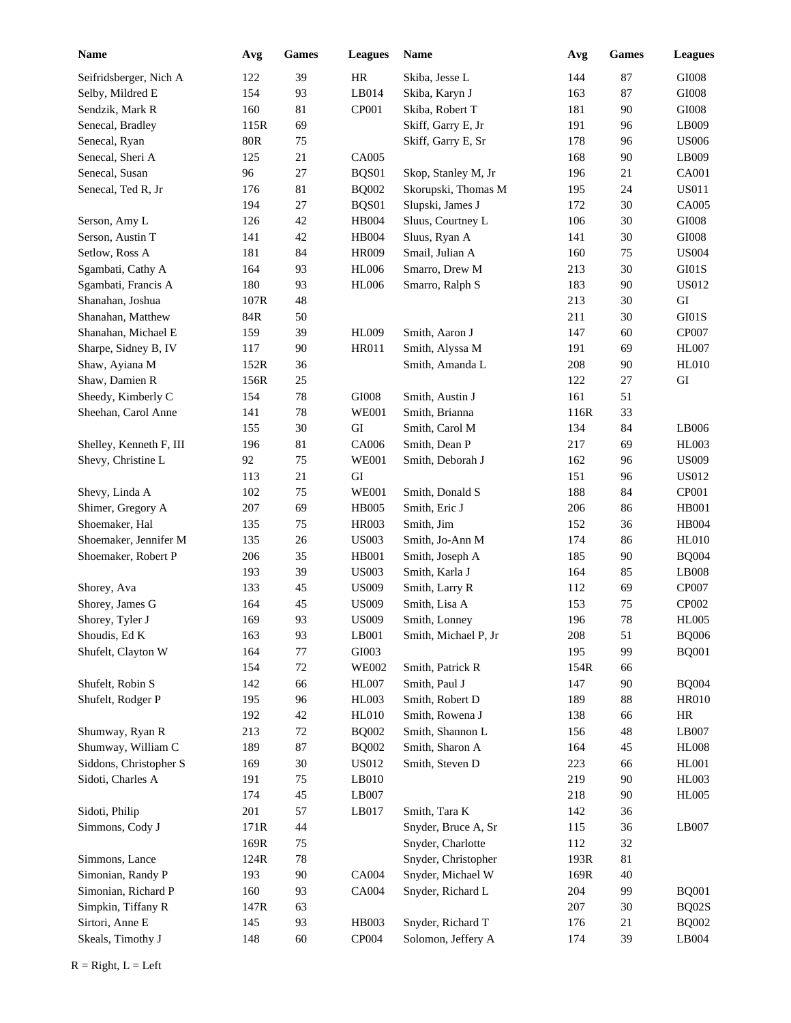| <b>Name</b>             | Avg            | Games  | <b>Leagues</b> | Name                 | Avg  | <b>Games</b> | <b>Leagues</b> |
|-------------------------|----------------|--------|----------------|----------------------|------|--------------|----------------|
| Seifridsberger, Nich A  | 122            | 39     | HR             | Skiba, Jesse L       | 144  | 87           | GI008          |
| Selby, Mildred E        | 154            | 93     | LB014          | Skiba, Karyn J       | 163  | 87           | $\rm GIO08$    |
| Sendzik, Mark R         | 160            | 81     | CP001          | Skiba, Robert T      | 181  | 90           | $\rm GIO08$    |
| Senecal, Bradley        | 115R           | 69     |                | Skiff, Garry E, Jr   | 191  | 96           | LB009          |
| Senecal, Ryan           | $80\mathrm{R}$ | 75     |                | Skiff, Garry E, Sr   | 178  | 96           | <b>US006</b>   |
| Senecal, Sheri A        | 125            | 21     | CA005          |                      | 168  | 90           | LB009          |
| Senecal, Susan          | 96             | 27     | BQS01          | Skop, Stanley M, Jr  | 196  | 21           | <b>CA001</b>   |
| Senecal, Ted R, Jr      | 176            | 81     | <b>BQ002</b>   | Skorupski, Thomas M  | 195  | 24           | <b>US011</b>   |
|                         | 194            | 27     | BQS01          | Slupski, James J     | 172  | 30           | CA005          |
| Serson, Amy L           | 126            | 42     | <b>HB004</b>   | Sluus, Courtney L    | 106  | 30           | GI008          |
| Serson, Austin T        | 141            | 42     | <b>HB004</b>   | Sluus, Ryan A        | 141  | 30           | $\rm GIO08$    |
| Setlow, Ross A          | 181            | 84     | <b>HR009</b>   | Smail, Julian A      | 160  | 75           | <b>US004</b>   |
| Sgambati, Cathy A       | 164            | 93     | <b>HL006</b>   | Smarro, Drew M       | 213  | 30           | GI01S          |
| Sgambati, Francis A     | 180            | 93     | <b>HL006</b>   | Smarro, Ralph S      | 183  | 90           | <b>US012</b>   |
| Shanahan, Joshua        | 107R           | 48     |                |                      | 213  | 30           | GI             |
| Shanahan, Matthew       | 84R            | 50     |                |                      | 211  | 30           | GI01S          |
| Shanahan, Michael E     | 159            | 39     | <b>HL009</b>   | Smith, Aaron J       | 147  | 60           | CP007          |
| Sharpe, Sidney B, IV    | 117            | 90     | <b>HR011</b>   | Smith, Alyssa M      | 191  | 69           | <b>HL007</b>   |
| Shaw, Ayiana M          | 152R           | 36     |                | Smith, Amanda L      | 208  | 90           | <b>HL010</b>   |
| Shaw, Damien R          | 156R           | 25     |                |                      | 122  | 27           | ${\rm GI}$     |
| Sheedy, Kimberly C      | 154            | 78     | $\rm GIO08$    | Smith, Austin J      | 161  | 51           |                |
| Sheehan, Carol Anne     | 141            | 78     | <b>WE001</b>   | Smith, Brianna       | 116R | 33           |                |
|                         | 155            | 30     | GI             | Smith, Carol M       | 134  | 84           | LB006          |
| Shelley, Kenneth F, III | 196            | 81     | CA006          | Smith, Dean P        | 217  | 69           | <b>HL003</b>   |
| Shevy, Christine L      | 92             | 75     | <b>WE001</b>   | Smith, Deborah J     | 162  | 96           | <b>US009</b>   |
|                         | 113            | 21     | GI             |                      | 151  | 96           | <b>US012</b>   |
| Shevy, Linda A          | 102            | 75     | <b>WE001</b>   | Smith, Donald S      | 188  | 84           | CP001          |
| Shimer, Gregory A       | 207            | 69     | <b>HB005</b>   | Smith, Eric J        | 206  | 86           | <b>HB001</b>   |
| Shoemaker, Hal          | 135            | 75     | <b>HR003</b>   | Smith, Jim           | 152  | 36           | <b>HB004</b>   |
| Shoemaker, Jennifer M   | 135            | 26     | <b>US003</b>   | Smith, Jo-Ann M      | 174  | 86           | <b>HL010</b>   |
| Shoemaker, Robert P     | 206            | 35     | <b>HB001</b>   | Smith, Joseph A      | 185  | 90           | <b>BQ004</b>   |
|                         | 193            | 39     | <b>US003</b>   | Smith, Karla J       | 164  | 85           | LB008          |
| Shorey, Ava             | 133            | 45     | <b>US009</b>   | Smith, Larry R       | 112  | 69           | CP007          |
| Shorey, James G         | 164            | 45     | <b>US009</b>   | Smith, Lisa A        | 153  | 75           | CP002          |
| Shorey, Tyler J         | 169            | 93     | <b>US009</b>   | Smith, Lonney        | 196  | 78           | <b>HL005</b>   |
| Shoudis, Ed K           | 163            | 93     | $L$ B001       | Smith, Michael P, Jr | 208  | 51           | <b>BQ006</b>   |
| Shufelt, Clayton W      | 164            | $77\,$ | GI003          |                      | 195  | 99           | <b>BQ001</b>   |
|                         | 154            | 72     | <b>WE002</b>   | Smith, Patrick R     | 154R | 66           |                |
| Shufelt, Robin S        | 142            | 66     | <b>HL007</b>   | Smith, Paul J        | 147  | 90           | <b>BQ004</b>   |
| Shufelt, Rodger P       | 195            | 96     | HL003          | Smith, Robert D      | 189  | 88           | <b>HR010</b>   |
|                         | 192            | 42     | <b>HL010</b>   | Smith, Rowena J      | 138  | 66           | $\rm{HR}$      |
| Shumway, Ryan R         | 213            | $72\,$ | <b>BQ002</b>   | Smith, Shannon L     | 156  | 48           | LB007          |
| Shumway, William C      | 189            | $87\,$ | <b>BQ002</b>   | Smith, Sharon A      | 164  | 45           | <b>HL008</b>   |
| Siddons, Christopher S  | 169            | $30\,$ | <b>US012</b>   | Smith, Steven D      | 223  | 66           | HL001          |
| Sidoti, Charles A       | 191            | 75     | LB010          |                      | 219  | 90           | HL003          |
|                         | 174            | 45     | LB007          |                      | 218  | 90           | <b>HL005</b>   |
| Sidoti, Philip          | 201            | 57     | LB017          | Smith, Tara K        | 142  | 36           |                |
| Simmons, Cody J         | 171R           | 44     |                | Snyder, Bruce A, Sr  | 115  | 36           | LB007          |
|                         | 169R           | 75     |                | Snyder, Charlotte    | 112  | 32           |                |
| Simmons, Lance          | 124R           | 78     |                | Snyder, Christopher  | 193R | 81           |                |
| Simonian, Randy P       | 193            | $90\,$ | CA004          | Snyder, Michael W    | 169R | 40           |                |
| Simonian, Richard P     | 160            | 93     | CA004          | Snyder, Richard L    | 204  | 99           | <b>BQ001</b>   |
| Simpkin, Tiffany R      | 147R           | 63     |                |                      | 207  | $30\,$       | BQ02S          |
| Sirtori, Anne E         | 145            | 93     | HB003          | Snyder, Richard T    | 176  | 21           | <b>BQ002</b>   |
| Skeals, Timothy J       | 148            | $60\,$ | CP004          | Solomon, Jeffery A   | 174  | 39           | LB004          |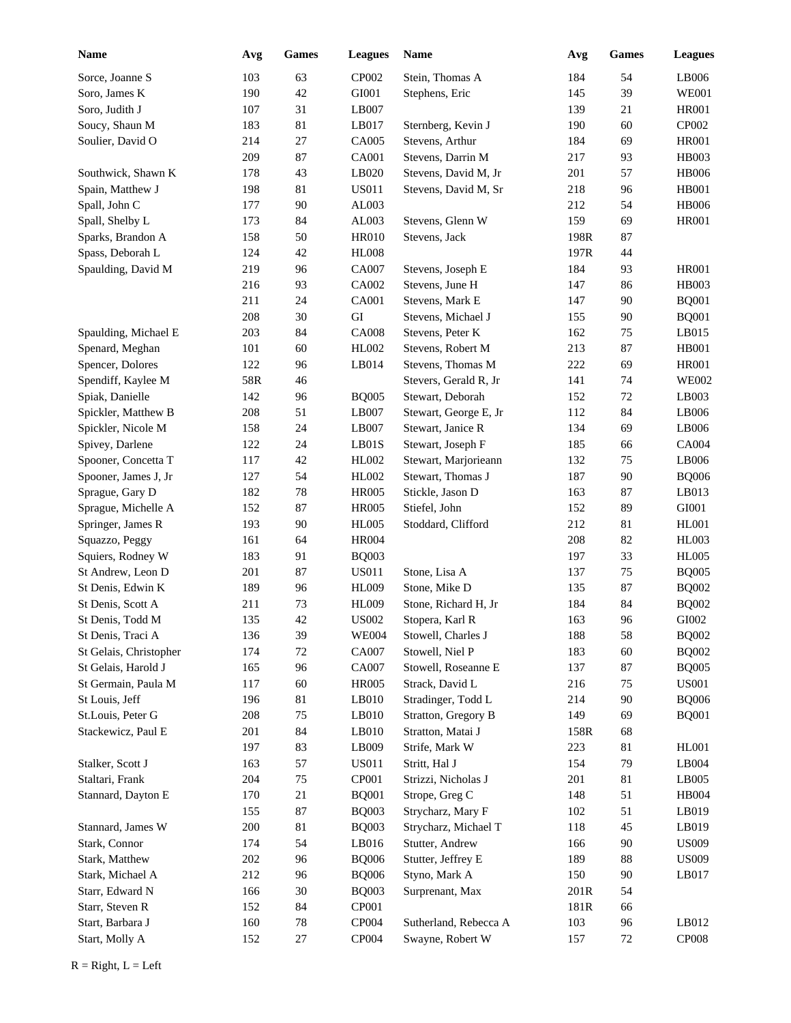| Name                   | Avg | Games  | <b>Leagues</b> | Name                  | Avg  | Games  | <b>Leagues</b>         |
|------------------------|-----|--------|----------------|-----------------------|------|--------|------------------------|
| Sorce, Joanne S        | 103 | 63     | CP002          | Stein, Thomas A       | 184  | 54     | LB006                  |
| Soro, James K          | 190 | 42     | GI001          | Stephens, Eric        | 145  | 39     | <b>WE001</b>           |
| Soro, Judith J         | 107 | 31     | LB007          |                       | 139  | 21     | <b>HR001</b>           |
| Soucy, Shaun M         | 183 | 81     | LB017          | Sternberg, Kevin J    | 190  | 60     | CP002                  |
| Soulier, David O       | 214 | 27     | CA005          | Stevens, Arthur       | 184  | 69     | <b>HR001</b>           |
|                        | 209 | 87     | <b>CA001</b>   | Stevens, Darrin M     | 217  | 93     | HB003                  |
| Southwick, Shawn K     | 178 | 43     | LB020          | Stevens, David M, Jr  | 201  | 57     | <b>HB006</b>           |
| Spain, Matthew J       | 198 | 81     | <b>US011</b>   | Stevens, David M, Sr  | 218  | 96     | <b>HB001</b>           |
| Spall, John C          | 177 | 90     | AL003          |                       | 212  | 54     | <b>HB006</b>           |
| Spall, Shelby L        | 173 | 84     | AL003          | Stevens, Glenn W      | 159  | 69     | <b>HR001</b>           |
| Sparks, Brandon A      | 158 | 50     | <b>HR010</b>   | Stevens, Jack         | 198R | 87     |                        |
| Spass, Deborah L       | 124 | 42     | <b>HL008</b>   |                       | 197R | 44     |                        |
| Spaulding, David M     | 219 | 96     | CA007          | Stevens, Joseph E     | 184  | 93     | <b>HR001</b>           |
|                        | 216 | 93     | CA002          | Stevens, June H       | 147  | 86     | HB003                  |
|                        | 211 | 24     | <b>CA001</b>   | Stevens, Mark E       | 147  | 90     | <b>BQ001</b>           |
|                        | 208 | 30     | GI             | Stevens, Michael J    | 155  | 90     | <b>BQ001</b>           |
| Spaulding, Michael E   | 203 | 84     | <b>CA008</b>   | Stevens, Peter K      | 162  | 75     | LB015                  |
| Spenard, Meghan        | 101 | 60     | HL002          | Stevens, Robert M     | 213  | 87     | <b>HB001</b>           |
| Spencer, Dolores       | 122 | 96     | LB014          | Stevens, Thomas M     | 222  | 69     | <b>HR001</b>           |
| Spendiff, Kaylee M     | 58R | 46     |                | Stevers, Gerald R, Jr | 141  | 74     | <b>WE002</b>           |
| Spiak, Danielle        | 142 | 96     | <b>BQ005</b>   | Stewart, Deborah      | 152  | 72     | LB003                  |
| Spickler, Matthew B    | 208 | 51     | LB007          | Stewart, George E, Jr | 112  | 84     | LB006                  |
| Spickler, Nicole M     | 158 | 24     | LB007          | Stewart, Janice R     | 134  | 69     | LB006                  |
| Spivey, Darlene        | 122 | 24     | LB01S          | Stewart, Joseph F     | 185  | 66     | CA004                  |
| Spooner, Concetta T    | 117 | 42     | HL002          | Stewart, Marjorieann  | 132  | 75     | LB006                  |
| Spooner, James J, Jr   | 127 | 54     | HL002          | Stewart, Thomas J     | 187  | 90     | <b>BQ006</b>           |
| Sprague, Gary D        | 182 | 78     | <b>HR005</b>   | Stickle, Jason D      | 163  | 87     | LB013                  |
| Sprague, Michelle A    | 152 | 87     | <b>HR005</b>   | Stiefel, John         | 152  | 89     | GI001                  |
| Springer, James R      | 193 | 90     | <b>HL005</b>   | Stoddard, Clifford    | 212  | 81     | <b>HL001</b>           |
| Squazzo, Peggy         | 161 | 64     | <b>HR004</b>   |                       | 208  | 82     | HL003                  |
| Squiers, Rodney W      | 183 | 91     | <b>BQ003</b>   |                       | 197  | 33     | <b>HL005</b>           |
| St Andrew, Leon D      | 201 | 87     | <b>US011</b>   | Stone, Lisa A         | 137  | 75     | <b>BQ005</b>           |
| St Denis, Edwin K      | 189 | 96     | <b>HL009</b>   | Stone, Mike D         | 135  | 87     | <b>BQ002</b>           |
| St Denis, Scott A      | 211 | 73     | <b>HL009</b>   | Stone, Richard H, Jr  | 184  | 84     | <b>BQ002</b>           |
| St Denis, Todd M       | 135 | 42     | <b>US002</b>   | Stopera, Karl R       | 163  | 96     | GI002                  |
| St Denis, Traci A      | 136 | 39     | <b>WE004</b>   | Stowell, Charles J    | 188  | 58     | <b>BQ002</b>           |
| St Gelais, Christopher | 174 | $72\,$ | CA007          | Stowell, Niel P       | 183  | 60     | <b>BQ002</b>           |
| St Gelais, Harold J    | 165 | 96     | CA007          | Stowell, Roseanne E   | 137  | 87     | <b>BQ005</b>           |
| St Germain, Paula M    | 117 | 60     | <b>HR005</b>   | Strack, David L       | 216  | 75     | <b>US001</b>           |
| St Louis, Jeff         | 196 | 81     | $L$ B010       | Stradinger, Todd L    | 214  | 90     | <b>BQ006</b>           |
| St.Louis, Peter G      | 208 | 75     | $L$ B010       | Stratton, Gregory B   | 149  | 69     | <b>BQ001</b>           |
| Stackewicz, Paul E     | 201 | 84     | $L$ B010       | Stratton, Matai J     | 158R | 68     |                        |
|                        | 197 | 83     | LB009          | Strife, Mark W        | 223  | 81     | <b>HL001</b>           |
| Stalker, Scott J       | 163 | 57     | <b>US011</b>   | Stritt, Hal J         | 154  | 79     | $\operatorname{LB}004$ |
| Staltari, Frank        | 204 | 75     | CP001          | Strizzi, Nicholas J   | 201  | 81     | LB005                  |
| Stannard, Dayton E     | 170 | 21     | <b>BQ001</b>   | Strope, Greg C        | 148  | 51     | HB004                  |
|                        | 155 | 87     | <b>BQ003</b>   | Strycharz, Mary F     | 102  | 51     | LB019                  |
| Stannard, James W      | 200 | 81     | <b>BQ003</b>   | Strycharz, Michael T  | 118  | 45     | LB019                  |
| Stark, Connor          | 174 | 54     | LB016          | Stutter, Andrew       | 166  | 90     | <b>US009</b>           |
| Stark, Matthew         | 202 | 96     | <b>BQ006</b>   | Stutter, Jeffrey E    | 189  | 88     | <b>US009</b>           |
| Stark, Michael A       | 212 | 96     | <b>BQ006</b>   | Styno, Mark A         | 150  | $90\,$ | LB017                  |
| Starr, Edward N        | 166 | 30     | <b>BQ003</b>   | Surprenant, Max       | 201R | 54     |                        |
| Starr, Steven R        | 152 | 84     | CP001          |                       | 181R | 66     |                        |
| Start, Barbara J       | 160 | 78     | <b>CP004</b>   | Sutherland, Rebecca A | 103  | 96     | LB012                  |
| Start, Molly A         | 152 | $27\,$ | CP004          | Swayne, Robert W      | 157  | $72\,$ | <b>CP008</b>           |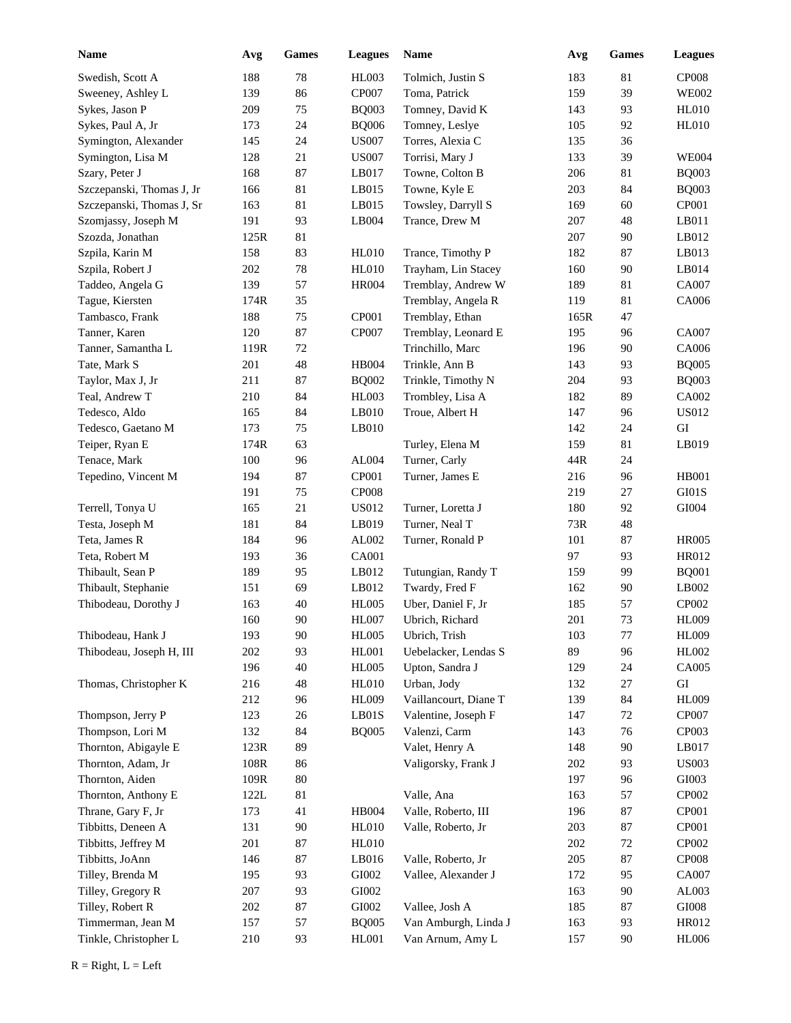| <b>Name</b>               | Avg  | Games  | <b>Leagues</b> | Name                  | Avg  | <b>Games</b> | <b>Leagues</b> |
|---------------------------|------|--------|----------------|-----------------------|------|--------------|----------------|
| Swedish, Scott A          | 188  | 78     | <b>HL003</b>   | Tolmich, Justin S     | 183  | 81           | <b>CP008</b>   |
| Sweeney, Ashley L         | 139  | 86     | CP007          | Toma, Patrick         | 159  | 39           | <b>WE002</b>   |
| Sykes, Jason P            | 209  | 75     | <b>BQ003</b>   | Tomney, David K       | 143  | 93           | <b>HL010</b>   |
| Sykes, Paul A, Jr         | 173  | 24     | <b>BQ006</b>   | Tomney, Leslye        | 105  | 92           | <b>HL010</b>   |
| Symington, Alexander      | 145  | 24     | <b>US007</b>   | Torres, Alexia C      | 135  | 36           |                |
| Symington, Lisa M         | 128  | 21     | <b>US007</b>   | Torrisi, Mary J       | 133  | 39           | <b>WE004</b>   |
| Szary, Peter J            | 168  | 87     | LB017          | Towne, Colton B       | 206  | 81           | <b>BQ003</b>   |
| Szczepanski, Thomas J, Jr | 166  | 81     | LB015          | Towne, Kyle E         | 203  | 84           | <b>BQ003</b>   |
| Szczepanski, Thomas J, Sr | 163  | 81     | LB015          | Towsley, Darryll S    | 169  | 60           | CP001          |
| Szomjassy, Joseph M       | 191  | 93     | LB004          | Trance, Drew M        | 207  | 48           | $L$ B011       |
| Szozda, Jonathan          | 125R | 81     |                |                       | 207  | 90           | LB012          |
| Szpila, Karin M           | 158  | 83     | <b>HL010</b>   | Trance, Timothy P     | 182  | 87           | LB013          |
| Szpila, Robert J          | 202  | 78     | <b>HL010</b>   | Trayham, Lin Stacey   | 160  | 90           | LB014          |
| Taddeo, Angela G          | 139  | 57     | <b>HR004</b>   | Tremblay, Andrew W    | 189  | $81\,$       | CA007          |
| Tague, Kiersten           | 174R | 35     |                | Tremblay, Angela R    | 119  | 81           | CA006          |
| Tambasco, Frank           | 188  | 75     | CP001          | Tremblay, Ethan       | 165R | 47           |                |
| Tanner, Karen             | 120  | 87     | CP007          | Tremblay, Leonard E   | 195  | 96           | CA007          |
| Tanner, Samantha L        | 119R | 72     |                | Trinchillo, Marc      | 196  | 90           | CA006          |
| Tate, Mark S              | 201  | 48     | <b>HB004</b>   | Trinkle, Ann B        | 143  | 93           | <b>BQ005</b>   |
| Taylor, Max J, Jr         | 211  | 87     | <b>BQ002</b>   | Trinkle, Timothy N    | 204  | 93           | <b>BQ003</b>   |
| Teal, Andrew T            | 210  | 84     | <b>HL003</b>   | Trombley, Lisa A      | 182  | 89           | CA002          |
| Tedesco, Aldo             | 165  | 84     | LB010          | Troue, Albert H       | 147  | 96           | <b>US012</b>   |
| Tedesco, Gaetano M        | 173  | 75     | LB010          |                       | 142  | 24           | GI             |
| Teiper, Ryan E            | 174R | 63     |                | Turley, Elena M       | 159  | 81           | LB019          |
| Tenace, Mark              | 100  | 96     | AL004          | Turner, Carly         | 44R  | 24           |                |
| Tepedino, Vincent M       | 194  | 87     | CP001          | Turner, James E       | 216  | 96           | <b>HB001</b>   |
|                           | 191  | 75     | <b>CP008</b>   |                       | 219  | 27           | GI01S          |
| Terrell, Tonya U          | 165  | 21     | <b>US012</b>   | Turner, Loretta J     | 180  | 92           | GI004          |
| Testa, Joseph M           | 181  | 84     | LB019          | Turner, Neal T        | 73R  | 48           |                |
| Teta, James R             | 184  | 96     | AL002          | Turner, Ronald P      | 101  | 87           | <b>HR005</b>   |
| Teta, Robert M            | 193  | 36     | CA001          |                       | 97   | 93           | HR012          |
| Thibault, Sean P          | 189  | 95     | LB012          | Tutungian, Randy T    | 159  | 99           | <b>BQ001</b>   |
| Thibault, Stephanie       | 151  | 69     | LB012          | Twardy, Fred F        | 162  | 90           | LB002          |
| Thibodeau, Dorothy J      | 163  | 40     | <b>HL005</b>   | Uber, Daniel F, Jr    | 185  | 57           | CP002          |
|                           | 160  | 90     | <b>HL007</b>   | Ubrich, Richard       | 201  | 73           | <b>HL009</b>   |
| Thibodeau, Hank J         | 193  | 90     | <b>HL005</b>   | Ubrich, Trish         | 103  | 77           | <b>HL009</b>   |
| Thibodeau, Joseph H, III  | 202  | 93     | <b>HL001</b>   | Uebelacker, Lendas S  | 89   | 96           | HL002          |
|                           | 196  | 40     | <b>HL005</b>   | Upton, Sandra J       | 129  | 24           | CA005          |
| Thomas, Christopher K     | 216  | 48     | HL010          | Urban, Jody           | 132  | 27           | ${\rm GI}$     |
|                           | 212  | 96     | <b>HL009</b>   | Vaillancourt, Diane T | 139  | 84           | <b>HL009</b>   |
| Thompson, Jerry P         | 123  | 26     | LBO1S          | Valentine, Joseph F   | 147  | $72\,$       | <b>CP007</b>   |
| Thompson, Lori M          | 132  | 84     | <b>BQ005</b>   | Valenzi, Carm         | 143  | 76           | CP003          |
| Thornton, Abigayle E      | 123R | 89     |                | Valet, Henry A        | 148  | 90           | LB017          |
| Thornton, Adam, Jr        | 108R | 86     |                | Valigorsky, Frank J   | 202  | 93           | <b>US003</b>   |
| Thornton, Aiden           | 109R | 80     |                |                       | 197  | 96           | GI003          |
| Thornton, Anthony E       | 122L | 81     |                | Valle, Ana            | 163  | 57           | CP002          |
| Thrane, Gary F, Jr        | 173  | 41     | <b>HB004</b>   | Valle, Roberto, III   | 196  | $87\,$       | CP001          |
| Tibbitts, Deneen A        | 131  | $90\,$ | <b>HL010</b>   | Valle, Roberto, Jr    | 203  | $87\,$       | CP001          |
| Tibbitts, Jeffrey M       | 201  | 87     | HL010          |                       | 202  | $72\,$       | CP002          |
| Tibbitts, JoAnn           | 146  | 87     | LB016          | Valle, Roberto, Jr    | 205  | $87\,$       | CP008          |
| Tilley, Brenda M          | 195  | 93     | GI002          | Vallee, Alexander J   | 172  | 95           | CA007          |
| Tilley, Gregory R         | 207  | 93     | GI002          |                       | 163  | 90           | AL003          |
| Tilley, Robert R          | 202  | $87\,$ | GI002          | Vallee, Josh A        | 185  | $87\,$       | GI008          |
| Timmerman, Jean M         | 157  | 57     | <b>BQ005</b>   | Van Amburgh, Linda J  | 163  | 93           | HR012          |
| Tinkle, Christopher L     | 210  | 93     | HL001          | Van Arnum, Amy L      | 157  | $90\,$       | <b>HL006</b>   |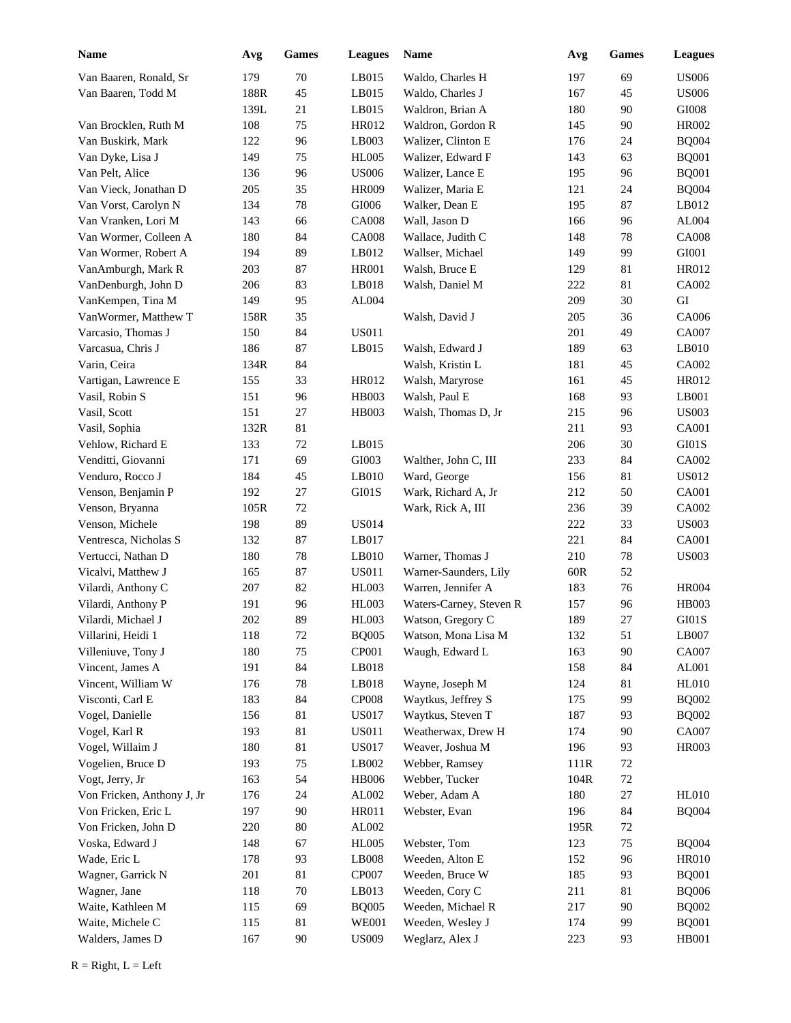| <b>Name</b>                | Avg        | Games  | <b>Leagues</b> | Name                    | Avg  | <b>Games</b> | <b>Leagues</b> |
|----------------------------|------------|--------|----------------|-------------------------|------|--------------|----------------|
| Van Baaren, Ronald, Sr     | 179        | 70     | LB015          | Waldo, Charles H        | 197  | 69           | <b>US006</b>   |
| Van Baaren, Todd M         | 188R       | 45     | LB015          | Waldo, Charles J        | 167  | 45           | <b>US006</b>   |
|                            | 139L       | 21     | LB015          | Waldron, Brian A        | 180  | 90           | GI008          |
| Van Brocklen, Ruth M       | 108        | 75     | HR012          | Waldron, Gordon R       | 145  | 90           | <b>HR002</b>   |
| Van Buskirk, Mark          | 122        | 96     | LB003          | Walizer, Clinton E      | 176  | 24           | <b>BQ004</b>   |
| Van Dyke, Lisa J           | 149        | 75     | <b>HL005</b>   | Walizer, Edward F       | 143  | 63           | <b>BQ001</b>   |
| Van Pelt, Alice            | 136        | 96     | <b>US006</b>   | Walizer, Lance E        | 195  | 96           | <b>BQ001</b>   |
| Van Vieck, Jonathan D      | 205        | 35     | <b>HR009</b>   | Walizer, Maria E        | 121  | 24           | <b>BQ004</b>   |
| Van Vorst, Carolyn N       | 134        | 78     | $\rm GIO06$    | Walker, Dean E          | 195  | 87           | LB012          |
| Van Vranken, Lori M        | 143        | 66     | <b>CA008</b>   | Wall, Jason D           | 166  | 96           | AL004          |
| Van Wormer, Colleen A      | 180        | 84     | <b>CA008</b>   | Wallace, Judith C       | 148  | 78           | <b>CA008</b>   |
| Van Wormer, Robert A       | 194        | 89     | LB012          | Wallser, Michael        | 149  | 99           | GI001          |
| VanAmburgh, Mark R         | 203        | 87     | <b>HR001</b>   | Walsh, Bruce E          | 129  | 81           | HR012          |
| VanDenburgh, John D        | 206        | 83     | LB018          | Walsh, Daniel M         | 222  | 81           | CA002          |
| VanKempen, Tina M          | 149        | 95     | AL004          |                         | 209  | 30           | GI             |
| VanWormer, Matthew T       | 158R       | 35     |                | Walsh, David J          | 205  | 36           | CA006          |
| Varcasio, Thomas J         | 150        | 84     | <b>US011</b>   |                         | 201  | 49           | CA007          |
| Varcasua, Chris J          | 186        | 87     | LB015          | Walsh, Edward J         | 189  | 63           | LB010          |
| Varin, Ceira               | 134R       | 84     |                | Walsh, Kristin L        | 181  | 45           | CA002          |
| Vartigan, Lawrence E       | 155        | 33     | HR012          | Walsh, Maryrose         | 161  | 45           | HR012          |
| Vasil, Robin S             | 151        | 96     | HB003          | Walsh, Paul E           | 168  | 93           | LB001          |
| Vasil, Scott               | 151        | 27     | HB003          | Walsh, Thomas D, Jr     | 215  | 96           | <b>US003</b>   |
| Vasil, Sophia              | 132R       | 81     |                |                         | 211  | 93           | <b>CA001</b>   |
| Vehlow, Richard E          | 133        | 72     | LB015          |                         | 206  | 30           | GI01S          |
| Venditti, Giovanni         | 171        | 69     | GI003          | Walther, John C, III    | 233  | 84           | CA002          |
| Venduro, Rocco J           | 184        | 45     | LB010          | Ward, George            | 156  | 81           | <b>US012</b>   |
| Venson, Benjamin P         | 192        | 27     | GI01S          | Wark, Richard A, Jr     | 212  | 50           | <b>CA001</b>   |
| Venson, Bryanna            | 105R       | $72\,$ |                | Wark, Rick A, III       | 236  | 39           | CA002          |
| Venson, Michele            | 198        | 89     | <b>US014</b>   |                         | 222  | 33           | <b>US003</b>   |
| Ventresca, Nicholas S      | 132        | 87     | LB017          |                         | 221  | 84           | <b>CA001</b>   |
| Vertucci, Nathan D         | 180        | 78     | LB010          | Warner, Thomas J        | 210  | 78           | <b>US003</b>   |
| Vicalvi, Matthew J         | 165        | 87     | <b>US011</b>   | Warner-Saunders, Lily   | 60R  | 52           |                |
| Vilardi, Anthony C         | 207        | 82     | HL003          | Warren, Jennifer A      | 183  | 76           | <b>HR004</b>   |
| Vilardi, Anthony P         | 191        | 96     | <b>HL003</b>   | Waters-Carney, Steven R | 157  | 96           | <b>HB003</b>   |
| Vilardi, Michael J         | 202        | 89     | <b>HL003</b>   | Watson, Gregory C       | 189  | 27           | GI01S          |
| Villarini, Heidi 1         | 118        | $72\,$ | <b>BQ005</b>   | Watson, Mona Lisa M     | 132  | 51           | LB007          |
| Villeniuve, Tony J         | 180        | 75     | CP001          | Waugh, Edward L         | 163  | 90           | CA007          |
| Vincent, James A           | 191        | 84     | LB018          |                         | 158  | 84           | AL001          |
| Vincent, William W         | 176        | 78     | LB018          | Wayne, Joseph M         | 124  | 81           | <b>HL010</b>   |
| Visconti, Carl E           | 183        | 84     | CP008          | Waytkus, Jeffrey S      | 175  | 99           | <b>BQ002</b>   |
| Vogel, Danielle            | 156        | 81     | <b>US017</b>   | Waytkus, Steven T       | 187  | 93           | <b>BQ002</b>   |
| Vogel, Karl R              | 193        | 81     | <b>US011</b>   | Weatherwax, Drew H      | 174  | 90           | CA007          |
| Vogel, Willaim J           | 180        | 81     | <b>US017</b>   | Weaver, Joshua M        | 196  | 93           | <b>HR003</b>   |
| Vogelien, Bruce D          | 193        | 75     | LB002          | Webber, Ramsey          | 111R | $72\,$       |                |
| Vogt, Jerry, Jr            |            | 54     | <b>HB006</b>   | Webber, Tucker          | 104R | $72\,$       |                |
| Von Fricken, Anthony J, Jr | 163        | 24     | AL002          | Weber, Adam A           | 180  | $27\,$       | <b>HL010</b>   |
| Von Fricken, Eric L        | 176<br>197 | $90\,$ | HR011          | Webster, Evan           | 196  | 84           | <b>BQ004</b>   |
| Von Fricken, John D        | 220        | $80\,$ | AL002          |                         | 195R | $72\,$       |                |
|                            |            |        |                |                         |      |              |                |
| Voska, Edward J            | 148        | 67     | <b>HL005</b>   | Webster, Tom            | 123  | 75           | <b>BQ004</b>   |
| Wade, Eric L               | 178        | 93     | LB008          | Weeden, Alton E         | 152  | 96           | <b>HR010</b>   |
| Wagner, Garrick N          | 201        | 81     | CP007          | Weeden, Bruce W         | 185  | 93           | <b>BQ001</b>   |
| Wagner, Jane               | 118        | $70\,$ | LB013          | Weeden, Cory C          | 211  | 81           | <b>BQ006</b>   |
| Waite, Kathleen M          | 115        | 69     | <b>BQ005</b>   | Weeden, Michael R       | 217  | 90           | <b>BQ002</b>   |
| Waite, Michele C           | 115        | 81     | <b>WE001</b>   | Weeden, Wesley J        | 174  | 99           | <b>BQ001</b>   |
| Walders, James D           | 167        | $90\,$ | <b>US009</b>   | Weglarz, Alex J         | 223  | 93           | HB001          |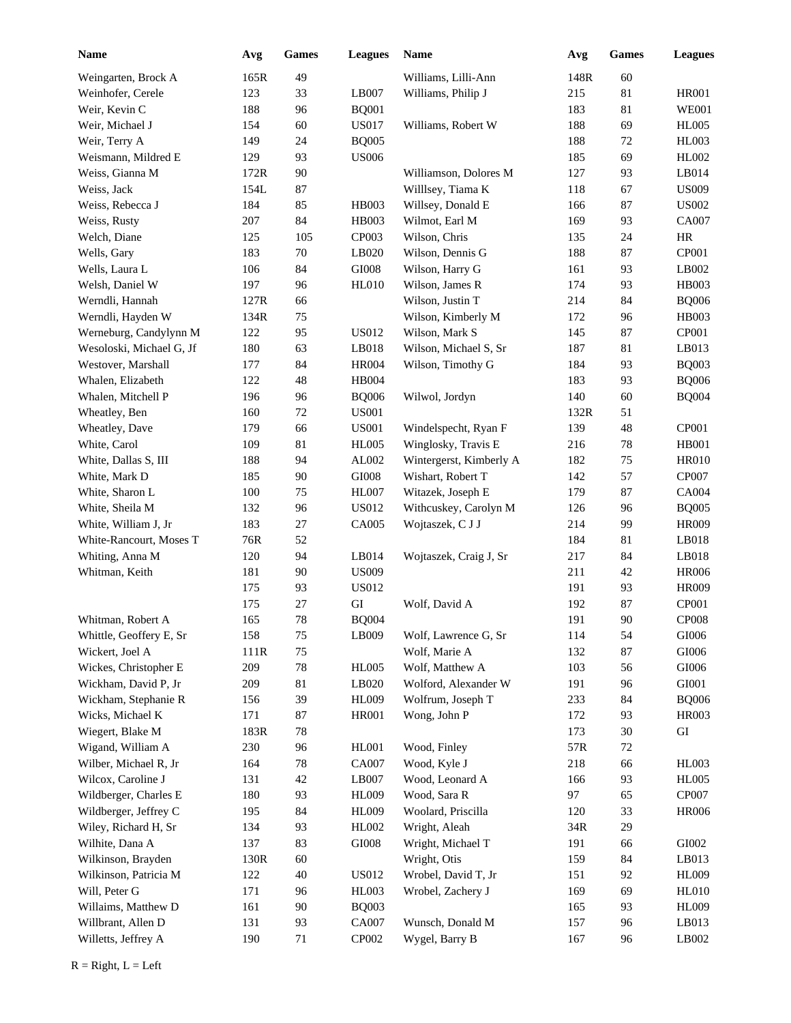| <b>Name</b>              | Avg  | Games  | <b>Leagues</b> | Name                    | Avg  | Games | <b>Leagues</b> |
|--------------------------|------|--------|----------------|-------------------------|------|-------|----------------|
| Weingarten, Brock A      | 165R | 49     |                | Williams, Lilli-Ann     | 148R | 60    |                |
| Weinhofer, Cerele        | 123  | 33     | LB007          | Williams, Philip J      | 215  | 81    | HR001          |
| Weir, Kevin C            | 188  | 96     | <b>BQ001</b>   |                         | 183  | 81    | <b>WE001</b>   |
| Weir, Michael J          | 154  | 60     | <b>US017</b>   | Williams, Robert W      | 188  | 69    | <b>HL005</b>   |
| Weir, Terry A            | 149  | 24     | <b>BQ005</b>   |                         | 188  | 72    | <b>HL003</b>   |
| Weismann, Mildred E      | 129  | 93     | <b>US006</b>   |                         | 185  | 69    | HL002          |
| Weiss, Gianna M          | 172R | 90     |                | Williamson, Dolores M   | 127  | 93    | LB014          |
| Weiss, Jack              | 154L | 87     |                | Willlsey, Tiama K       | 118  | 67    | <b>US009</b>   |
| Weiss, Rebecca J         | 184  | 85     | HB003          | Willsey, Donald E       | 166  | 87    | <b>US002</b>   |
| Weiss, Rusty             | 207  | 84     | <b>HB003</b>   | Wilmot, Earl M          | 169  | 93    | CA007          |
| Welch, Diane             | 125  | 105    | CP003          | Wilson, Chris           | 135  | 24    | HR             |
| Wells, Gary              | 183  | $70\,$ | LB020          | Wilson, Dennis G        | 188  | 87    | CP001          |
| Wells, Laura L           | 106  | 84     | $\rm GIO08$    | Wilson, Harry G         | 161  | 93    | LB002          |
| Welsh, Daniel W          | 197  | 96     | <b>HL010</b>   | Wilson, James R         | 174  | 93    | <b>HB003</b>   |
| Werndli, Hannah          | 127R | 66     |                | Wilson, Justin T        | 214  | 84    | <b>BQ006</b>   |
| Werndli, Hayden W        | 134R | 75     |                | Wilson, Kimberly M      | 172  | 96    | HB003          |
| Werneburg, Candylynn M   | 122  | 95     | <b>US012</b>   | Wilson, Mark S          | 145  | 87    | CP001          |
| Wesoloski, Michael G, Jf | 180  | 63     | LB018          | Wilson, Michael S, Sr   | 187  | 81    | LB013          |
| Westover, Marshall       | 177  | 84     | <b>HR004</b>   | Wilson, Timothy G       | 184  | 93    | <b>BQ003</b>   |
| Whalen, Elizabeth        | 122  | 48     | <b>HB004</b>   |                         | 183  | 93    | <b>BQ006</b>   |
| Whalen, Mitchell P       | 196  | 96     | <b>BQ006</b>   | Wilwol, Jordyn          | 140  | 60    | <b>BQ004</b>   |
| Wheatley, Ben            | 160  | 72     | <b>US001</b>   |                         | 132R | 51    |                |
| Wheatley, Dave           | 179  | 66     | <b>US001</b>   | Windelspecht, Ryan F    | 139  | 48    | CP001          |
| White, Carol             | 109  | 81     | <b>HL005</b>   | Winglosky, Travis E     | 216  | 78    | <b>HB001</b>   |
| White, Dallas S, III     | 188  | 94     | AL002          | Wintergerst, Kimberly A | 182  | 75    | <b>HR010</b>   |
| White, Mark D            | 185  | 90     | $\rm GIO08$    | Wishart, Robert T       | 142  | 57    | CP007          |
| White, Sharon L          | 100  | 75     | <b>HL007</b>   | Witazek, Joseph E       | 179  | 87    | CA004          |
| White, Sheila M          | 132  | 96     | <b>US012</b>   | Withcuskey, Carolyn M   | 126  | 96    | <b>BQ005</b>   |
| White, William J, Jr     | 183  | 27     | CA005          | Wojtaszek, C J J        | 214  | 99    | <b>HR009</b>   |
| White-Rancourt, Moses T  | 76R  | 52     |                |                         | 184  | 81    | LB018          |
| Whiting, Anna M          | 120  | 94     | LB014          | Wojtaszek, Craig J, Sr  | 217  | 84    | LB018          |
| Whitman, Keith           | 181  | 90     | <b>US009</b>   |                         | 211  | 42    | <b>HR006</b>   |
|                          | 175  | 93     | <b>US012</b>   |                         | 191  | 93    | <b>HR009</b>   |
|                          | 175  | 27     | GI             | Wolf, David A           | 192  | 87    | CP001          |
| Whitman, Robert A        | 165  | 78     | <b>BQ004</b>   |                         | 191  | 90    | <b>CP008</b>   |
| Whittle, Geoffery E, Sr  | 158  | 75     | LB009          | Wolf, Lawrence G, Sr    | 114  | 54    | GI006          |
| Wickert, Joel A          | 111R | 75     |                | Wolf, Marie A           | 132  | 87    | GI006          |
| Wickes, Christopher E    | 209  | $78\,$ | <b>HL005</b>   | Wolf, Matthew A         | 103  | 56    | GI006          |
| Wickham, David P, Jr     | 209  | 81     | LB020          | Wolford, Alexander W    | 191  | 96    | ${\rm GIO}01$  |
| Wickham, Stephanie R     | 156  | 39     | <b>HL009</b>   | Wolfrum, Joseph T       | 233  | 84    | <b>BQ006</b>   |
| Wicks, Michael K         | 171  | 87     | <b>HR001</b>   | Wong, John P            | 172  | 93    | HR003          |
| Wiegert, Blake M         | 183R | 78     |                |                         | 173  | 30    | ${\rm GI}$     |
| Wigand, William A        | 230  | 96     | <b>HL001</b>   | Wood, Finley            | 57R  | 72    |                |
| Wilber, Michael R, Jr    | 164  | $78\,$ | CA007          | Wood, Kyle J            | 218  | 66    | HL003          |
| Wilcox, Caroline J       | 131  | 42     | LB007          | Wood, Leonard A         | 166  | 93    | <b>HL005</b>   |
| Wildberger, Charles E    | 180  | 93     | <b>HL009</b>   | Wood, Sara R            | 97   | 65    | <b>CP007</b>   |
| Wildberger, Jeffrey C    | 195  | 84     | <b>HL009</b>   | Woolard, Priscilla      | 120  | 33    | <b>HR006</b>   |
| Wiley, Richard H, Sr     | 134  | 93     | HL002          | Wright, Aleah           | 34R  | 29    |                |
| Wilhite, Dana A          | 137  | 83     | $\rm GI008$    | Wright, Michael T       | 191  | 66    | GI002          |
| Wilkinson, Brayden       | 130R | 60     |                | Wright, Otis            | 159  | 84    | LB013          |
| Wilkinson, Patricia M    | 122  | 40     | <b>US012</b>   | Wrobel, David T, Jr     | 151  | 92    | <b>HL009</b>   |
| Will, Peter G            | 171  | 96     | <b>HL003</b>   | Wrobel, Zachery J       | 169  | 69    | HL010          |
| Willaims, Matthew D      | 161  | 90     | <b>BQ003</b>   |                         | 165  | 93    | <b>HL009</b>   |
| Willbrant, Allen D       | 131  | 93     | CA007          | Wunsch, Donald M        | 157  | 96    | LB013          |
| Willetts, Jeffrey A      | 190  | 71     | CP002          | Wygel, Barry B          | 167  | 96    | LB002          |